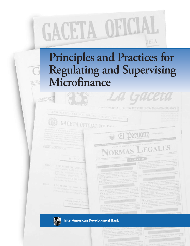

# **Principles and Practices for Regulating and Supervising Microfinance**

**DEJESE SIN EF IDERINTENDE** 

ANO XC

AS O XII Nº 2318 LA PAZ - BOLIVIA LEBE JUNIO DE 2002



La Gaceta

O OFICIAL DE LA REPUBLICA DE HONDURAS

**Inter-American Development Bank**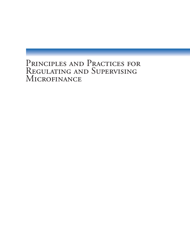## PRINCIPLES AND PRACTICES FOR REGULATING AND SUPERVISING MICROFINANCE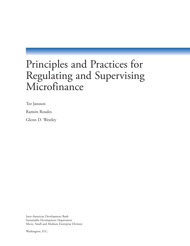## Principles and Practices for Regulating and Supervising Microfinance

Tor Jansson

Ramón Rosales

Glenn D. Westley

Inter-American Development Bank Sustainable Development Department Micro, Small and Medium Enterprise Division

Washington, D.C.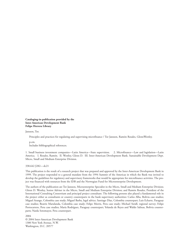**Cataloging-in-publication provided by the Inter-American Development Bank Felipe Herrera Library**

#### Jansson, Tor.

Principles and practices for regulating and supervising microfinance / Tor Jansson, Ramón Rosales, GlennWestley.

p.cm.

Includes bibliographical references.

1. Small business investment companies—Latin America—State supervision. 2. Microfinance—Law and legislation—Latin America. I. Rosales, Ramón. II. Westley, Glenn D. III. Inter-American Development Bank. Sustainable Development Dept. Micro, Small and Medium Enterprise Division.

#### 338.642 J282—dc21

This publication is the result of a research project that was prepared and approved by the Inter-American Development Bank in 1999. The project responded to a general mandate from the 1994 Summit of the Americas in which the Bank was invited to develop the guidelines for regulatory and supervisory frameworks that would be appropriate for microfinance activities. The project was financed with resources from the IDB and the Norwegian Fund for Microenterprise Development.

The authors of the publication are Tor Jansson, Microenterprise Specialist in the Micro, Small and Medium Enterprise Division; Glenn D. Westley, Senior Adviser in the Micro, Small and Medium Enterprise Division; and Ramón Rosales, President of the International Consulting Consortium and principal project consultant. The following persons also played a fundamental role in the project either as consultants or country counterparts in the bank supervisory authorities: Carlos Alba, Bolivia case studies; Miguel Arango, Colombia case study; Miguel Barba, legal advice; Santiago Díaz, Colombia counterpart; Luis Echarte, Paraguay case studies; Beatriz Marulanda, Colombia case study; Felipe Morris, Peru case study; Michael Steidl, regional survey; Felipe Portocarrero, Peru case studies; María Rodríguez, Paraguay counterpart; Yolanda de Reyes and Waldo Salinas, Bolivia counterparts; Narda Sotomayor, Peru counterpart.

2004 © 2004 Inter-American Development Bank 1300 New York Avenue, N.W. Washington, D.C. 20577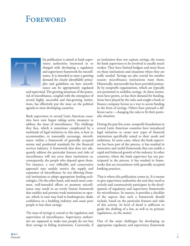## FOREWORD

and super

his publication is aimed at bank supervisory authorities interested in or charged with developing a regulatory and supervisory framework for microfinance. It is intended to meet a growing demand for clearly identifiable principles and guidelines on how microfinance can be appropriately regulated

and supervised. The growing awareness of the potential of microfinance, coupled with the emergence of several highly successful and fast-growing institutions, has effectively put the issue on the political agenda in most developing countries.

Bank supervisors in several Latin American countries have now begun taking active measures to address the issue of microfinance. The challenge they face, which is sometimes complicated by a multitude of legal initiatives in this area, is how to accommodate, or reasonably encourage, microfinance within a framework of generally accepted norms and prudential standards for the financial services industry. A framework that does not adequately address the particular features and risks of microfinance will not serve these institutions or, consequently, the people who depend upon them. For instance, a very inflexible and conservative approach may unduly restrict the supply and expansion of microfinance by not allowing financial institutions to adopt appropriate lending technologies. On the other hand, and much more common, well-intended efforts to promote microfinance may result in an overly lenient framework that enables and permits weak institutions to operate, which in turn may lead to bankruptcies, shake confidence in a budding industry and cause poor people to lose their savings.

The issue of savings is central to the regulation and supervision of microfinance. Supervisory authorities are supposed to make sure people do not lose their savings in failing institutions. Conversely, if an institution does not capture savings, the reason for bank supervisors to be involved is usually much weaker. They have limited budgets and must focus on those institutions and situations where they are really needed. Savings are also crucial for another reason: microfinance institutions want them. Historically, microcredit has been provided primarily by nonprofit organizations, which are typically not permitted to mobilize savings. As these institutions have grown, so has their demand for funding. Some have played by the rules and sought a bank or finance company license as a way to access funding in the form of savings. Others have pursued a different tactic—changing the rules to fit their particular situation.

During the past few years, nonprofit foundations in several Latin American countries have introduced legal initiatives to create new types of financial institutions specifically suited to their needs and ambitions. In some cases, where the bank supervisor has been part of the process, it has resulted in innovative and useful frameworks that can enable a rapid and balanced growth of the industry. In other countries, where the bank supervisor has not participated in the process, it has resulted in frameworks that are inconsistent with generally accepted banking practices.

That is where this publication comes in. It is meant to give supervisory authorities the tool they need to actively and constructively participate in the development of regulatory and supervisory frameworks for microfinance. In essence, it provides a checklist of the aspects that such a framework should include, based on the particular features and risks of this activity. Its level of detail is sufficient to guide the drafting of a law, as well as its primary regulations, on the matter.

One of the main challenges for developing an appropriate regulatory and supervisory framework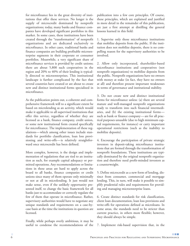for microfinance lies in the great diversity of institutions that offer these services. No longer is the supply of microcredit dominated by nonprofit organizations; today, many banks and finance companies have developed significant portfolios in this market. In some cases, these institutions have been created through the "transformation" of nonprofit organizations and are dedicated exclusively to microfinance. In other cases, traditional banks and finance companies are building profitable microenterprise segments in their corporate or consumer portfolios. Meanwhile, a very significant share of microfinance services is provided by credit unions; there are about 5,800 such cooperatives in the region and 20% to 40% of their lending is typically directed to microenterprises. This institutional landscape is further complicated by the fact that several countries have created or are about to create new and distinct institutional forms specialized in microfinance.

As the publication points out, a coherent and comprehensive framework will to a significant extent be based on microlending as an activity, which would make it applicable to all supervised institutions that offer this service, regardless of whether they are licensed as a bank, finance company, credit union, or some new institutional form created specifically for microfinance. The implementation of these regulations—which among other issues include standards for portfolio classification, loan loss provisioning and write-offs—is relatively straightforward once microcredit has been defined.

More complex, however, is the design and implementation of regulations that are tied to an institution as such, for example capital adequacy or permitted operations. Any recommendations or limitations in these areas are hard to apply across the board to all banks, finance companies or credit unions since many of them operate only minimally or not at all in microlending. It just would not make sense, even if the unlikely opportunity presented itself, to change the basic framework for all banks just to accommodate or correctly regulate the few of them that operate in microfinance. Rather, supervisory authorities would have to negotiate any unique standards and requirements on a case-bycase basis at the time the institutions in question are licensed.

Finally, while perhaps overly ambitious, it may be useful to condense the recommendations of the publication into a few core principles. Of course, these principles, which are explained and justified in more detail in the remainder of this publication, are just a first attempt at distilling the general lessons learned in this field:

1. Supervise only those microfinance institutions that mobilize deposits from the public. If the institution does not mobilize deposits, there is no compelling reason for the supervisory authorities to be involved.

2. Allow only incorporated, shareholder-based microfinance institutions and cooperatives (not nonprofit organizations) to mobilize deposits from the public. Nonprofit organizations have no owners with money at stake (in fact, they have no owners at all) and therefore present important weaknesses in terms of governance and institutional stability.

3. Do not create new and distinct institutional forms for microfinance unless: (a) there are several mature and well-managed nonprofit organizations ready to transform into such financial intermediaries, and (b) the existing institutional forms such as bank or finance company—are for all practical purposes unusable (due to high minimum capital requirements, for instance) or carry important operational restrictions (such as the inability to mobilize deposits).

4. Encourage the participation of private strategic investors in deposit-taking microfinance institutions that are formed through the transformation of nonprofit foundations. These institutions are typically dominated by the original nonprofit organization and therefore need profit-minded investors as a counterweight.

5. Define microcredit as a new form of lending, distinct from consumer, commercial and mortgage lending. This, in turn, will make it possible to simplify prudential rules and requirements for providing and managing microenterprise loans.

6. Create distinct standards for risk classification, client loan documentation, loan loss provisions and write-offs for operations defined as microloans. In some areas, the standards need to be stricter than current practice, in others more flexible; however, they should always be simple.

7. Implement risk-based supervision that, in the

**CONTRACTOR**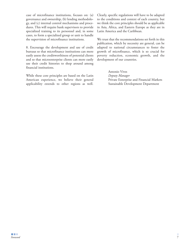case of microfinance institutions, focuses on: (a) governance and ownership, (b) lending methodology, and (c) internal control mechanisms and procedures. This will require bank supervisors to provide specialized training to its personnel and, in some cases, to form a specialized group or unit to handle the supervision of microfinance institutions.

8. Encourage the development and use of credit bureaus so that microfinance institutions can more easily assess the creditworthiness of potential clients and so that microenterprise clients can more easily use their credit histories to shop around among financial institutions.

While these core principles are based on the Latin American experience, we believe their general applicability extends to other regions as well. Clearly, specific regulations will have to be adapted to the conditions and context of each country, but we think the core principles should be as applicable in Asia, Africa, and Eastern Europe as they are in Latin America and the Caribbean.

We trust that the recommendations set forth in this publication, which by necessity are general, can be adapted to national circumstances to foster the growth of microfinance, which is so crucial for poverty reduction, economic growth, and the development of our countries.

> Antonio Vives *Deputy Manager* Private Enterprise and Financial Markets Sustainable Development Department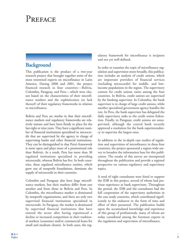## PREFACE

### **Background**

This publication is the product of a two-year research project that brought together some of the most renowned experts on microfinance in Latin America. During 2000 and 2001, the project financed research in four countries—Bolivia, Colombia, Paraguay, and Peru—which were chosen based on the characteristics of their microfinance markets and the sophistication (or lack thereof) of their regulatory frameworks in relation to microfinance.

Bolivia and Peru are similar in that their microfinance markets and regulatory frameworks are relatively mature and have been firmly in place for the last eight or nine years. They have a significant number of financial institutions specialized in microcredit that are supervised by the agency in charge of supervising banks and other financial institutions. They can be distinguished in that Peru's framework is more open and plays more of a promotional role than Bolivia's. As a result, Peru has more than 30 regulated institutions specialized in providing microcredit, whereas Bolivia has five. In both countries, these regulated microfinance entities, which grew out of nonprofit foundations, dominate the supply of microcredit in their countries.

Colombia and Paraguay also have large microfinance markets, but their markets differ from one another and from those in Bolivia and Peru. In Colombia, the microfinance market is dominated by nonprofit organizations, and there are only two supervised financial institutions specialized in microcredit. In Paraguay, the market is dominated by supervised financial institutions that have entered the sector after having experienced a decline or increased competition in their tradtional markets (consumer and/or commercial loans for small and medium clients). In both cases, the reg-

ulatory framework for microfinance is incipient and not yet well-defined.

In order to examine the topic of microfinance regulation and supervision more broadly, this publication includes an analysis of credit unions, which are important providers of financial services (including microcredit) for middle- and lowincome populations in the region. The supervisory context for credit unions varies among the four countries. In Bolivia, credit unions are supervised by the banking supervisor. In Colombia, the bank supervisor is in charge of large credit unions, while another specialized government agency handles the rest. In Peru, the bank supervisor has delegated the daily supervisory tasks to the credit union federation. Finally, in Paraguay, credit unions are unsupervised, although the central bank recently approved a resolution for the bank superintendency to supervise the largest ones.

In addition to the in-depth case studies of regulation and supervision of microfinance in these four countries, the project sponsored a region-wide survey to broaden the information base for this publication. The results of this survey are interspersed throughout the publication and provide a regional perspective on various regulatory and supervisory topics.

A total of eight consultants were hired to support the IDB in this project, several of whom had previous experience as bank supervisors. Throughout the period, the IDB and the consultants had the full cooperation of the supervisory authorities in the case study countries, which contributed significantly to the endeavor in the form of time and effort of their personnel. The publication builds upon the accumulated knowledge and experience of this group of professionals, many of whom are today considered among the foremost experts in the regulation and supervision of microfinance.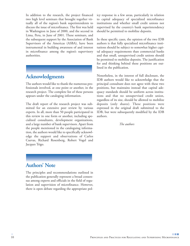In addition to the research, the project financed two high level seminars that brought together virtually all of the region's bank superintendents to discuss the issue of microfinance. The first was held in Washington in June of 2000, and the second in Lima, Peru, in June of 2001. These seminars, and the subsequent support by the Association of Bank Supervisors of the Americas (ASBA), have been instrumental in building awareness of and interest in microfinance among the region's supervisory authorities.

## **Acknowledgments**

The authors would like to thank the numerous professionals involved, at one point or another, in the research project. The complete list of these persons appears under the cataloging information.

The draft report of the research project was submitted for an extensive peer review by various experts. In all, more than 50 people participated in this review in one form or another, including specialized consultants, development organizations, and a large number of bank supervisors. Apart from the people mentioned in the cataloguing information, the authors would like to specifically acknowledge the support and observations of Carlos Cuevas, Richard Rosenberg, Robert Vogel and Jacques Trigo.

## **Authors' Note**

The principles and recommendations outlined in the publication generally represent a broad consensus among experts and officials in the field of regulation and supervision of microfinance. However, there is open debate regarding the appropriate policy response in a few areas, particularly in relation to capital adequacy of specialized microfinance institutions and whether small credit unions not supervised by the country's bank superintendency should be permitted to mobilize deposits.

In these specific cases, the opinion of the two IDB authors is that fully specialized microfinance institutions should be subject to somewhat higher capital adequacy requirements than commercial banks and that small, unsupervised credit unions should be permitted to mobilize deposits. The justification for and thinking behind these positions are outlined in the publication.

Nonetheless, in the interest of full disclosure, the IDB authors would like to acknowledge that the principal consultant does not agree with these two positions, but maintains instead that capital adequacy standards should be uniform across institutions and that no unsupervised credit union, regardless of its size, should be allowed to mobilize deposits (only shares). These positions were expressed in the original draft submitted to the IDB, but were subsequently modified by the IDB authors.

*The authors*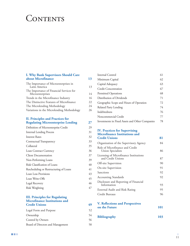## **CONTENTS**

#### **I. Why Bank Supervisors Should Care about Microfinance 13**

| The Importance of Microenterprises in<br>Latin America | 13 |
|--------------------------------------------------------|----|
| The Importance of Financial Services for               |    |
| Microenterprises                                       | 14 |
| Trends in the Microfinance Industry                    | 16 |
| The Distinctive Features of Microfinance               | 22 |
| The Microlending Methodology                           | 24 |
| Variations in the Microlending Methodology             | 26 |

#### **II. Principles and Practices for Regulating Microenterprise Lending 27**

| Definition of Microenterprise Credit   | 29 |
|----------------------------------------|----|
| <b>Internal Lending Process</b>        | 31 |
| <b>Interest Rates</b>                  | 32 |
| Contractual Transparency               | 33 |
| Collateral                             | 35 |
| Loan Contract Currency                 | 36 |
| <b>Client Documentation</b>            | 37 |
| Non-Performing Loans                   | 39 |
| Risk Classification of Loans           | 40 |
| Rescheduling or Restructuring of Loans | 41 |
| Loan Loss Provisions                   | 43 |
| Loan Write-Offs                        | 45 |
| Legal Recovery                         | 46 |
| Risk Weighting                         | 47 |
|                                        |    |

#### **III. Principles for Regulating Microfinance Institutions and Credit Unions 49**

| Legal Form and Purpose            | 52 |
|-----------------------------------|----|
| Ownership                         | 54 |
| Control by Owners                 | 56 |
| Board of Directors and Management | 58 |

| Internal Control                                | 61 |
|-------------------------------------------------|----|
| Minimum Capital                                 | 62 |
| Capital Adequacy                                | 63 |
| <b>Credit Concentration</b>                     | 67 |
| Permitted Operations                            | 68 |
| Distribution of Dividends                       | 71 |
| Geographic Scope and Hours of Operation         | 72 |
| Related Party Lending                           | 74 |
| Indebtedness                                    | 76 |
| Noncommercial Credit                            | 77 |
| Investments in Fixed Assets and Other Companies | 78 |

#### **IV. Practices for Supervising Microfinance Institutions and Credit Unions 81**

| Organization of the Supervisory Agency                      | 84 |
|-------------------------------------------------------------|----|
| Role of Microfinance and Credit<br>Union Specialists        | 86 |
| Licensing of Microfinance Institutions<br>and Credit Unions | 87 |
| Off-site Supervision                                        | 90 |
| On-site Supervision                                         | 91 |
| Sanctions                                                   | 92 |
| <b>Accounting Standards</b>                                 | 92 |
| Disclosure and Reporting of Financial<br>Information        | 93 |
| External Audit and Risk Rating                              | 95 |
| Credit Bureaus                                              | 96 |

| <b>V. Reflections and Perspectives</b> |     |
|----------------------------------------|-----|
| on the Future                          | 101 |
|                                        |     |

```
Bibliography 103
```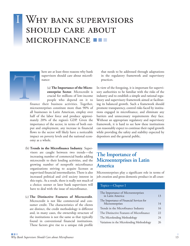## WHY BANK SUPERVISIORS **SHOULD CARE ABOUT** MICROFINANCE



here are at least three reasons why bank supervisors should care about microfinance:

> (a) **The Importance of the Microenterprise Sector**. Microcredit is crucial for millions of low-income people who depend on it to

finance their business activities. Together, microenterprises constitute more than 90% of all businesses in Latin American, employ over half of the labor force and produce approximately 20% of the region's GDP. Given the importance of the sector, in terms of both output and employment, any increase in financial flows to the sector will likely have a noticeable impact on poverty levels and the national economy as a whole.

- (b) **Trends in the Microfinance Industry**. Supervisors are caught between two trends—the increasing number of commercial banks adding microcredit to their lending activities, and the growing number of nonprofit microfinance organizations striving to acquire licenses as supervised financial intermediaries. There is also increased political and civil society interest in this topic. As a result, there is really not much of a choice; sooner or later bank supervisors will have to deal with the issue of microfinance.
- (c) **The Distinctive Features of Microcredit**. Microcredit is not like commercial and consumer credit. The characteristics of the clients are distinct, the credit methodology is different and, in many cases, the ownership structure of the institutions is not the same as that typically found in conventional financial institutions. These factors give rise to a unique risk profile

that needs to be addressed through adaptations in the regulatory framework and supervisory practices.

In view of the foregoing, it is important for supervisory authorities to be familiar with the risks of the industry and to establish a simple and rational regulatory and supervisory framework aimed at facilitating its balanced growth. Such a framework should promote transparency, control risks faced by institutions engaged in microfinance, and eliminate any barriers and unnecessary requirements they face. Without an appropriate regulatory and supervisory framework, it is hard to see how these institutions can reasonably expect to continue their rapid growth while providing the safety and stability expected by depositors and the general public.

## **The Importance of Microenterprises in Latin America**

Microenterprises play a significant role in terms of job creation and gross domestic product in all coun-

#### Topics—Chapter I

| The Importance of Microenterprises<br>in Latin America       | 13 |
|--------------------------------------------------------------|----|
| The Importance of Financial Services for<br>Microenterprises | 14 |
| Trends in the Microfinance Industry                          | 16 |
| The Distinctive Features of Microfinance                     | 22 |
| The Microlending Methodology                                 | 24 |
| Variations in the Microlending Methodology                   | 26 |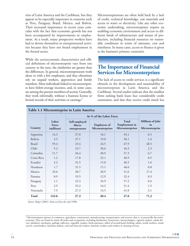tries of Latin America and the Caribbean, but they appear to be especially important in countries such as Peru, Paraguay, Brazil, Mexico, and Bolivia. Their increased importance in recent years coincides with the fact that economic growth has not been accompanied by improvements in employment. As a result, many prospective workers have had to devote themselves to entrepreneurial activities because they have not found employment in the formal sector.

While the socioeconomic characteristics and official definitions of microenterprise vary from one country to the next, the similarities are greater than the differences. In general, microentrepreneurs work alone or with a few employees, and they oftentimes rely on unpaid workers, apprentices and family members. Most individuals linked to microenterprises have below-average incomes, and, in some cases, are among the poorest members of society. Generally, they work informally, without a business license or formal records of their activities or earnings.<sup>1</sup>

Microentrepreneurs are often held back by a lack of credit, technical knowledge, raw materials and access to water or electricity. Like any other economic undertaking, microenterprises require an enabling economic environment and access to different kinds of infrastructure and means of production, including financial resources on reasonable conditions in terms of amounts, cost and timeliness. In many cases, access to finance is given as the business's primary constraint.

### **The Importance of Financial Services for Microenterprises**

The lack of access to credit services is a significant obstacle to the development and sustainability of microenterprises in Latin America and the Caribbean. Several studies indicate that the smallest firms seeking bank loans face considerable credit constraints, and that they receive credit much less

|                |                              | As % of the Labor Force                  |                                         |                                                          |                                                  |
|----------------|------------------------------|------------------------------------------|-----------------------------------------|----------------------------------------------------------|--------------------------------------------------|
| <b>Country</b> | Labor<br>Force<br>(millions) | Self-employed<br>Micro-<br>entrepreneurs | <b>Employees of</b><br>Microenterprises | <b>Total</b><br><b>Employment</b> in<br>Microenterprises | <b>Millions of Jobs</b><br>in<br>Microenterprise |
| Argentina      | 14.3                         | 27.0                                     | 18.1                                    | 45.1                                                     | 6.5                                              |
| Bolivia        | 2.5                          | 37.1                                     | 19.0                                    | 56.1                                                     | 1.4                                              |
| <b>Brazil</b>  | 59.4                         | 23.4                                     | 24.5                                    | 47.9                                                     | 28.5                                             |
| Chile          | 5.2                          | 23.7                                     | 20.6                                    | 44.3                                                     | 2.3                                              |
| Colombia       | 11.7                         | 26.4                                     | 30.9                                    | 57.3                                                     | 6.7                                              |
| Costa Rica     | 1.2                          | 17.8                                     | 23.1                                    | 40.9                                                     | 0.5                                              |
| Ecuador        | 3.3                          | 31.5                                     | 15.0                                    | 46.5                                                     | 1.6                                              |
| Honduras       | 1.7                          | 31.5                                     | 15.1                                    | 46.6                                                     | 0.8                                              |
| Mexico         | 33.6                         | 30.7                                     | 20.9                                    | 51.6                                                     | 17.4                                             |
| Panama         | 0.9                          | 19.5                                     | 12.9                                    | 32.4                                                     | 0.3                                              |
| Paraguay       | 1.1                          | 22.3                                     | 34.9                                    | 57.2                                                     | 0.6                                              |
| Peru           | 2.9                          | 35.2                                     | 16.2                                    | 51.4                                                     | 1.5                                              |
| Venezuela      | 7.5                          | 27.3                                     | 14.5                                    | 41.8                                                     | 3.1                                              |
| Total          | 145.6                        | 27.2                                     | 20.4                                    | 47.6                                                     | 71.2                                             |

*Source: Berger (2001). Data are from the mid 1990s.*

**CONTRACTOR** 

<sup>&</sup>lt;sup>1</sup> Microenterprises operate in commerce, agriculture, construction, manufacturing, transportation, and services, that is, in practically the entire economy. They are found in nearly all trades and occupations, including hairdressers, beauticians, moneychangers, cigarette makers, calash drivers, plumbers, mechanics, garbage collectors, vegetable vendors, kiosk operators, sellers of second-hand clothing, tailors, textile workers, woodcarvers, watchmakers, furniture-makers, coal and charcoal vendors, domestic workers and workers in cleaning services.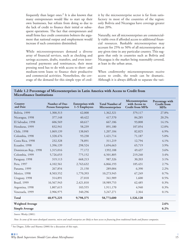frequently than larger ones. $2$  It is also known that many entrepreneurs would like to start up their own businesses, but refrain from doing so due to the lack of credit to finance their initial or subsequent operations. The fact that entrepreneurs and small firms face credit constraints bolsters the argument that national output and employment would increase if such constraints diminished.

While microentrepreneurs demand a diverse array of financial services, such as checking and savings accounts, drafts, transfers, and even international payments and remittances, their most pressing need has to do with access to short- and medium-term loans to finance their productive and commercial activities. Nonetheless, the coverage of the demand for this simple type of credit by the microenterprise sector is far from satisfactory in most of the countries of the region: only Bolivia and Nicaragua have coverage greater than 20%.

Naturally, not all microenterprises are commercially viable even if afforded access to additional financial resources. Bankable microenterprises may account for 25% to 50% of all microenterprises at any given time in any particular country. This suggests that only in countries such as Bolivia and Nicaragua is the market being reasonably covered, at least in the urban areas.

When creditworthy microentrepreneurs receive access to credit, the result can be dramatic. Although it is always difficult to separate the vari-

| Table 1.2 Percentage of Microenterprises in Latin America with Access to Credit from |  |  |
|--------------------------------------------------------------------------------------|--|--|
| <b>Microfinance Institutions</b>                                                     |  |  |

| Country<br>and Date     | Number of One-<br><b>Person Enterprises</b> | <b>Enterprises with</b><br>1-5 Employees | <b>Total Number of</b><br>Microenterprises | Microenterprises<br>with Access to<br><b>Credit from MFIs</b> | Percentage with<br><b>Credit from</b><br><b>MFIs</b> |
|-------------------------|---------------------------------------------|------------------------------------------|--------------------------------------------|---------------------------------------------------------------|------------------------------------------------------|
| Bolivia, 1999           | 1,300,313                                   | 62,008                                   | 1,362,321                                  | 379,117                                                       | 27.8%                                                |
| Nicaragua, 1998         | 377,148                                     | 40,422                                   | 417,570                                    | 84,285                                                        | 20.2%                                                |
| El Salvador, 1998       | 606,569                                     | 60,617                                   | 667,186                                    | 93,808                                                        | 14.1%                                                |
| Honduras, 1999          | 832,941                                     | 58,239                                   | 891,180                                    | 107,054                                                       | 12.0%                                                |
| Chile, 1998             | 1,069,139                                   | 138,045                                  | 1,207,184                                  | 82,825                                                        | 6.9%                                                 |
| Colombia, 1998          | 1,328,476                                   | 93,238                                   | 1,421,714                                  | 71,187                                                        | 5.0%                                                 |
| Costa Rica, 1998        | 232,328                                     | 78,891                                   | 311,219                                    | 12,794                                                        | 4.1%                                                 |
| Ecuador, 1998           | 1,396,139                                   | 298,524                                  | 1,694,663                                  | 65,719                                                        | 3.9%                                                 |
| Dominican Rep., 1998    | 1,315,016                                   | 77,172                                   | 1392,188                                   | 49,437                                                        | 3.6%                                                 |
| Colombia, 1999          | 5,726,653                                   | 775,152                                  | 6,501,805                                  | 219,240                                                       | 3.4%                                                 |
| Paraguay, 1998          | 319,113                                     | 668,213                                  | 987,326                                    | 30,203                                                        | 3.1%                                                 |
| Peru, 1997              | 4,102,561                                   | 2,763,632                                | 6,866,193                                  | 185,431                                                       | 2.7%                                                 |
| Panama, 1999            | 267,854                                     | 21,150                                   | 289,004                                    | 6,390                                                         | 2.2%                                                 |
| Mexico, 1998            | 8,503,552                                   | 1,770,393                                | 10,273,945                                 | 67,249                                                        | 0.7%                                                 |
| Uruguay, 1998           | 314,891                                     | 27,018                                   | 341,909                                    | 1,600                                                         | 0.5%                                                 |
| Brazil, 1999            | 16,567,943                                  | 2,421,810                                | 18,989,753                                 | 62,485                                                        | 0.3%                                                 |
| Argentina, 1998         | 1,807,615                                   | 103,555                                  | 1,911,170                                  | 4,940                                                         | 0.3%                                                 |
| Venezuela, 1999         | 2,906,975                                   | 340,296                                  | 3,247,271                                  | 2,364                                                         | 0.1%                                                 |
| <b>Total</b>            | 48,975,225                                  | 9,798,375                                | 58,773,600                                 | 1,526,128                                                     |                                                      |
| <b>Weighted Average</b> |                                             |                                          |                                            |                                                               | 2.6%                                                 |
| <b>Simple Average</b>   |                                             |                                          |                                            |                                                               | 6.2%                                                 |

*Source: Westley (2001).*

*Note: In some of the more developed countries, micro and small enterprises are likely to have access to financing from traditional banks and finance companies.*

<sup>2</sup> See Diagne, Zeller and Sharma (2000) for a discussion of this topic.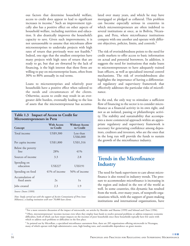ous factors that determine household welfare, access to credit does appear to lead to significant increases in income. $3$  Such an improvement typically also has a positive effect on other aspects of household welfare, including nutrition and education. It also drastically improves the household's capacity to save. Given such improvements, it is not unreasonable to assume that microloans allow microenterprises to undertake projects with high rates of return that previously were not feasible.<sup>4</sup> Indeed, one sign that the smallest enterprises have many projects with high rates of return that are ready to go, but that are thwarted by the lack of financing, is the high interest that these firms are willing to pay on microenterprise loans, often from 30% to 80% annually in real terms.

Loans to microenterprises and relatively poor households have a positive effect when tailored to the needs and circumstances of the clients. Otherwise, access to credit may result in an evergreater debt burden, eventually leading to the loss of assets that the microentrepreneur has accumu-

| Table 1.3 Impact of Access to Credit for |
|------------------------------------------|
| <b>Microentrepreneurs in Peru</b>        |

| Concept                         | <b>With Access</b><br>to Credit | <b>Without Access</b><br>to Credit |
|---------------------------------|---------------------------------|------------------------------------|
| Total income                    | US\$9,300                       | Less than<br>US\$6,000             |
| Per capita income               | US\$1,800                       | US\$1,316                          |
| Below the poverty<br>line       | 28%                             | 41%                                |
| Sources of income               | 3.3                             | 2.8                                |
| Spending on<br>education        | <b>US\$227</b>                  | US\$191                            |
| Spending on food                | $41\%$ of income                | 56% of income                      |
| Accumulation of<br>fixed assets | 2x                              | 1x                                 |
| Jobs created                    | 2.3                             | 1.9                                |

*Source: Dunn (1999).* 

*Note: Study carried out with the support of Acción Comunitaria of Peru (now Mibanco), a leading institution with over 70,000 loan clients.*

lated over many years, and which he may have mortgaged or pledged as collateral. This problem can become especially serious in countries in which microentrepreneurs are often indebted to several institutions at once, as in Bolivia, Nicaragua, and Peru, where microfinance institutions compete with one another and operate with different objectives, policies, limits, and controls.<sup>5</sup>

The risk of overindebtedness points to the need for credit markets to offer access to basic information on actual and potential borrowers. In addition, it suggests the need for institutions that make loans to microentrepreneurs to have adequately trained loan officers, as well as specialized internal control mechanisms. The risk of overindebtedness also highlights the importance of having a differentiated regulatory and supervisory framework that effectively addresses the particular risks of microfinance.

In the end, the only way to stimulate a sufficient flow of financing to the sector is to consider microfinance as a financial activity in its own right, and not as an isolated, passing or philanthropic activity. The stability and sustainability that accompanies a more commercial approach within an appropriate regulatory and supervisory framework is necessary for generating confidence among depositors, creditors and investors, who are the ones that in the long run will provide the funds to sustain the growth of the microfinance industry.

### **Trends in the Microfinance Industry**

The need for bank supervisors to care about microfinance is also rooted in industry trends. The pressure to accommodate microfinance is increasing in the region and indeed in the rest of the world as well. In some countries, this dynamic has resulted from the work, over many years, of nonprofit organizations which, with the support of grant-making institutions and international organizations, have

 $3$  For a more extensive discussion of the impact of microcredit, see articles by Shreider and Sharma (1999) and Sebstad and Chen (1996).

<sup>4</sup> Often, microentrepreneurs' incomes increase even when they employ loan funds to resolve personal problems or address temporary economic difficulties, both of which can have major impacts on the incomes of poor households since these households typically have few assets with which to address such problems or difficulties in the first place.

 $5$  As pointed out by MicroRate, a specialized microfinance assessment firm, there are 285 organizations offering microcredit in Nicaragua, many of which operate with high administrative costs, high lending rates, and considerable dependence on grant monies.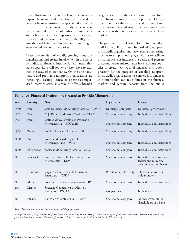made efforts to develop technologies for microenterprise financing and have later participated in creating financial institutions specialized in microfinance. In other countries, the dynamic reflects the commercial initiatives of traditional intermediaries who, pushed by competition in established markets and attracted by the profitability and growth possible in microfinance, are attempting to enter the microenterprise market.

These two trends—of rapidly growing nonprofit organizations and greater involvement in the sector by traditional financial intermediaries—mean that bank supervisors will sooner or later have to deal with the issue of microfinance. On the one hand, mature and profitable nonprofit organizations are increasingly seeking licenses to operate as supervised intermediaries, as a way to offer a broader

range of services to their clients and to raise funds from financial markets and depositors. On the other hand, established financial intermediaries often encounter regulatory difficulties and inconveniences as they try to serve this segment of the market.

The pressure for regulatory reform often manifests itself in the political arena. In particular, nonprofit microcredit organizations have taken an increasingly active role in promoting legal reforms to facilitate microfinance. For instance, the desire and pressure to accommodate microfinance have led some countries to create new types of financial institutions, precisely for the purpose of enabling nonprofit microcredit organizations to convert into financial institutions that can raise funds in the financial markets and capture deposits from the public.

| Year | Country        | Name                                                     | <b>Legal Form</b>        | <b>Owners</b>                                                                 |
|------|----------------|----------------------------------------------------------|--------------------------|-------------------------------------------------------------------------------|
| 1980 | Peru           | Caja Municipal de Ahorro y Crédito-CMAC                  | Municipal enterprise     | Municipal governments                                                         |
| 1992 | Peru           | Caja Rural de Ahorro y Crédito-CRAC                      | Shareholder company      | Individuals and institutions                                                  |
| 1994 | Peru           | Entidad de Desarrollo a la Pequeña y                     |                          |                                                                               |
|      |                | Microempresa-EDPYME                                      | Shareholder company      | Individuals and institutions                                                  |
| 1995 | <b>Bolivia</b> | Fondo Financiero Privado—FFP                             | Shareholder company      | Individuals and institutions                                                  |
| 2000 | <b>Brazil</b>  | Sociedad de Crédito para el                              |                          |                                                                               |
|      |                | Microempresario-SCM                                      | Shareholder company      | Individuals and institutions                                                  |
| 2000 | El Salvador    | Sociedad de Ahorro y Crédito-SAC                         | Shareholder company      | Individuals and institutions                                                  |
| 2001 | Venezuela      | Banco de Desarrollo Especializado en<br>Microcrédito-BEM | Shareholder company      | Individuals, institutions,<br>federal and municipal<br>governments, and banks |
| 2001 | Honduras       | Organización Privada de Desarrollo<br>Financiero-OPDF    | Private nonprofit entity | There are no owners,<br>only founders                                         |
| 2001 | Mexico         | Sociedad Financiera Popular-SOFIPO                       | Shareholder company      | Individuals and institutions                                                  |
| 2001 | Mexico         | Sociedad Cooperativa de Ahorro y<br>Préstamo-SOCAP       | Cooperative              | Individuals                                                                   |
| 2001 | Panama         | Banco de Microfinanzas — BMF <sup>(a)</sup>              | Shareholder company      | All those who can be<br>shareholders of a bank                                |

#### **Table 1.4 Financial Institutions Created to Provide Microcredit**

*Source: Prepared by authors based on case reports and the project survey.*

*Note: (a) At least 75% of the portfolio of these banks must be made up of loans each of which is less than 3% of the BMF's net worth. The remaining 25% may be graned in loans subject to the credit limits of commercial banks (each loan smaller than 50% of the BMF's net worth).*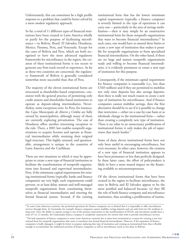Unfortunately, this can sometimes be a high profile response to a problem that could be better solved by a more modest regulatory approach.

So far, a total of 11 different types of financial institutions have been created in Latin America wholly or partly for the purpose of facilitating microfinance—in Bolivia, Brazil, El Salvador, Honduras, Mexico, Panama, Peru, and Venezuela. Except for the cases of Bolivia and Peru, which are both recognized to have the most advanced regulatory frameworks for microfinance in the region, the creation of these institutional forms is too recent to generate any firm track record or experience. As far as these two countries are concerned, the regulatory framework of Bolivia is generally considered somewhat more successful than that of Peru.

The majority of the eleven institutional forms are structured as shareholder-based corporations, consistent with the general practice of permitting only credit unions and shareholder-based institutions to operate as deposit-taking intermediaries. Nevertheless, some exceptions exist. In Peru, for instance, the *Cajas Municipales de Ahorro y Crédito* are fully owned by municipalities, although many of them are currently exploring privatization. The case of Honduras offers another interesting exception to the rule. There, a 2001 law enables nonprofit organizations to acquire licenses and operate as financial intermediaries while retaining their original legal structure. This highly unusual, and questionable, arrangement is unique in the countries of Latin America and the Caribbean.

There are two situations in which it may be appropriate to create a new type of financial institution to facilitate the transformation of nonprofit organizations into licensed and supervised intermediaries. First, if the minimum capital requirements for existing institutional forms (typically, banks and finance companies) are very high, such requirements could prevent, or at least delay, mature and well-managed nonprofit organizations from constituting themselves as financial intermediaries and entering the formal financial system. Second, if the existing

institutional form that has the lowest minimum capital requirement (typically, a finance company) is severely limited in the type of operations it can carry out— particularly in the area of savings mobilization— then it may simply be an unattractive institutional form for those nonprofit organizations that want to become financial intermediaries.<sup>6</sup> In such cases, one would have to amend these limits or create a new type of institution that makes it possible for nonprofit organizations to form specialized financial intermediaries. On the other hand, if there are no large and mature nonprofit organizations ready and willing to become financial intermediaries, it is evidently premature to create a new type of institution for this purpose.

Consequently, if the minimum capital requirement for finance companies is reasonable (i.e., less than US\$3 million) and if they are permitted to mobilize not only time deposits but also savings deposits, then there is really not much reason to create a new type of institution for microfinance. And if finance companies cannot mobilize savings, then the first alternative should be to see if it is possible to change that restriction—either on a case-by-case basis or as wholesale change to the institutional form—rather than creating a completely new type of institution. There is no value in an unnecessary proliferation of institutional forms; it only makes the job of supervisors that much harder.7

Some of these eleven institutional forms have not only been useful in encouraging microfinance, but even necessary. In other cases, however, the creation of a new type of financial institution appears to have been premature or less than perfectly designed. In these latter cases, the effort of policymakers is likely to have a more muted impact on the financing available to microentrepreneurs.

Of the eleven institutional forms that have been created in the region to facilitate microfinance, the ones in Bolivia and El Salvador appear to be the most justified and balanced because: (a) they fill the role of both finance company and microfinance institution, thus avoiding a proliferation of institu-

 $<sup>6</sup>$  In some Latin American countries, the permitted operations for finance companies are so limited that it is impossible to offer microfinance</sup> services through them. In Guatemala, for example, finance companies cannot mobilize savings deposits and can only lend over the medium to long term. Since the ability to capture savings is one of the primary motivations in the transformation of NGOs, and microloans usually have a term of 3 to 12 months, the Guatemalan finance company is completely unattractive for entities that wish to provide microfinance services.

 $^7$  The bad reputation of finance companies in some Latin American countries has at times been mentioned as a reason for creating a new insttutional form for nonprofit organizations that want to transform into formal financial intermediaries. However, if the reputation of finance companies is badly damaged, it might be better to propose replacing that type of institution and creating an institutional form that is flexible enough to accommodate the traditional activities of finance companies as well as microfinance (such as was done in Bolivia).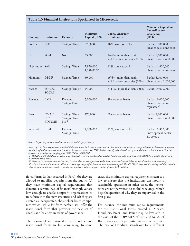| Country         | Institution                                 | <b>Deposits</b>                                     | Minimum<br>Capital (US\$)      | <b>Capital Adequacy</b><br>Requirement                   | Minimum Capital for<br><b>Banks/Finance</b><br>Companies<br>(US\$)  |
|-----------------|---------------------------------------------|-----------------------------------------------------|--------------------------------|----------------------------------------------------------|---------------------------------------------------------------------|
| Bolivia         | <b>FFP</b>                                  | Savings, Time                                       | 820,000                        | 10%, same as banks                                       | Banks: 7,500,000<br>Finance cos.: none exist                        |
| <b>Brazil</b>   | <b>SCM</b>                                  | $\rm No$                                            | 53,000                         | 16.6%, more than banks<br>and finance companies $(11\%)$ | Banks: 6,500,000<br>Finance cos.: 2,600,000                         |
| El Salvador SAC |                                             | Savings, Time                                       | 2,850,000<br>$1,140,000^{(a)}$ | 12%, same as banks                                       | Banks: 11,400,000<br>Finance cos.: none exist                       |
| Honduras        | <b>OPDF</b>                                 | Savings, Time                                       | 60,000                         | 16.6%, more than banks<br>and finance companies (10%)    | Banks: 6,000,000<br>Finance cos.: 1,200,000                         |
| Mexico          | <b>SOFIPO</b><br><b>SOCAP</b>               | Savings, Time <sup>(b)</sup>                        | 45,000                         | 8-11%, more than banks (8%) Banks: 19,000,000            |                                                                     |
| Panama          | <b>BMF</b>                                  | Demand,<br>Savings, Time                            | 3,000,000                      | 8%, same as banks                                        | Banks: 10,000,000<br>Finance cos.: none<br>regulated <sup>(c)</sup> |
| Peru            | <b>CMAC</b><br><b>CRAC</b><br><b>EDPYME</b> | Savings, Time<br>Savings, Time<br>No <sup>(d)</sup> | 270,000                        | 9%, same as banks                                        | Banks: 5,200,000<br>Finance cos.: 2,600,000                         |
| Venezuela       | <b>BEM</b>                                  | Demand,<br>Savings, Time                            | 2,370,000                      | 12%, same as banks                                       | Banks: 19,800,000<br>Development banks:<br>5,700,000                |

#### **Table 1.5 Financial Institutions Specialized in Microcredit**

*Source: Prepared by authors based on case reports and the project survey.* 

*Notes: (a) This lesser requirement is applied if the institution lends only to micro and small enterprises and mobilizes savings only from its borrowers. A microenterprise is defined as a business with less than 10 employees or less than US\$5,700 in monthly sales. A small enterprise is defined as a business with 10 to 50 employees or monthly sales ranging from US\$5,700 to US\$57,000.*

*(b) SOFIPO and SOCAP are subject to a tiered regulatory regime based on their capital. Institutions with more than US\$7,500,000 in capital operate in a manner similar to banks.*

*(c) There are finance companies in Panama; however, they are not supervised by the bank superintendency and they are not allowed to mobilize savings. (d) All specialized institutions are subject to a tiered regulatory regime based on their minimum capital. The EDPYMEs may mobilize savings and time deposits when they are classified as module 1, which, among other conditions, requires capital of about US\$1 million.* 

tional forms (as has occurred in Peru); (b) they are allowed to mobilize deposits from the public; (c) they have minimum capital requirements that demand a certain level of financial strength yet are low enough to enable nonprofit organizations to transform into the new structure; and (d) they are created as incorporated, shareholder-based companies which, while far from perfect, still offer the institutional form that provides the best set of checks and balances in terms of governance.

The designs of and rationales for the other nine institutional forms are less convincing. In some

cases, the minimum capital requirements seem too low to ensure that the institutions can mount a sustainable operation; in other cases, the institutions are not permitted to mobilize savings, which begs the question of why they are supervised in the first place.

For instance, the minimum capital requirements for the institutional forms created in Mexico, Honduras, Brazil, and Peru are quite low, and in the cases of the EDPYMES of Peru and SCMs of Brazil, they are not permitted to capture deposits. The case of Honduras stands out for a different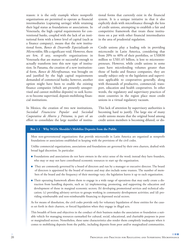reason: it is the only example where nonprofit organizations are permitted to operate as financial intermediaries (capturing savings) while retaining their legal status as foundations or associations. In Venezuela, the high capital requirements for conventional banks, coupled with the lack of an institutional form with a lower level of capital (such as a finance company), means that the new institutional form, *Banco de Desarrollo Especializado en Microcrédito,* fills a significant void. However, there are few, if any, nonprofit organizations in Venezuela that are mature or successful enough to actually transform into this new type of institution. In Panama, the creation of a new institutional form, *Banco de Microfinanzas,* was brought on and justified by the high capital requirements demanded of commercial banks; however, another option might have been to enable the existing finance companies (which are presently unsupervised and cannot mobilize deposits) to seek licenses to become supervised, deposit-mobilizing financial institutions.

In Mexico, the creation of two new institutions, *Sociedad Financiera Popular* and *Sociedad Cooperativa de Ahorro y Préstamo,* is part of an effort to consolidate the large number of institu-

tional forms that currently exist in the financial system. It is a unique initiative in that it also explicitly deals with microfinance through the lens of credit unions, attempting to establish a fair and competitive framework that treats these institutions on a par with other financial intermediaries in the area of prudential regulation.

Credit unions play a leading role in providing microcredit in Latin America, considering that from 20% to 40% of their portfolios, or US\$830 million to US\$1.65 billion, is lent to microentrepreneurs. However, while credit unions in some cases have microlending volumes greater than those of banks and finance companies, they are usually subject only to the legislation and supervision applicable to cooperatives generally, along with thousands of productive, commercial, transport, education and health cooperatives. In other words, the regulatory and supervisory practices of most countries in the region place most credit unions in a virtual regulatory vacuum.

This lack of attention by supervisory authorities is becoming hard to justify. The large size of many credit unions means that the original bond among credit union members is becoming diluted, or dis-

#### **Box 1.1 Why NGOs Shouldn't Mobilize Deposits from the Public**

Most non-governmental organizations that provide microcredit in Latin America are organized as nonprofit foundations or associations established in keeping with the provisions of the civil codes.

Unlike commercial organizations, associations and foundations are governed by their own charters, drafted with broad legal discretion. In particular:

- **●** Foundations and associations do not have owners in the strict sense of the word; instead they have founders, who may or may not have contributed economic resources to start up the organization.
- They are commonly governed by a board of directors and run by a manager or executive director. The board of directors is appointed by the board of trustees and may also include some trustees. The number of members of the board and the frequency of their meetings vary; the legislation leaves it up to each organization.
- Their operating framework allows them to engage in a wide range of operations that may easily create a distraction from handling deposits, such as: (a) implementing, promoting, and supporting the education and development of those in marginal economic sectors; (b) developing promotional services and technical education; (c) providing advisory services to groups working in community development activities; and (d) providing reimbursable and non-reimbursable financing to depressed social sectors.

As for means of dissolution, the civil codes provide only for voluntary liquidation of these entities for the causes set forth in their charters, or forced liquidation when they engage in illegal acts.

This breadth of form and objectives in the conduct of their business makes the association or foundation a suitable vehicle for managing resources earmarked for cultural, social, educational, and charitable purposes in poor or marginalized sectors. Nonetheless, these same characteristics also render them completely inadequate when it comes to mobilizing deposits from the public, including deposits from poor and/or marginalized communities.

**CONTRACTOR**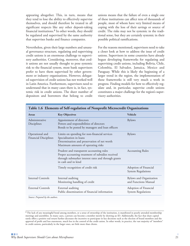appearing altogether. This, in turn, means that they tend to lose the ability to effectively supervise themselves, and should therefore be treated in all significant respects like any other deposit-taking financial institutions.8 In other words, they should be regulated and supervised by the same authority that supervises banks and finance companies.

Nevertheless, given their large numbers and unusual governance structure, regulating and supervising credit unions is an enormous challenge to supervisory authorities. Considering, moreover, that credit unions are not usually thought to pose systemic risk to the financial system, most bank supervisors prefer to have them supervised by other government or industry organizations. However, delegated supervision of credit unions has not worked well in Latin America. Furthermore, supervisors need to understand that in many cases there is, in fact, systemic risk in credit unions. The sheer number of depositors and borrowers that belong to credit unions means that the failure of even a single one of these institutions can affect tens of thousands of people, most of whom have very limited means of coping with the loss of their savings or source of credit. The risks may not be systemic in the traditional sense, but they are certainly systemic in their possible political ramifications.

For the reasons mentioned, supervisors need to take a closer look at how to address the issue of credit unions. Supervisors in some countries have already begun developing frameworks for regulating and supervising credit unions, including Bolivia, Chile, Colombia, El Salvador, Jamaica, Mexico and Paraguay. While this is likely the beginning of a larger trend in the region, the implementation of these frameworks is still very much a work in progress. Finding models for how to effectively regulate and, in particular, supervise credit unions constitutes a major challenge for the region's supervisory authorities.

| <b>Areas</b>                             | <b>Key Objectives</b>                                                                                                                                                       | Vehicle                                                |
|------------------------------------------|-----------------------------------------------------------------------------------------------------------------------------------------------------------------------------|--------------------------------------------------------|
| Administrative<br>Disciplines            | Appointment of directors<br>Powers and responsibilities of directors<br>Bonds to be posted by managers and loan officers                                                    | <b>Bylaws</b>                                          |
| Operational and<br>Financial Disciplines | Limits on spending for non-financial services<br>Specialization in loans<br>Determination and preservation of net worth<br>Maximum amounts of operating risks               | <b>Bylaws</b>                                          |
|                                          | Prudent and transparent accounting rules<br>Proper accounting treatment of subsidies received<br>through submarket interest rates and through grants<br>in cash and in kind | <b>Accounting Rules</b>                                |
|                                          | Timely recognition of credit risk                                                                                                                                           | Adoption of Financial<br><b>System Regulations</b>     |
| <b>Internal Controls</b>                 | Internal auditing<br>Monitoring handling of credit                                                                                                                          | <b>Bylaws and Organization</b><br>and Functions Manual |
| <b>External Controls</b>                 | External auditing<br>Public dissemination of financial information                                                                                                          | Adoption of Financial<br><b>System Regulations</b>     |

|  | Table 1.6 Elements of Self-regulation of Nonprofit Microcredit Organizations |  |  |
|--|------------------------------------------------------------------------------|--|--|
|  |                                                                              |  |  |

<sup>8</sup> The lack of any meaningful bond among members, or a sense of ownership of the institution, is manifested in poorly attended membership meetings and assemblies. In many cases, a person can become a member merely by showing an ID. Additionally, the fact that share capital rarely offers a positive real return further decreases the incentive to participate in key decisions such as the election of board members and the approval of profit and loss statements, much less in the control of the credit union. In other words, in practice, the vast majority of "members" in credit unions, particularly in the larger ones, are little more than clients.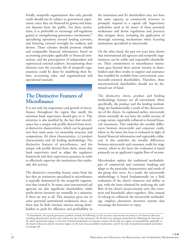Finally, nonprofit organizations that only provide credit should not be subject to government supervision, since they are financed by grants and loans, not deposits from the public. For these institutions, it is preferable to encourage self-regulation geared to strengthening governance mechanisms,<sup>9</sup> specializing operations around lending activities, and fostering external oversight by creditors and donors. These schemes should promote reliable and comparable financial information, based on accounting principles applicable to financial institutions, and the participation of independent and experienced external auditors. Incorporating these elements into the everyday life of nonprofit organizations could be done by modifying their bylaws, accounting rules, and organizational and operational manuals.

### **The Distinctive Features of Microfinance**

It is not only the importance and growth of microfinance throughout the region that justify the attention bank supervisors should give to it. This attention is also justified by the fact that microfinance has a unique risk profile derived from several distinctive characteristics, which can be grouped into four main areas: (a) ownership structure and composition, (b) client characteristics, (c) product characteristics and (d) lending methodology. The distinctive features of microfinance, and the unique risk profile derived from them, mean that bank supervisors need to adapt the regulatory framework and their supervisory practices in order to effectively supervise the institutions that undertake this activity.

The distinctive ownership feature arises from the fact that an institution specialized in microfinance is typically dominated by the nonprofit organization that created it. In many cases international aid agencies are also significant shareholders, while profit-driven investors are normally in a minority, if there are any at all. This situation gives rise to some potential institutional weaknesses since: (a) there may be little intrinsic interest among shareholders to push for efficiency and profitability in the institution and (b) shareholders may not have the same capacity as commercial investors to promptly respond to a capital call. Supervisory authorities need to be aware of these potential weaknesses and devise regulations and practices that mitigate them, including the application of thorough screening mechanisms when licensing institutions specialized in microcredit.

On the other hand, the past ten years have shown that international aid agencies and nonprofit organizations can be stable and responsible shareholders. Their commitment to microfinance institutions goes beyond their narrow interest as shareholders and often results in support and assistance that wouldn't be available from conventional, commercially-oriented shareholders. Therefore, these unconventional shareholders should not be dismissed out of hand.

The distinctive client, product and lending methodology features are all interrelated. More specifically, the product and the lending methodology are fundamentally a result of the characteristics of the clients. As explained earlier, microcredit clients normally do not have the stable income of a wage earner, registrable collateral or formal financial statements. This underlies the notable differences between microcredit and corporate credit, where in the latter the loan is evaluated in light of formal financial information and registrable collateral. It also underlies the notable differences between microcredit and consumer credit for wage earners, where in the latter the evaluation is based primarily on an applicant's regular flow of income.

Microlenders replace the traditional methodologies of commercial and consumer banking and adapt to the particular characteristics and needs of the group they serve. As a result, the microcredit methodology is based fundamentally on a field evaluation of the client's character and ability to pay, with the latter obtained by analyzing the cash flow of the client's socioeconomic unit (the enterprise and household, taken together). Also, instead of relying on collateral, the microcredit methodology employs alternative incentive systems that encourage the borrower to repay.

 $9$  In foundations, the typical governance problems include the following: (a) the excessive concentration of powers in the board of directors, including administrative powers and control over day-to-day operations; (b) the lack of an adequate framework for delimiting the functions of the other institutional organs; (c) the lack of formal mechanisms of corporate control; (d) the lack of a regime of responsibilities applicable to the board of directors and the executive organs; (e) the lack of accountability mechanisms; and (f) the lack of prudential standards and failure to manage risk.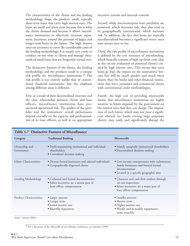The characteristics of the clients and the lending methodology shape the product: small, typically short-term loans that carry high interest rates. The loans are small and short-term because this is what the clients demand and because it allows microfinance institutions to effectively structure repayment incentives around the promise of larger and longer-term loans in the future. The high interest rates are necessary to cover the considerable costs of the lending methodology. It is simply very costly to conduct on-site visits to clients and manage thousands of small loans that are frequently turned over.

The distinctive features of the clients, the lending methodology and the products result in a unique risk profile for microfinance institutions.10 The risk profile is not entirely unlike that of conventional financial institutions, but the emphasis among different areas is different.

First, as a result of their decentralized structure and the close relationship between clients and loan officers, microfinance institutions have pronounced operational risk. The quality of the portfolio and the institutions' overall performance depend crucially on the capacity and professionalism of its loan officers, as well as on appropriate

incentive systems and internal controls.

Second, while microenterprise loan portfolios are atomized, which decreases risk, they also tend to be geographically concentrated, which increases risk. In addition, the fact that loans are typically uncollateralized becomes a significant worry once loan arrears start to rise.

Third, the risk profile of microfinance institutions is defined by the cost structure of microlending, which basically consists of high up-front costs (due to the on-site evaluation of potential clients) covered by high interest rates. This means that once loans go bad, the impact on the institutions' bottom line will be much quicker and much more drastic than for banks and other financial institutions that serve consumer and commercial clients with conventional credit methodologies.

Fourth, the high cost of providing microcredit means that microfinance institutions are highly sensitive to limits imposed by the government on the interest rates that they can charge. The imposition of such limits, which may not pose a significant obstacle for banks serving large corporate clients, may easily and significantly disrupt the

| Category                       | <b>Traditional Banking</b>                                                                                    | Microcredit                                                                                                                                     |
|--------------------------------|---------------------------------------------------------------------------------------------------------------|-------------------------------------------------------------------------------------------------------------------------------------------------|
| Ownership and<br>Governance    | · Profit-maximizing institutional and individual<br>shareholders<br>• Centralized decision-making             | • Mainly nonprofit institutional shareholders<br>· Decentralized decision-making                                                                |
| <b>Client Characteristics</b>  | • Diverse formal businesses and salaried individuals<br>• Geographically dispersed clients                    | · Low-income entrepreneurs with rudimentary<br>family businesses and limited formal<br>documentation<br>· Located in a specific geographic area |
| Lending Methodology            | • Collateral and formal documentation<br>• Salary incentives are a minor part of<br>loan officer compensation | • Character and cash flow analysis through<br>on-site inspections<br>• Salary incentives are a major part of<br>loan officer compensation       |
| <b>Product Characteristics</b> | • Larger amount<br>• Longer term<br>• Lower interest rate<br>• Monthly repayment                              | • Smaller amount<br>• Shorter term<br>· Higher interest rate<br>• Weekly and bi-weekly repayments,<br>some monthly                              |

*Source: Jansson (2001).*

<sup>10</sup> For a discussion of the risk profile of microfinance institutions, see Staschen (1999).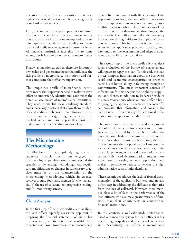operations of microfinance institutions that have higher operational costs as a result of serving smaller or harder-to-reach clients.

Fifth, the implicit or explicit promises of future loans as an incentive for timely repayment means that microfinance institutions are exposed to a certain liquidity risk, since any inability to renew loans could influence repayment by current clients. All financial institutions face this risk to some extent, but it is more pronounced in microfinance institutions.

Finally, as mentioned earlier, there are important ownership and governance issues that influence the risk profile of microfinance institutions and further complicate their effective supervision.

The unique risk profile of microfinance institutions means that supervisors need to make an extra effort to understand, identify and counteract the potential weaknesses of microfinance institutions. They need to establish clear regulatory standards and supervisory practices that allow them to identify and address problems in microfinance institutions at an early stage, long before a crisis is reached. A first and basic step in this effort is to understand the microlending methodology.

## **The Microlending Methodology**

To effectively and appropriately regulate and supervise financial institutions engaged in microlending, supervisors need to understand the specifics of the lending methodology. Any regulatory modifications or changes in supervisory practices must be on the characteristics of the microlending methodology, which, in essence, revolves around four basic themes: (a) client analysis, (b) the use of collateral, (c) progressive lending, and (d) monitoring arrears.

#### **Client Analysis**

In the first step of the microcredit client analysis, the loan officer typically assists the applicant in preparing the financial statements of his or her business in order to determine available and expected cash flow. However, since microenterprises are often intertwined with the economy of the applicant's household, the loan officer has to analyze the applicant's socioeconomic unit (household-business) as a whole. Unlike in the case of traditional credit evaluation methodologies, the microcredit loan officer compiles the necessary information through visits to the applicant's business and home. This information is then used to estimate the applicant's payment capacity, and, later on, to set the loan amount and adapt the payment plan to his or her cash flow.

The second step of the microcredit client analysis is an evaluation of the borrower's character and willingness to repay the loan. To this end, the loan officer compiles information about the borrower's social and economic characteristics in order to assess his or her reliability in following through on commitments. The most important sources of information for this analysis are neighbors, suppliers, and clients, in addition to leaders of trade or business associations, whose opinions offer a basis for gauging the applicant's character. The loan officer processes this information and consults the credit bureau (if there is any) for additional information on the applicant's credit history.

The loan amount is often calculated as a proportion of the difference between assets and liabilities (net worth) declared by the applicant, while the amortization schedule is determined based on cash flow. Once this analysis has been done, the loan officer presents the proposal to the loan committee, which meets at the respective branch or, in the case of larger loans, at the headquarters of the institution. This tiered decentralization ensures more expeditious processing of loan applications and makes it possible to reduce somewhat the high administrative costs of microlending.

These techniques address the lack of formal documentation of the applicant's business, and are also a first step in addressing the difficulties that arise from the lack of collateral. However, these methods place a lot of faith in the performance of the loan officers, who assume a greater variety of functions than their counterparts in conventional financial institutions.

In this context, a well-calibrated, performancebased remuneration system for loan officers is key in ensuring the quality and timelines of credit decisions. Accordingly, loan officers in microfinance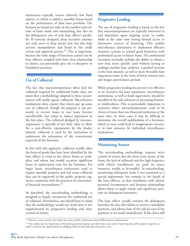institutions typically receive relatively low fixed salaries, to which is added a monthly bonus based on the performance of their loan portfolio. The bonuses are based not only on the number and volume of loans made and outstanding, but also on the delinquency rate of each loan officer's portfolio. If correctly designed, these incentive schemes not only serve to keep arrears low, but also help prevent manipulation and fraud in the credit review and approval process.<sup>11</sup> This is important, because the wide range of functions carried out by loan officers, coupled with their close relationship to clients, can potentially give rise to deceptive or fraudulent practices.

### **Use of Collateral**

The fact that microentrepreneurs often lack the collateral required by traditional banks does not mean that a methodology adapted to these circumstances will totally ignore collateral. Microfinance institutions often require that clients put up some sort of collateral, though the purpose is not primarily to recover losses in case loans become uncollectible, but rather to induce repayment in the first place. The collateral pledged by microentrepreneurs is typically of too little value to allow for a cost-effective repossession by the lender. Instead, collateral is used by the institution to underscore the seriousness of the commitment expected of the borrower.

In line with this approach, collateral usually takes the form of goods that have been identified by the loan officer in visits to the client's home or workplace and whose loss would occasion significant losses or replacement costs for the borrower. For larger loans, microfinance institutions tend to require movable property and real estate collateral that can be registered in the public property registries, consistent with the practices of conventional financial intermediaries.<sup>12</sup>

As described, the microlending methodology is designed to largely circumvent the traditional use of collateral. Nonetheless, one should bear in mind that the methodology would not work were it not supplemented by progressive lending and strict control of arrears.

#### **Progressive Lending**

The use of progressive lending is based on the fact that microentrepreneurs are typically interested in and dependent upon ongoing access to credit, while at the same time having limited access to alternative sources of financing. This enables microfinance institutions to implement effective incentive systems to reward good borrowers with preferential access to future loans. The preferential treatment normally includes the ability to obtain a new loan more quickly (and without having to undergo another loan analysis), a gradual increase in the loan amount, as well as more favorable loan repayment terms in the form of lower interest rates and longer amortization periods.

While progressive lending has proven very effective as an incentive for loan repayment, microfinance institutions, as well as bank supervisors, should be mindful of the risks inherent in increasing borrower indebtedness. This is particularly important in countries where microentrepreneurs tend to be clients of more than one financial institution at the same time. In these cases it may be difficult to determine the overall indebtedness of a borrower, which in turn could lead to inappropriate increases in loan amounts by individual microfinance institutions.

#### **Monitoring Arrears**

The microlending methodology requires strict control of arrears due the short-term nature of the loans, the lack of collateral and the high frequency with which installments are paid (in many instances, weekly or bi-weekly). In microlending, monitoring delinquent loans is not entrusted to a special department, but remains in the hands of the loan officers, as their familiarity with clients' personal circumstances and business relationships allows them to apply timely and significant pressure on delinquent borrowers.

The loan officer usually contacts the delinquent borrower the day after failure to receive a scheduled payment, and advises him of the risk he runs if the payment is not made immediately. If the client still

<sup>&</sup>lt;sup>11</sup> However, some countries have labor laws that prohibit performance-based differentials in remuneration.

<sup>&</sup>lt;sup>12</sup> This underscores the importance of formalizing microenterprises and their main assets and of improving the public property registries, in order to increase the opportunities for pledging collateral and reducing transactions costs.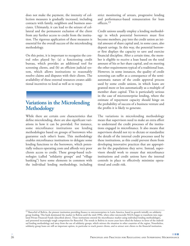does not make the payment, the intensity of collection measures is gradually increased, including contacts with family, neighbors and business associates. Ultimately, it can lead to the seizure of collateral and the permanent exclusion of the client from any further access to credit from the institution. The rigorous application of these measures is essential for the overall success of the microlending methodology.

On this point, it is important to recognize the central roles played by: (a) a functioning credit bureau, which provides an additional tool for screening clients, and (b) an efficient judicial system, which allows institutions to reasonably resolve claims and disputes with their clients. The availability of these external resources creates additional incentives to lend as well as to repay.

## **Variations in the Microlending Methodology**

While there are certain core characteristics that define microlending, there are also significant variations in how it can be provided. For instance, some microfinance institutions use lending methodologies based on groups of borrowers who guarantee each other's loans. This methodology enables microfinance institutions to delegate some lending functions to the borrowers, which potentially reduces operating costs and affords very poor clients access to credit. These group-based technologies (called "solidarity groups" and "village banking") have some elements in common with the individual lending methodology, including

strict monitoring of arrears, progressive lending and performance-based remuneration for loan officers.13

Credit unions usually employ a lending methodology in which potential borrowers must first become members, pay into the credit union an initial amount of share capital and, in some cases, also deposit savings. In this way, the potential borrower first displays the capacity to save and exercise financial discipline. After a certain time, the member is eligible to receive a loan based on the total amount of his or her share capital, and on meeting the other requirements typical of a traditional loan. However, in some instances, the quality of credit screening can suffer as a consequence of the semiautomatic nature of the credit approval process used by some credit unions, in which loans are granted more or less automatically as a multiple of member share capital. This is particularly serious in the case of microenterprise lending, where the estimate of repayment capacity should hinge on the probability of success of a business venture and the profits it is likely to generate.

The variations in microlending methodology mean that supervisors need to make an extra effort to understand the credit processes of the institutions engaged in microfinance. It also means that supervisors should not try to dictate or standardize the details of the internal credit processes used by these institutions, as this could prevent them from developing innovative practices that are appropriate for the populations they serve. Instead, supervisors should work to ensure that microfinance institutions and credit unions have the internal controls in place to effectively minimize operational and credit risk.

<sup>&</sup>lt;sup>13</sup> BancoSol of Bolivia, the pioneer institution providing finance to microenterprises in Latin America, based its growth initially on solidarity group lending. This bank dominated the market in Bolivia until the mid-1990s, when other microcredit NGOs began to transform into regulated Private Financial Funds (described above). These institutions entered the microfinance market using individual lending methodologies, and presented increasingly tough competition for BancoSol. The trends in Bolivia in recent years have tilted the balance in favor of the individual lending methodology and away from the use of solidarity groups, which mirrors the situation in other countries of the region. Nonetheless, solidarity group loans are still an important option, in particular to reach poorer clients, and to attract new clients to the financial institution.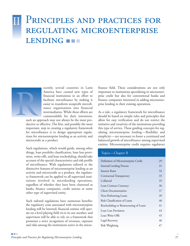## PRINCIPLES AND PRACTICES FOR REGULATING MICROENTERPRISE LENDING **IF** II



ecently, several countries in Latin America have created new types of financial institutions in an effort to facilitate microfinance by making it easier to transform nonprofit microfinance organizations into financial intermediaries. While these efforts are commendable for their intentions,

such an approach may not always be the most productive or effective. The first, and possibly the most important, step in creating a regulatory framework for microfinance is to design appropriate regulations for microenterprise lending as an activity and microcredit as a product*.*

Such regulations, which would guide, among other things, loan portfolio classification, loan loss provisions, write-offs, and loan rescheduling, should take account of the special characteristics and risk profile of microfinance. With regulations tailored to the distinctive features of microenterprise lending as an activity and microcredit as a product, the regulatory framework can be applied to all supervised institutions involved in microlending operations, regardless of whether they have been chartered as banks, finance companies, credit unions or some other type of supervised entity.

Such tailored regulations have numerous benefits: the regulatory costs associated with microenterprise lending will be lowered; financial entities will operate on a level playing field vis-à-vis one another; and supervisors will be able to rely on a framework that promotes a strict recognition of revenues, expenses and risks among the institutions active in the microfinance field. These considerations are not only important to institutions specializing in microenterprise credit but also for conventional banks and finance companies interested in adding microenterprise lending to their existing operations.

As a rule, a regulatory framework for microfinance should be based on simple rules and principles that allow for easy verification and do not restrict the initiative and creativity of the institutions providing this type of service. These guiding concepts for regulating microenterprise lending—flexibility and simplicity—are necessary to foster a continued and balanced growth of microfinance among supervised entities. Microenterprise credit requires regulatory

#### Topics—Chapter II

| Definition of Microenterprise Credit   | 29 |
|----------------------------------------|----|
| <b>Internal Lending Process</b>        | 31 |
| Interest Rates                         | 32 |
| Contractual Transparency               | 33 |
| Collateral                             | 35 |
| Loan Contract Currency                 | 36 |
| <b>Client Documentation</b>            | 37 |
| Non-Performing Loans                   | 39 |
| Risk Classification of Loans           | 40 |
| Rescheduling or Restructuring of Loans | 41 |
| Loan Loss Provisions                   | 43 |
| Loan Write-Offs                        | 45 |
| Legal Recovery                         | 46 |
| Risk Weighting                         | 47 |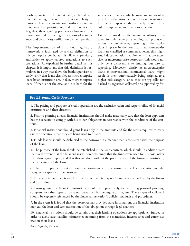flexibility in terms of interest rates, collateral and internal lending processes. It requires simplicity in terms of client documentation, portfolio classification, loan loss provisioning and loan write-offs. Together, these guiding principles allow room for innovation, reduce the regulatory costs of compliance, and permit easy verification by the supervisor.

The implementation of a rational regulatory framework is facilitated by a clear definition of microenterprise credit, as this allows supervisory authorities to apply tailored regulations to such operations. As explained in further detail in this chapter, it is important that this definition is formulated in a way that allows the bank supervisor to easily verify that loans classified as microenterprise loans by an institution are, in fact, microenterprise loans. If that is not the case, and it is hard for the

supervisor to verify which loans are microenterprise loans, the introduction of tailored regulations for microenterprise credit can easily become difficult to implement and costly to supervise.

Failure to provide a differentiated regulatory treatment for microenterprise lending can produce a variety of consequences, depending on the regulations in place in the country. If microenterprise loans are classified as commercial loans, this might entail documentation requirements that are excessive for microenterprise borrowers. This would not only be a disincentive to lending, but also to reporting. Moreover, classifying microenterprise loans as conventional commercial loans might result in them automatically being assigned to a higher risk category since they are typically not backed by registered collateral or supported by for-

#### **Box 2.1 Sound Credit Practices**

1. The pricing and purpose of credit operations are the exclusive realm and responsibility of financial institutions and their directors.

2. Prior to granting a loan, financial institutions should make reasonably sure that the loan applicant has the capacity to comply with his or her obligations in accordance with the conditions of the contract.

3. Financial institutions should grant loans only in the amounts and for the terms required to carry out the operations that they are being used to finance.

4. Funds loaned should be disbursed to the borrower in a manner that is consistent with the purpose of the loan.

5. The purpose of the loan should be established in the loan contract, which should in addition state that, in the event that the financial institution determines that the funds were used for purposes other than those agreed upon, and that this was done without the prior consent of the financial institution, the latter may call the loan.

6. The loan repayment period should be consistent with the nature of the loan operation and the repayment capacity of the borrower.

7. If the loan interest rate is stipulated in the contract, it may not be unilaterally modified by the financial institution.

8. Loans granted by financial institutions should be appropriately secured using personal property, cosigners, or other types of collateral permitted by the regulatory regime. These types of collateral should be expressly referenced by the financial institution's policies, manuals and procedures.

9. In the event it is found that the borrower has provided false information, the financial institution may call the loan and seek satisfaction of the obligation through legal channels.

10. Financial institutions should be certain that their lending operations are appropriately funded in order to avoid asset-liability mismatches stemming from the maturities, interest rates and currencies used in their loans.

*Source: Prepared by the authors.*

**The Company**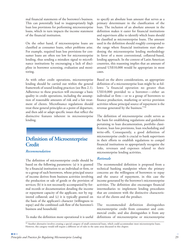mal financial statements of the borrower's business. This can potentially lead to inappropriately high loan loss provisions for performing microenterprise loans, which in turn impacts the income statement of the financial institution.

On the other hand, if microenterprise loans are classified as consumer loans, other problems arise. For example, required loan loss provisions for consumer loans are often too low for microenterprise lending, thus sending a mistaken signal to microfinance institutions by encouraging a lack of discipline in borrower screening, evaluation and monitoring.

As with other credit operations, microenterprise lending should be carried out within the general framework of sound lending practices (see Box 2.1). Adherence to these practices will encourage a basic quality in credit operations, including the assumption of reasonable amounts of risk and a fair treatment of clients. Microfinance regulations should treat these general principles as a point of departure, and then add or adapt specific issues that reflect the distinctive features inherent in microenterprise lending.

### **Definition of Microenterprise Credit**

#### *Recommendation*

The definition of microenterprise credit should be based on the following parameters: (a) it is granted by a financial institution to an individual or firm, or to a group of such borrowers, whose principal source of income derives from business activities involving the production or sale of goods or the provision of services; (b) it is not necessarily accompanied by formal records or documentation detailing the income or repayment capacity of the applicant, nor by registered collateral; and (c) it is typically granted on the basis of the applicant's character (willingness to repay) and the combined cash flow of the borrower's business and household.

To make the definition more operational it is useful

to specify an absolute loan amount that serves as a primary determinant in the classification of the loan. The inclusion of an absolute amount in the definition makes it easier for financial institutions and supervisors alike to identify which loans should be classified as microenterprise loans. The amount used in the definition should roughly correspond to the range where financial institutions start abandoning the microenterprise lending methodology in favor of a more conventional, collateral-based, lending approach. In the context of Latin American countries, this reasoning implies that an amount of around US\$10,000 would be appropriate in most cases.

Based on the above considerations, an appropriate definition of a microenterprise loan might be as follows: "a financial operation no greater than US\$10,000 provided to a borrower—either an individual or firm—or to a group of borrowers to finance production, marketing or service provision activities whose principal source of repayment is the revenue generated by the business."<sup>14</sup>

The definition of microenterprise credit serves as the basis for establishing regulations and guidelines pertaining to loan documentation, portfolio classification, loan loss provisions, loan rescheduling and write-offs. Consequently, a good definition of microenterprise credit is crucial to bank supervisors in their efforts to establish regulations to compel financial institutions to appropriately recognize the risks, revenues and expenses related to their microenterprise lending activities.

#### *Rationale*

The recommended definition is proposed from a technical banking standpoint where the primary concerns are the willingness of borrowers to repay and the source of repayment, in this case the income generated by the borrower's microenterprise activities. The definition also encourages financial intermediaries to implement lending procedures that are consistent with the distinctive characteristics of the clients and the product.

The recommended definition distinguishes microenterprise credit from consumer and commercial credit, and also distinguishes it from any definitions of microenterprise or microenterprise

<sup>&</sup>lt;sup>14</sup> Another alternative involves creating a special category of small commercial loans, which could accommodate most microenterprise loans. However, this category would still require a different set of rules in the same areas discussed in this chapter.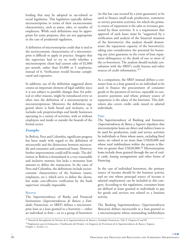lending that may be adopted in tax-related or social legislation. This legislation typically defines microenterprises in terms of their socioeconomic characteristics, such as assets, sales, or number of employees. While such definitions may be appropriate for some purposes, they are not appropriate in the case of prudential regulation.

A definition of microenterprise credit that is tied to the socioeconomic characteristics of a microenterprise is difficult to apply in practice. Imagine that the supervisor had to try to verify whether a microenterprise client had current sales of \$2,000 per month, rather than \$3,000 or 5 employees, instead of 6. Verification would become complicated and expensive.

In addition, use of the definition suggested above creates an important element of legal stability since it is not subject to possible changes that, for political or other reasons, might be introduced every so often into the definition of a microenterprise or microentrepreneur. Moreover, the definition suggested above is both broad and inclusive, as it includes sole proprietorships and family businesses operating in a variety of activities, with or without employees and inside or outside the bounds of the formal sector.

#### *Examples*

In Bolivia, Peru and Colombia, significant progress has been made with regard to the definition of microcredit and the distinction between microcredit and consumer and commercial loans. However, further improvements could still be made. The definition in Bolivia is formulated in a very reasonable and inclusive manner, but lacks a monetary loan amount to define the transaction. In the cases of Peru and Colombia, the definitions include socioeconomic characteristics of the business (assets, employees, etc.), which serve to define the clients, but make cost-effective verification by the bank supervisor virtually impossible.

#### **BOLIVIA**

The Superintendency of Banks and Financial Institutions (*Superintendencia de Bancos y Entidades Financieras,* or SBEF) defines a microenterprise loan as a loan granted to a borrower— either an individual or firm—or to a group of borrowers

(in this last case secured by a joint guarantee) to be used to finance small-scale production, commerce or service provision activities, for which the primary source of repayment is the sales or revenues generated by these activities. It is a requirement that approval of such loans must be "supported by a verification and analysis of the financial situation of the borrower(s); this analysis should demonstrate the repayment capacity of the borrower(s), taking into consideration the potential for honoring any joint guarantee in the event of loan repayment delinquency or the death of one or more of the co-borrowers. The analysis should include consultation with the SBEF's credit bureau and other sources of credit information."<sup>15</sup>

As a comparison, the SBEF manual defines a consumer loan as a loan granted to an individual to be used to finance the procurement of consumer goods or the payment of services, repayable in consecutive payments and whose primary source of repayment is the salary of the borrower. This definition also covers credit cards issued to salaried individuals.

#### **PERU**

The Superintendency of Banking and Insurance (*Superintendencia de Banca y Seguros*) stipulates that microenterprise loans are direct and indirect loans to be used for production, trade and service activities by individuals or firms whose assets, excluding fixed assets, are valued at no more than US\$20,000 and whose total indebtedness within the system is likewise no greater than US\$20,000.<sup>16</sup> Microenterprise loans include those granted through the use of credit cards, leasing arrangements and other forms of financing.

In the case of individual borrowers, the primary source of income should be the business activity, and no one whose principal source of income is salaried employment can be included in this category. According to the regulations, consumer loans are defined as loans granted to individuals to pay for goods and services not related to a business activity.

The Banking Superintendency (*Superintendencia Bancaria*) defines microcredit as a loan granted to a microenterprise whose outstanding indebtedness

**The Company** 

<sup>&</sup>lt;sup>15</sup> Manual de Recopilación de Normas de la Superintendencia de Bancos y Entidades Financieras, Title V, Chapters II and III.

<sup>16</sup> Reglamento para la Evaluación y Clasificación del Deudor y la Exigencia de Provisiones de la Superintendencia de Banca y Seguros, Chapter 1, Section 1.2.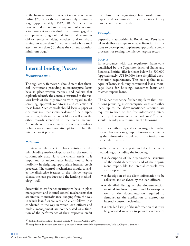to the financial institution is not in excess of twenty-five (25) times the current monthly minimum wage (approximately US\$2,980). A microenterprise is understood to be any unit of economic activity—be it an individual or a firm—engaged in entrepreneurial, agricultural, industrial, commercial or service activities, whether rural or urban, having no more than 10 workers and whose total assets are less than 501 times the current monthly minimum wage.<sup>17</sup>

## **Internal Lending Process**

#### *Recommendation*

The regulatory framework should state that financial institutions providing microenterprise loans have in place written manuals and policies that explicitly identify the controls instituted at the various levels of the organization with regard to the screening, approval, monitoring and collection of these loans. Such controls should leave a paper or electronic trail that shows evidence of their implementation, both in the credit files as well as in the other records identified in the credit manual. Although controls need to be precise, the regulatory framework should not attempt to predefine the internal credit process.

#### *Rationale*

In view of the special characteristics of the microlending methodology, as well as the need to continuously adapt it to the clients' needs, it is important for microfinance institutions to have flexibility in designing appropriate internal credit processes. The control mechanisms should consider the distinctive features of the microenterprise clients, the loan products and the lending methodology itself.

Successful microfinance institutions have in place management and internal control mechanisms that are unique to microfinance, ranging from the way in which loan files are kept and client follow-up is conducted to the way in which loan officers and middle management are compensated as a function of the performance of their respective credit

portfolios. The regulatory framework should respect and accommodate these practices if they have been proven to work.

#### *Examples*

Supervisory authorities in Bolivia and Peru have taken deliberate steps to enable financial institutions to develop and implement appropriate credit processes for serving the microenterprise sector.

#### **BOLIVIA**

In accordance with the regulatory framework established by the Superintendency of Banks and Financial Entities, files for loans below Bs. 500,000 (approximately US\$80,000) have simplified documentation requirements. This rule applies to all types of loans, including commercial loans, mortgage loans for housing, consumer loans and microenterprise loans.

The Superintendency further stipulates that institutions providing microenterprise loans and other loans up to the above-mentioned amount, are required to keep on file "the information established by their own credit methodology,"18 which should include, as a minimum, the following:

Loan files, either physical or on magnetic media, for each borrower or group of borrowers, containing the information stipulated in the institution's own credit manuals.

Credit manuals that explain and detail the credit methodology, including the following:

- **●** A description of the organizational structure of the credit department and of the department responsible for internal controls over credit operations.
- **●** A description of the client information to be collected and analyzed by the loan officers.
- **●** A detailed listing of the documentation required for loan approval and follow-up, as well as the documentation required to demonstrate the application of appropriate internal control mechanisms.
- **●** A detailed listing of the information that must be generated in order to provide evidence of

<sup>&</sup>lt;sup>17</sup> Banking Superintendency External Circular 050, dated October 2001.

<sup>18</sup> Recopilación de Normas para Bancos y Entidades Financieras de la Superintendencia, Title V, Chapter I, Section 9.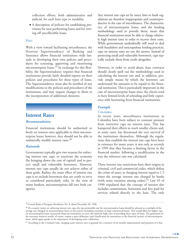collection efforts, both administrative and judicial, for each loan type or modality.

**●** A description of policies for establishing provisions for non-performing loans and for writing off uncollectible loans.

#### **PERU**

With a view toward facilitating microfinance, the Peruvian Superintendency of Banking and Insurance allows financial institutions wide latitude in developing their own policies and procedures for screening, approving and monitoring microenterprise loans.19 In exchange for this flexibility, the Superintendency requires that financial institutions provide fairly detailed reports on their policies and procedures for these types of loans. The Superintendency must also be notified of any modifications to the policies and procedures of the institutions, and may request changes to them or the incorporation of additional elements.

### **Interest Rates**

#### *Recommendation*

Financial institutions should be authorized to freely set interest rates applicable to their microenterprise loans; however, they should not be able to unilaterally modify interest rates.<sup>20</sup>

#### *Rationale*

Governments typically give two reasons for enforcing interest rate caps: to reactivate the economy (by bringing down the cost of capital) and to protect small and vulnerable borrowers. However, interest rate caps usually do not achieve either of these goals. Rather, the main effect of interest rate caps is to exclude borrowers that are costly to serve or considered particularly risky. In the view of many bankers, microenterprises fall into both categories.

Any interest rate caps set by usury laws or bank regulations are therefore inappropriate and counterproductive in the case of microfinance. The characteristics of microenterprise loans, and the lending methodology used to provide them, mean that financial institutions must be able to charge relatively high interest rates in order to recover their costs. While governments undoubtedly will need to deal with fraudulent and unscrupulous lending practices, caps on interest rates are not the answer. Instead of protecting small and vulnerable borrowers, caps typically exclude them from credit altogether.

However, in order to avoid abuse, loan contracts should clearly spell out the methodology used in calculating the interest rate and, in addition, provide simple means by which the borrower can understand the amounts to be repaid to the financial institution. This is particularly important in the case of microenterprise loans since the clients tend to have limited levels of schooling and little experience with borrowing from financial institutions.

#### *Example*

#### **COLOMBIA**

In recent years, microfinance institutions in Colombia have been subject to constant pressure from restrictive caps on interest rates. This has hampered their efforts to reach smaller clients and, in some cases, has threatened the very survival of the institutions themselves. Although the regulations that establish the interest rate caps have been in existence for many years, it was only as recently as 1999 that they became a limiting factor in the financial market, following a modification in the way the reference rate was calculated.

These interest rate restrictions have their origins in criminal, civil and commercial codes, which define the crime of usury as charging interest equal to 1.5 times the average interest rate charged by banks (with some variation among codes).<sup>21</sup> Law 45 of 1990 stipulated that the concept of interest also includes commissions, honoraria and fees paid for services related directly to the loan. The only

**The Company** 

<sup>&</sup>lt;sup>19</sup> Central Bank of Paraguay Resolution No. 8, dated December 30, 1996.

<sup>&</sup>lt;sup>20</sup> If a country insists on enforcing interest rate caps, the top permissible rate for microenterprise loans should be phrased as a multiple of the average rate charged on microenterprise loans in the system (excluding consumer or large commercial loans). This would allow for higher caps on microenterprise loans and permit financial institutions to cover the relatively high costs of providing these types of loans. The generation of the necessary statistics would, of course, require a prior definition (and classification by institutions in the financial system) of microenterprise loans, which again speaks to the importance of developing such a definition.

<sup>&</sup>lt;sup>21</sup> According to the Criminal Code, charging usury interest rates is grounds for a sentence of six months imprisonment and payment of a fine.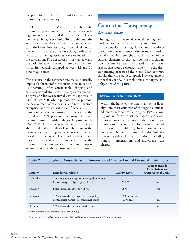exception to this rule is credit card fees, based on a decision by the Monetary Board.

Problems arose in March 1999 when the Colombian government, in view of persistently high interest rates, decided to attempt to lower rates by applying usury limits. Toward this end, the authorities decided to include prime loans, which carry the lowest interest rates, in the calculation of the benchmark rate. At the same time, credit cards, which carry the highest rates, were excluded from the calculation. The net effect of this change was a dramatic decrease in the maximum permitted rate, which immediately dropped between 12 and 14 percentage points.

The decrease in the reference rate made it virtually impossible for microfinance institutions to continue operating. After considerable lobbying and extensive consultations with the legislative branch, a degree of relief was achieved with the approval in 2000 of Law 590, whose purpose was to promote the development of micro, small and medium-sized enterprises and which stated that financial institutions could charge commissions and fees up to the equivalent of 7.5% per annum on loans of less than 25 minimum monthly salaries (approximately US\$2,980). That same year, the superintendency also introduced a number of modifications to the formula for calculating the reference rate, which provided further relief. Even with these changes, however, financial institutions working in the Colombian microfinance sector continue to operate under considerable pressure on their margins.

## **Contractual Transparency**

#### *Recommendation*

The regulatory framework should set high standards of contractual transparency and fairness for microenterprise loans. Regulations must reinforce the notion that microenterprise borrowers need to be informed in a straightforward manner of the various elements of the loan contract, including how the interest rate is calculated and any other aspects that would reasonably enter in to the decision-making process of the client. Loan contracts should therefore be accompanied by explanatory notes that specify, in simple terms, the rights and obligations of the parties.

#### **Box 2.2 Limits on Interest Rates**

Within the framework of financial systems liberalization, most countries of the region eliminated interest rate controls during the 1990s, allowing market forces to set the appropriate levels. However, in some countries in the region, these limitations have returned for formal financial institutions (see Table 2.1). In addition, in many countries, civil and commercial codes limit the interest rate that all other institutions (including nonprofit organizations and individuals) can charge.

| Country  | <b>Basis for Calculation</b>                | <b>Current Level</b>  | Does It Include<br>Commissions and<br><b>Other Costs of Credit?</b> |
|----------|---------------------------------------------|-----------------------|---------------------------------------------------------------------|
| Colombia | 1.5 times the average rate charged by banks |                       |                                                                     |
|          | for ordinary, freely-assigned loans         | $38\%$ <sup>(a)</sup> | Yes                                                                 |
| Ecuador  | Fixed, nominal level (of 18%)               | 18%                   | $\rm No$                                                            |
| Paraguay | 50% above the average rate charged by       | 76% nominal           |                                                                     |
|          | commercial banks on consumer loans          | $(60\% \text{ real})$ | <b>Yes</b>                                                          |
| Uruguay  | 75% above the average market rate           |                       | <b>Yes</b>                                                          |

#### **Table 2.1 Examples of Countries with Interest Rate Caps for Formal Financial Institutions**

*Source: Prepared by the authors based on project survey.*

*Note: (a) For very small loans, as much as 7.5% in additional commissions per year may be charged.*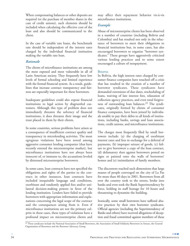When compensating balances or other deposits are required (or the purchase of member shares in the case of credit unions), such elements should be included when calculating the effective cost of the loan and also should be communicated to the client.

In the case of variable rate loans, the benchmark rate should be independent of the interest rates charged by the individual financial institution making the variable rate loan.

#### *Rationale*

The clients of microfinance institutions are among the most exposed and most vulnerable in all of Latin American society. They frequently have low levels of formal schooling and limited experience with the formal financial system. As a result, guidelines that increase contract transparency and fairness are especially important for these borrowers.

Inadequate guidelines could also expose financial institutions to legal action by disgruntled customers. Although this type of problem does not immediately threaten the solvency of financial institutions, it does threaten their image and the trust placed in them by their clients.

In some countries, serious problems have arisen as a consequence of insufficient contract quality and transparency in microlending activities. The most egregious violations have been noted among aggressive consumer lending companies (that have recently entered the microenterprise market), but microfinance institutions have not always been innocent of, or immune to, the accusations leveled by distressed microenterprise borrowers.

In some cases, loan contracts have not specified the obligations and rights of the parties to the contract; in other instances, loan contracts have included inequitable language and conditions, exorbitant and randomly applied fees and/or unilateral decision-making powers in favor of the lending institution. Lenders have failed to provide borrowers with appropriate information and explanations concerning the legal scope of the contract and the consequences arising from it. Even if microfinance institutions are not the primary culprits in these cases, these types of violations have a profound impact on microenterprise clients and

may affect their repayment behavior vis-à-vis microfinance institutions.

#### *Example*

Abuse of microenterprise clients has been observed in a number of countries (including Bolivia and Colombia) and has resulted not only in the reluctance of borrowers to meet their obligations to financial institutions but, in some cases, has also encouraged borrowers to organize "borrower syndicates." These groups have aggressively criticized various lending practices and to some extent encouraged a culture of nonpayment.

#### **BOLIVIA**

In Bolivia, the high interest rates charged by consumer finance companies have touched off a crisis that has resulted in the creation of a number of borrower syndicates. These syndicates have demanded extensions of due dates, rescheduling of loans, waiving of late interest fees, relaxation of collection agency practices, and even total forgiveness of outstanding loan balances.<sup>22</sup> The syndicates, originally formed by clients of consumer finance companies, have been joined by individuals unable to pay their debts to all kinds of institutions, including banks, savings and loan associations*,* credit unions, and microfinance institutions.

The charges most frequently filed by small borrowers include: (a) the charging of exorbitant interest rates and fees in exchange for a deferral of payments, (b) improper seizure of goods, (c) failure to give borrowers a copy of the loan contract, (d) defamatory slurs against borrowers posted on signs or painted onto the walls of borrowers' homes and (e) intimidation of family members.

The discontent reached such dimensions that large masses of people converged on the city of La Paz for more than 40 days in 2001. Borrowers from all over the country took to the streets, broke into banks and even took the Bank Superintendency by force, holding its staff hostage for 10 hours and threatening to dynamite the building.

Ironically, some small borrowers have suffered abusive practices by their own borrower syndicates. Official agencies (including the Superintendency of Banks and others) have received allegations of deception and fraud committed against members of these

**The Company** 

<sup>&</sup>lt;sup>22</sup> These syndicates include the National Association of Small Borrowers, the Association of Small Solidarity Borrowers in Arrears, the General Organization of Borrowers and the Borrower Advocacy Group.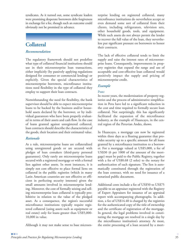syndicates. As it turned out, some syndicate leaders were promising desperate borrowers debt forgiveness in exchange for a fee, though such an outcome could obviously not be promised in advance.

## **Collateral**

#### *Recommendation*

The regulatory framework should not predefine what type of collateral financial institutions should use in their microenterprise loan transactions, either implicitly (by passively applying regulations designed for consumer or commercial lending) or explicitly. Given the special characteristics of microenterprise borrowers, microfinance institutions need flexibility in the type of collateral they employ to support their loan contracts.

Notwithstanding the need for flexibility, the bank supervisor should be able to expect microenterprise loans to be backed by the business and/or household assets declared by the borrower, or by individual guarantors who have been properly evaluated in terms of their assets and cash flow. In the case of loans granted against unregistered collateral, loan contracts should describe the characteristics of the goods, their location and their estimated value.

#### *Rationale*

As a rule, microenterprise loans are collateralized using unregistered goods or are secured with pledges of loan comakers (third-party personal guarantees). Only rarely are microenterprise loans secured with a registered mortgage or with a formal lien against other assets. In most instances, it is simply not cost effective to place formal liens on collateral in the public registries (which in many Latin American countries are not effective or efficient in perfecting security interests) given the small amounts involved in microenterprise lending. Moreover, the cost of formally seizing and selling microenterprise loan collateral is typically prohibitive in relation to the value of the pledged asset. As a consequence, the region's successful microfinance institutions typically require registered collateral (using assets such as equipment or real estate) only for loans greater than US\$5,000- 10,000 in value.

Although it may not make sense to base microen-

terprise lending on registered collateral, many microfinance institutions do nevertheless accept or even demand some sort of collateral from their clients, including refrigerators, television sets, other household goods, tools, and equipment. While such assets do not always permit the lender to recover the full value of the loan, they nevertheless put significant pressure on borrowers to honor their contracts.

The lack of effective collateral tends to limit the supply and raise the interest rates of microenterprise loans. Consequently, improvements in property registries that expand the range and use of acceptable and cost-effective loan collateral would positively impact the supply and pricing of microenterprise credit.

#### *Example*

#### **PERU**

In recent years, the modernization of property registries and the process of administrative simplification in Peru have led to a significant reduction in the cost and time required to formally secure loan collateral. Not surprisingly, this has significantly facilitated the expansion of the microfinance industry, as the example of Huancayo, in the central region of the Peruvian Andes, shows.

In Huancayo, a mortgage can now be registered within three days as a floating guarantee that provides security up to a specific amount for all loans granted by a microfinance institution to a borrower. For a mortgage valued at US\$5,000, a fee of US\$30 (6 per 1000 of the amount of the mortgage) must be paid to the Public Registry, together with a fee of US\$0.68 (2 soles) to the notary for authentication of each signature. The lien is automatically constituted through the registration of the loan contract, with no need for issuance of a notarized public document.

Additional costs include a fee of US\$50 to US\$75 payable to an appraiser registered with the Registry of Expert Appraisers for issuance of an appraisal report with accompanying photographs. In addition, a fee of US\$14.40 is charged by the registries for the authenticated copy of the title of ownership and the certificate of registration of the mortgage. In general, the legal problems involved in constituting the mortgage are resolved in a single day by the microfinance institution's attorney. At most, the entire processing of a loan secured by a mort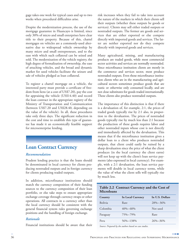gage takes one week for typical cases and up to two weeks when procedural difficulties arise.

Despite the modernization process, the use of the mortgage guarantee in Huancayo is limited, since only 30% of micro and small enterprises have clear title to their property. Because of this, chattel mortgages on vehicles are a commonly-used alternative due to widespread vehicle ownership by many micro and small entrepreneurs, and to the ease with which such collateral can be seized and sold. The modernization of the vehicle registry, the high degree of formalization of ownership, the ease of attaching vehicles, and the broad and dynamic market for used vehicles facilitate the seizure and sale of vehicles pledged as loan collateral.

To register a chattel mortgage on a vehicle, the interested party must provide a certificate of freedom from liens (at a cost of US\$7.20), pay the cost for appraising the vehicle (US\$14.40) and record the loan contract in the appropriate registry of the Ministry of Transportation and Communication (between US\$7.20 and US\$28.40, depending on the value of the vehicle). In all, these procedures take only three days. The significant reduction in the cost and time to establish this type of guarantee has made it an economically feasible support for microenterprise lending.

## **Loan Contract Currency**

#### *Recommendation*

Prudent lending practice is that the loans should be denominated in local currency for clients producing nontraded outputs and in foreign currency for clients producing traded outputs.

In addition, microfinance institutions should match the currency composition of their funding sources to the currency composition of their loan portfolio, or else take steps to ensure appropriate exchange coverage through currency swaps or other operations. All contracts in a currency other than the local currency should be consistent with the general financial system rules governing exchange positions and the handling of foreign exchange.

#### *Rationale*

Financial institutions should be aware that their

risk increases when they fail to take into account the nature of the markets in which their clients sell their outputs (whether these outputs be goods or services). Clients may sell either traded outputs or nontraded outputs. The former are goods and services that are either exported or else compete directly with imported goods and services. The latter are neither exported nor do they compete directly with imported goods and services.

Many agricultural, mining, and manufacturing products are traded goods, while most commercial sector activities and services are normally nontraded. Since microfinance institution clients are mostly in the commerce and services sector, most produce nontraded outputs. Even those microfinance institution clients who are in the manufacturing and agricultural sectors sometimes produce goods that are rustic or otherwise only consumed locally, and are not close substitutes for goods traded internationally. These clients also produce nontraded outputs.

The importance of this distinction is that if there is a devaluation of, for example, 2:1, the prices of traded goods typically rise by 2:1 also, in proportion to the devaluation. The prices of nontraded goods typically rise by much less than 2:1 because the production of these goods requires labor and other nontraded inputs whose cost is not directly and immediately affected by the devaluation. This means that if the microfinance institution gives a dollar loan to a client who produces nontraded outputs, that client could easily be ruined by a sharp devaluation since the price of what the client produces (in the local currency the client earns) will not keep up with the client's loan service payments (also expressed in local currency). For example, with a 2:1 devaluation, the loan service payments will double in local currency terms, while the value of what the client sells will typically rise by much less.

|                   | Table 2.2 Contract Currency and the Cost of |
|-------------------|---------------------------------------------|
| <b>Microloans</b> |                                             |

| Country  | <b>In Local Currency</b> | In U.S. Dollars |
|----------|--------------------------|-----------------|
| Bolivia  | Rare                     | $28\% - 36\%$   |
| Colombia | $40\% - 60\%$            | Not used        |
| Paraguay | $75\% - 79\%$            | Rare            |
| Peru     | 56%-138%                 | $26\% - 36\%$   |

*Source: Prepared by the authors based on case studies.*

**The Company**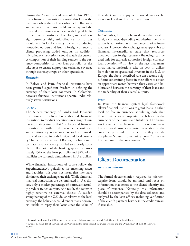During the Asian financial crisis of the late 1990s, many financial institutions learned this lesson the hard way when their clients who had dollar loans and nontraded outputs could not repay and the financial institutions were faced with huge defaults in their credit portfolios. Therefore, to avoid foreign currency risk, microfinance institutions should lend in local currency to clients producing nontraded outputs and lend in foreign currency to clients producing traded outputs. In addition, microfinance institutions should match the currency composition of their funding sources to the currency composition of their loan portfolio, or else take steps to ensure appropriate exchange coverage through currency swaps or other operations.

#### *Examples*

In Bolivia and Peru, financial institutions have been granted significant freedom in defining the currency of their loan contracts. In Colombia, however, financial institutions operate under relatively severe restrictions.

#### **BOLIVIA**

The Superintendency of Banks and Financial Institutions in Bolivia has authorized financial institutions to conduct operations in a range of currencies, stating simply that "banking and financial institutions are authorized to conduct deposit, loan and contingency operations, as well as provide financial services, in both foreign and local currency." In the particular case of Bolivia, this freedom to contract in any currency has led to a nearly complete dollarization of the banking system: approximately 95% of the loan portfolio and 92% of all liabilities are currently denominated in U.S. dollars.

While financial institutions of course follow the Superintendency's guidelines for matching assets and liabilities, this does not mean that they have eliminated their exchange rate risk. While almost all financial transactions are denominated in U.S. dollars, only a modest percentage of borrowers actually produce traded outputs. As a result, the system is highly sensitive to external shocks. A sudden strengthening of the U.S. dollar relative to the local currency, the boliviano, could render many borrowers unable to repay their loans since the value of their debt and debt payments would increase far more quickly than their income stream.

#### **COLOMBIA**

In Colombia, loans can be made in either local or foreign currency, depending on whether the institution is authorized as an exchange market intermediary. However, the exchange rules applicable to financial intermediaries state that resources obtained from foreign currency financings can be used only for expressly authorized foreign currency loan operations. $^{23}$  In view of the fact that many microfinance institutions take on debt in dollars from donors or specialized investors in the U.S. or Europe, the above-described rule can become a significant constraining factor in their effort to obtain an appropriate match between their assets and liabilities and between the currency of their loans and the tradability of their clients' outputs.

#### **PERU**

In Peru, the financial system legal framework allows financial institutions to grant loans in either local or foreign currency, stipulating only that there must be an appropriate match between the currencies of their assets and liabilities. The framework also permits financial institutions to make loans in local currency adjusted in relation to the consumer price index, provided that they include the phrase "constant purchasing power" after the loan amount in the loan contract.<sup>24</sup>

## **Client Documentation**

#### *Recommendation*

The formal documentation required for microenterprise loans should be minimal and focus on information that attests to the client's identity and place of residence. Naturally, this information should be accompanied by the data collected and analyzed by the loan officer, including verification of the client's payment history in the credit bureau, if available.

<sup>&</sup>lt;sup>23</sup> External Resolution 8 of 2000, issued by the board of directors of the Central Bank (Banco de la República).

<sup>&</sup>lt;sup>24</sup> Articles 178 and 240 of the General Law Governing the Financial and Insurance Systems and the Organic Law of the SBS (Law No. 26702).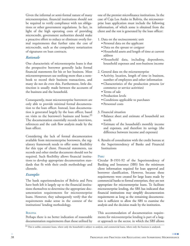Given the informal or semi-formal nature of many microenterprises, financial institutions should not be required to verify compliance with tax obligations or other government regulations. In fact, in light of the high operating costs of providing microcredit, government authorities should make a proactive effort to reduce or eliminate overly formal requirements that further raise the cost of microcredit, such as the compulsory notarization of signatures on loan contracts.

#### *Rationale*

One characteristic of microenterprise loans is that the prospective borrower generally lacks formal financial statements for his or her business. Most microentrepreneurs use nothing more than a notebook to record their business transactions, and many do not do even this. Furthermore, little distinction is usually made between the accounts of the business and the household.

Consequently, most microenterprise borrowers are only able to provide minimal formal documentation to the loan officer. Instead, loan documentation is generated largely by the loan officer, based on visits to the borrower's business and home.<sup>25</sup> The documentation essentially records interviews, references and the cash flow analysis made by the loan officer.

Considering the lack of formal documentation available from microenterprise borrowers, the regulatory framework needs to offer some flexibility for this type of client. Financial statements, tax records and other similar documents should not be required. Such flexibility allows financial institutions to develop appropriate documentation standards that fit with their credit methodology and clientele.

#### *Examples*

The bank superintendencies of Bolivia and Peru have both left it largely up to the financial institutions themselves to determine the appropriate documentation requirements for microenterprise loans. However, they subsequently verify that the requirements make sense in the context of the institutions' lending methodology.

#### **BOLIVIA**

Perhaps there is no better indication of reasonable documentation requirements than those utilized by one of the premier microfinance institutions. In the case of Caja Los Andes in Bolivia, the microenterprise loan application must include the following information, of which some is obtained from the client and the rest is generated by the loan officer:

- 1. Data on the socioeconomic unit
	- **●** Personal data on the applicant
	- **●** Data on the spouse or cosigner
	- **●** Household assets and length of time at current address
	- **●** Household data, including dependents, household expenses and non-business income
- 2. General data on the microenterprise
	- **●** Activity, location, length of time in business, number of employees and other information
	- **●** Characteristics of the production process (or commerce or service activities)
	- **●** Terms of sale
	- **●** Production levels
	- **●** Conditions applicable to purchases
	- **●** Personnel costs
- 3. Financial situation
	- **●** Balance sheet and estimate of household net worth
	- **●** Estimate of the household's monthly income and expenses, and therefore its savings (the difference between income and expenses)
- 4. Results of consultation with the credit bureau at the Superintendency of Banks and Financial Institutions

#### **PERU**

Circular B-1931-92 of the Superintendency of Banking and Insurance (SBS) lists the minimum client information required for loan approval and borrower classification. However, because these requirements were created for large loans made by commercial banks to formal enterprises, they are not appropriate for microenterprise loans. To facilitate microenterprise lending, the SBS has indicated that financial institutions may simplify documentation requirements as long as the remaining documentation is sufficient to allow the SBS to examine the analysis and the decision made by the institution.

This accommodation of documentation requirements for microenterprise lending is part of a larger approach to the sector, in which the SBS allows

<sup>&</sup>lt;sup>25</sup> This is unlike consumer loans, where only the household is subject to analysis, and commercial loans, where only the business is analyzed.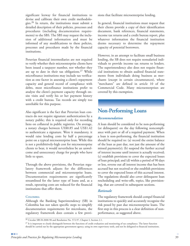significant leeway for financial institutions to devise and calibrate their own credit methodologies.<sup>26</sup> In return, the institutions must submit a detailed description of their policies, processes and procedures (including documentation requirements) to the SBS. The SBS may request the inclusion of additional information and must be informed of any modifications to these policies, processes and procedures made by the financial institutions.

Peruvian financial intermediaries are not required to verify whether their microenterprise clients have been issued a taxpayer number, nor whether they are up to date in their tax obligations.<sup>27</sup> While microfinance institutions may include tax verification as one factor in assessing a client's repayment capacity and general record of compliance with debts, most microfinance institutions prefer to analyze the client's payment capacity through onsite visits and verify his or her payment history with a credit bureau. Tax records are simply too unreliable for this purpose.

Also significant is the fact that Peruvian loan contracts do not require signature authentication by a notary public; this is required only for recording liens on collateral in public registries. On average, a notary charges between US\$0.85 and US\$1.42 to authenticate a signature. Were it mandatory, it would raise lending costs by half a percentage point on a typical microenterprise loan. While this is not a prohibitively-high cost for microenterprise clients to bear, it would nevertheless be an unwelcome and unnecessary charge for people who have little to spare.

Through the above provisions, the Peruvian regulatory framework adjusts for the differences between commercial and microenterprise loans. Documentation requirements are significantly streamlined for the latter type of loans and, as a result, operating costs are reduced for the financial institutions that offer them.

#### **COLOMBIA**

Although the Banking Superintendency (SB) in Colombia has not taken specific steps to simplify documentation requirements for microloans, the regulatory framework does contain a few provisions that facilitate microenterprise lending.

In general, financial institutions must request that their clients provide a copy of their identification document, bank references, financial statements, income tax returns and a credit bureau report, plus whatever information the financial institution deems necessary to determine the repayment capacity of potential borrowers.

However, in an attempt to facilitate small business lending, the SB does not require nonsalaried individuals to provide income tax returns to lenders. The superintendency also does not require financial institutions to obtain audited financial statements from individuals doing business as merchants (except in certain circumstances), where "merchants" are defined in article 10 of the Commercial Code. Many microenterprises are covered by this exemption.

### **Non-Performing Loans**

#### *Recommendation*

A loan should be considered to be non-performing (or delinquent) on the day following noncompliance with part or all of a required payment. When a loan is non-performing, the financial institution should be required to: (a) record the entire balance of the loan as past due, not just the amount of the missed payment(s); (b) suspend the further accrual of interest income until interest is actually received; (c) establish provisions to cover the expected losses of loan principal; and (d) within a period of 90 days or less, reverse out all interest income that has been accrued but not received or else establish provisions to cover the expected losses of this accrued interest. The regulations should also cover delinquent loan rescheduling and write-offs, topics, like provisioning, that are covered in subsequent sections.

#### *Rationale*

The regulatory framework should compel financial institutions to quickly and accurately recognize the risk posed by past due microenterprise loans. The first step in this process is a clear definition of nonperformance, as suggested above.

<sup>26</sup> Circular SBS B-2000-98 and Resolution No. 572-97, Chapter I, Section 2.1.

 $^{27}$  It is important to clearly distinguish between the functions of credit evaluation and monitoring of tax compliance. The latter function should be carried out by the appropriate government agency, using its own supervisory tools, and not be delegated to financial institutions.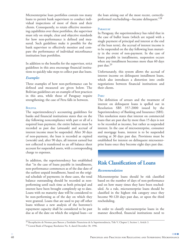Microenterprise loan portfolios contain too many loans to permit bank supervisors to conduct individual inspections of most of them and their clients. Consequently, to retain effective monitoring capabilities over these portfolios, the supervisor must rely on simple, clear and objective standards for how non-performance is defined and measured. Such guidelines make it possible for the bank supervisor to effectively monitor and compare the performance of individual microfinance institution loan portfolios.

In addition to the benefits for the supervisor, strict guidelines in this area encourage financial institutions to quickly take steps to collect past due loans.

#### *Examples*

Three examples of how non-performance can be defined and measured are given below. The Bolivian guidelines are an example of best practices in this area, while those of Paraguay require strengthening; the case of Peru falls in between.

#### **BOLIVIA**

The superintendency's accounting guidelines for banks and financial institutions states that on the day following noncompliance with part or all of a required loan payment, the entire balance must be recorded as past due (*atrasado*) and accrual of interest income must be suspended. After 30 days of non-payment, the loan is recorded as expired (*vencido*) and, after 90 days, all interest earned but not collected is transferred to an off balance sheet account for suspended assets, with a corresponding charge to expenses.

In addition, the superintendency has established that "in the case of loans payable in installments, non-performance commences as of the due date of the earliest unpaid installment, based on the original schedule of payments; in these cases, the total balance outstanding should be recorded as nonperforming until such time as both principal and interest have been brought completely up to date. Loans with no maturity date will be considered to be non-performing as of the day on which they were granted. Loans that are used to pay off other loans without a new analysis of the borrower's repayment capacity shall be considered to be past due as of the date on which the original loan—or

the loan arising out of the most recent, correctlyperformed rescheduling—became delinquent."28

#### **PARAGUAY**

In Paraguay, the superintendency has ruled that in the case of bullet loans (which are repaid with a single payment of principal and interest at the end of the loan term), the accrual of interest income is to be suspended on the day following loan maturity in the event of non-payment. In the case of loans payable in installments, suspension occurs when any installment becomes more than 60 days past due.<sup>29</sup>

Unfortunately, this system allows the accrual of interest income on delinquent installment loans, which also introduces a distortion into credit negotiations between financial institutions and their clients.

#### **PERU**

The definition of arrears and the treatment of interest on delinquent loans is spelled out in Resolution SBS 357-2000 issued by the Superintendency of Banking and Insurance (SBS). This resolution states that interest on commercial loans that are past due by more than 15 days is not to be recorded as income, but rather as suspended interest. In the case of microenterprise, consumer and mortgage loans, interest is to be suspended starting at 30 days past due. Provisions must be established for interest on delinquent microenterprise loans once they become eight days past due.

### **Risk Classification of Loans**

#### *Recommendation*

Microenterprise loans should be risk classified based on the number of days of non-performance and on how many times they have been rescheduled. As a rule, microenterprise loans should be classified in the highest risk category once they become 90-120 days past due, or upon the third rescheduling.

In order to classify microenterprise loans in the manner described, financial institutions need to

<sup>&</sup>lt;sup>28</sup> Recopilación de Normas para Bancos y Entidades Financieras de la Superintendencia, Title V, Chapter I, Section 1, Article 3.

<sup>29</sup> Central Bank of Paraguay Resolution No. 8, dated December 30, 1996.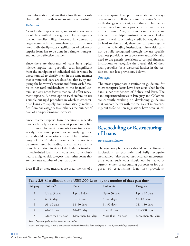have information systems that allow them to easily classify all loans in their microenterprise portfolio.

#### *Rationale*

As with other types of loans, microenterprise loans should be classified in categories of lesser to greater risk of uncollectibility. However, in contrast to larger commercial loans—where each loan is analyzed individually—the classification of microenterprise loans has to be done in a simple, transparent and cost-effective manner.

Since there are thousands of loans in a typical microenterprise loan portfolio, each insignificant from the standpoint of individual risk, it would be uneconomical to classify them in the same manner that commercial loans are classified, that is, by analyzing the borrower's present and future cash flows, his or her total indebtedness to the financial system, and any other factors that could affect repayment capacity. A better option is, therefore, to use a simple but rigid procedure in which microenterprise loans are rapidly and automatically reclassified from one category to another as the number of days of non-performance increases.

Since microenterprise loan operations generally have a relatively short repayment period and often involve more frequent payments (sometimes even weekly), the time period for reclassifying these loans should be relatively short. The maximum range of 90-120 days recommended above is a parameter used by leading microfinance institutions. In addition, in view of the high risk involved in rescheduled loans, such loans need to be classified in a higher risk category than other loans that are the same number of days past due.

Even if all of these measures are used, the risk of a

microenterprise loan portfolio is still not always easy to measure. If the lending institution's credit methodology is deficient, loans that are classified as normal may have latent problems that will surface in the future. Also, in some cases, clients are indebted to multiple institutions at once. Unless there is a well functioning credit bureau, this can be hard to detect and, therefore, can pose significant risks to lending institutions. These risks cannot be fully recognized through the use specific loan loss provisions, so supervisory authorities also need to use generic provisions to compel financial institutions to recognize the overall risk of their loan portfolios (as is discussed further in the section on loan loss provisions, below).

#### *Example*

The most appropriate classification guidelines for microenterprise loans have been established by the bank superintendencies of Bolivia and Peru. The bank superintendencies in Paraguay and Colombia are currently working on developing guidelines that concord better with the realities of microlending, but so far no new regulations have been issued.

### **Rescheduling or Restructuring of Loans**

#### *Recommendation*

The regulatory framework should compel financial institutions to promptly and fully recognize rescheduled (also called restructured) microenterprise loans. Such loans should not be treated as current, either for accounting purposes or for purposes of establishing loan loss provisions.

| Table 2.3 Classification of a US\$1,000 Loan (by the number of days past due) |                        |                    |                    |                    |  |
|-------------------------------------------------------------------------------|------------------------|--------------------|--------------------|--------------------|--|
| Category                                                                      | Bolivia <sup>(a)</sup> | Peru               | Colombia           | Paraguay           |  |
| 1                                                                             | Up to 5 days           | Up to 8 days       | Up to 30 days      | Up to 60 days      |  |
| 2                                                                             | $6 - 30$ days          | $9 - 30$ days      | $31-60$ days       | $61-120$ days      |  |
| 3                                                                             | $31-60$ days           | $31-60$ days       | $61-90$ days       | 121-180 days       |  |
| $\overline{4}$                                                                | $61-90$ days           | $61-120$ days      | 91-180 days        | 181-360 days       |  |
| 5                                                                             | More than 90 days      | More than 120 days | More than 180 days | More than 360 days |  |

*Source: Prepared by the authors based on case studies.*

*Note: (a) Categories 3, 4 and 5 are also used to classify loans that have undergone 1, 2 and 3 reschedulings, respectively.*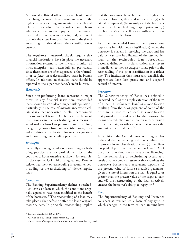Additional collateral offered by the client should not change a loan's classification in view of the high cost of executing microenterprise collateral relative to its value. On the other hand, clients who are current in their payments, demonstrate increased loan repayment capacity, and, because of this, obtain a new loan or an increase in the size of an existing loan should retain their classification as current.

The regulatory framework should require that financial institutions have in place the necessary information systems to identify and monitor all microenterprise loan reschedulings, particularly since these loans are often approved, either formally or *de facto,* on a decentralized basis in branch offices. In addition, rescheduled loans should be reported to the superintendency's credit bureau.

#### *Rationale*

Since non-performing loans represent a major threat to any financial institution, rescheduled loans should be considered higher-risk operations, particularly in the case of microfinance where collateral is either nonexistent or else uneconomical to seize and sell (execute). The fact that financial institutions can use rescheduling as a means to avoid making loan loss provisions and, therefore, recognizing losses from uncollectible loans, provides additional justification for strictly regulating and monitoring rescheduling practices.

#### *Examples*

Generally speaking, regulations governing rescheduling practices are not particularly strict in the countries of Latin America, as shown, for example, in the cases of Colombia, Paraguay and Peru. A stricter treatment of rescheduling is recommended, including for the rescheduling of microenterprise loans.

#### **COLOMBIA**

The Banking Superintendency defines a rescheduled loan as a loan in which the conditions originally agreed to have been modified to the benefit of the borrower.<sup>30</sup> The rescheduling of a loan may take place either before or after the loan's original maturity date. In principle, rescheduling implies that the loan must be reclassified to a higher risk category. However, this need not occur if: (a) collateral is improved, (b) an analysis of the borrower shows that the rescheduling is appropriate and (c) the borrower's income flows are sufficient to service the rescheduled loan.

As a rule, rescheduled loans can be improved one step (to a less risky loan classification) when the borrower is current in servicing the debt and has paid at least two installments of the rescheduled loan. If the rescheduled loan subsequently becomes delinquent, its classification must revert immediately to the risk category it had prior to the rescheduling if this prior classification is a riskier one. The institution then must also establish the appropriate loan loss provisions and suspend accrual of interest.

#### **PARAGUAY**

The Superintendency of Banks has defined a "renewed loan" as the simple extension of the term of a loan, a "refinanced loan" as a modification resulting from the prior payment of some of the debt, and a "rescheduled loan" as a modification that provides financial relief for the borrower by means of a reduction in the interest rate, extension of the due date, or other change that reduces the amount of the installment.<sup>31</sup>

In addition, the Central Bank of Paraguay has indicated that refinancing and rescheduling may improve a loan's classification when (a) the client has paid all past due interest and at least 10% of the principal without the aid of any new financing; (b) the refinancing or rescheduling occurs as a result of a new credit assessment that examines the borrower's business and repayment capacity; (c) the present value of future scheduled payments, given the rate of interest on the loan, is equal to or greater than the present value of the original loan; and (d) the restructuring of the loan effectively ensures the borrower's ability to repay it.<sup>32</sup>

#### **PERU**

The Superintendency of Banking and Insurance considers as restructured a loan of any type in which changes in the term or loan amount have

<sup>30</sup> External Circular SB 100 of 1995.

<sup>31</sup> Circular SB No. 108/99, dated March 30, 1999.

<sup>32</sup> Central Bank of Paraguay Resolution No. 8, dated December 30, 1996.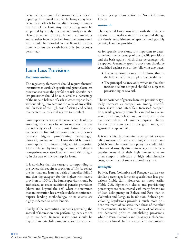been made as a result of a borrower's difficulties in repaying the original loan. Such changes may have been made either before or after the original maturity date of the loan. Any restructuring must be supported by a duly documented analysis of the client's payment capacity. Interest, commissions and all other income derived from the restructured loan should be recorded in the financial institution's accounts on a cash basis only (no accruals permitted).

### **Loan Loss Provisions**

#### *Recommendation*

The regulatory framework should require financial institutions to establish specific and generic loan loss provisions to cover the portfolio at risk. Specific loan loss provisions should be calculated as a percentage of the unpaid balance of each microenterprise loan, without taking into account the value of any collateral (in view of the high cost of seizing and selling microenterprise collateral relative to its value).

Bank supervisors can use the same schedule of provisioning percentages for microenterprise loans as for other types of loans (most Latin American countries use five risk categories, each with a successively higher provisioning percentage). However, microenterprise loans should be moved more rapidly from lower to higher risk categories. This is achieved by lowering the number of days of non-performance associated with each risk category in the case of microenterprise loans.

It is advisable that the category corresponding to the lowest risk require a provision of 1% (to reflect the fact that any loan has a risk of uncollectibility) and that the category for the highest risk have a provision of 100%. The bank supervisor should be authorized to order additional generic provisions (above and beyond the 1%) when it determines that an institution has a weak or deficient microenterprise lending methodology, or its clients are highly indebted to other lenders.

Finally, if the accounting standards governing the accrual of interest on non-performing loans are not up to standard, financial institutions should be required to establish provisions for this accrued

interest (see previous section on Non-Performing Loans).

#### *Rationale*

The expected losses associated with the microenterprise loan portfolio must be recognized though the timely establishment of specific, and possibly generic, loan loss provisions.

As for specific provisions, it is important to determine both the percentage of the specific provisions and the basis against which these percentages will be applied. Generally, specific provisions should be established against one of the following two bases:

- **●** The accounting balance of the loan, that is, the balance of principal plus interest due or
- **●** The principal balance only, which implies that interest due but not paid should be subject to provisioning or reversal.

The importance of generic loan loss provisions typically increases as competition among microfinance institutions intensifies. Increased competition, while generally desirable, can lead to a relaxation of lending policies and controls, and to the overindebtedness of microenterprise clients. Generic provisions serve to recognize and guard against this type of risk.

It is not advisable to require larger generic or specific provisions for loans with higher interest rates (which could be viewed as a proxy for credit risk). This would strongly discriminate against microenterprise loans since their high interest rates are often simply a reflection of high administrative costs, rather than of some extraordinary risk.

#### *Examples*

Bolivia, Peru, Colombia and Paraguay utilize very similar percentages for their specific loan loss provisions (Table 2.4). However, as noted earlier (Table 2.3), higher risk classes and provisioning percentages are encountered with many fewer days of loan delinquency in Bolivia and Peru than in Colombia and Paraguay. In addition, Bolivia's provisioning regulations provide a much more prudent treatment of collateral than those of the other three countries. In Bolivia, the value of collateral is not deducted prior to establishing provisions, while in Peru, Colombia and Paraguay such deductions are allowed. In the case of Peru, the problem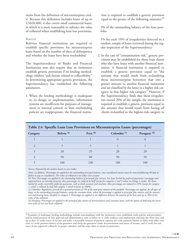stems from the definition of microenterprise credit. Because this definition includes loans of up to US\$20,000, it also covers small commercial loans, in which it is more reasonable to subtract the value of collateral when establishing loan loss provisions.

#### **BOLIVIA**

Bolivian financial institutions are required to establish specific provisions for microenterprise loans based on the number of days of delinquency and whether the loans have been rescheduled.

The Superintendency of Banks and Financial Institutions may also require that an institution establish generic provisions if its lending methodology exhibits "risk factors related to collectibility." In determining appropriate generic provisions, the Superintendency has established the following parameters.

1. When the lending methodology is inadequate in its design or implementation, information systems are insufficient for purposes of management or internal control, or loan rescheduling policies are inappropriate, the financial institution is required to establish a generic provision equal to the greater of the following amounts: $33$ 

3% of the outstanding balance of the loan portfolio

1% for each 10% of irregularities detected in a random sample of loans reviewed during the regular inspection of the Superintendency.

2. In the case of "contamination risk," generic provisions may be established for those loan clients who also have loans with another financial institution. A financial institution is required to establish a generic provision equal to "the amount that would result from reclassifying those microenterprise borrowers that owe a greater amount to another financial institution *and* are classified by the latter in a higher risk category, to that higher risk category." However, if the Superintendency finds that these irregularities exceed 20% of the sample, the institution is required to establish a generic provision equal to the amount that would result from having *all* clients reclassified to the highest-risk category to

| Table 2.4 Specific Loan Loss Provisions on Microenterprise Loans (percentages) |                        |            |                         |                         |  |
|--------------------------------------------------------------------------------|------------------------|------------|-------------------------|-------------------------|--|
| Category                                                                       | Bolivia <sup>(a)</sup> | Peru $(b)$ | Colombia <sup>(c)</sup> | Paraguay <sup>(d)</sup> |  |
|                                                                                |                        |            |                         |                         |  |
|                                                                                |                        |            |                         |                         |  |
| 3                                                                              | 20                     | 25         | 20                      | 20                      |  |
| 4                                                                              | 50                     | 60         | 50                      | 50                      |  |
|                                                                                | 100                    | 100        | 100                     | 100                     |  |
|                                                                                |                        |            |                         |                         |  |

*Source: Prepared by the authors based on case studies.*

*Notes: (a) Bolivia: Percentages are applied to the outstanding principal balance, since uncollected interest must be reversed following 90 days of failure to pay an installment. The value of collateral is not taken into account.*

*(b) Peru: Percentages are applied to the outstanding balance of principal plus interest. For loans backed by preferred guarantees (mortgages and registered liens on movable property) these percentages are reduced by half (except for categories 1 and 5 where no change is made). For loans backed by easily convertible preferred guarantees, such as bank accounts and securities, these percentages are reduced to 25% (except for category 1, which is reduced by half and category 5 which remains at 100%).*

*(c) Colombia: Regulations provide for a general provision of 1% of the total gross amount of the portfolio. Percentages are applied, for all types of loans, to the outstanding principal balance, except for consumer loans, where the percentage is applied to principal plus interest, and for commercial and housing loans classified in category 2. Percentages are applied to the difference between the amount of the loan and up to 70% of the value of the collateral.*

*(d) Paraguay: Percentages are applied to the principal plus interest of microenterprise and consumer loans, with the option of deducting the execution value of real and bank collateral.*

<sup>33</sup> Examples of inadequate lending methodology include noncompliance with the institution's own established credit policies and procedures and/or sound practices of loan approval and administration, such as failure to: i) verify residence and employment and keep the client data card up to date, ii) verify source of income and make a reasonable estimate of payment capacity, iii) verify payment history on debts with other creditors, iv) verify payment history of the guarantor and check the guarantor's basic documentation and source of income, and v) verify the existence of any registered collateral, its proper valuation, and the steps taken to ensure its protection.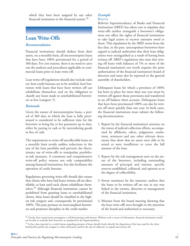which they have been assigned by any other financial institution in the financial system.34

### **Loan Write-Offs**

#### *Recommendation*

Financial institutions should deduct from their assets, on a monthly basis, all microenterprise loans that have been 100% provisioned for a period of 360 days. For cost reasons, there is no need to carry out the analyses and procedures applicable to commercial loans prior to loan write-off.

Loan write-off regulations should also include rules on: how credit bureaus are to be notified, how borrowers with loans that have been written off can rehabilitate themselves, and on the obligation to classify any loans made to unrehabilitated borrowers as lost (category 5).

#### *Rationale*

Given the nature of microenterprise loans, a period of 360 days in which the loan is fully provisioned is considered to be sufficient time for the borrower to bring his or her payments up to date, either by paying in cash or by surrendering goods in lieu of cash.

The requirement to write off uncollectible loans on a monthly basis avoids sudden reductions in the size of the loan portfolio and prevents the discretionary use of write-offs to manipulate portfolioat-risk measures. A consistent and comprehensive write-off policy ensures not only comparability among financial institutions, but also facilitates the operation of credit bureaus.

Regulations governing write-offs should also ensure that clients who have had loans written off are identifiable, at least until such clients rehabilitate themselves.35 Although financial institutions cannot be prohibited from granting loans to unrehabilitated clients, these loans should be classified in the highest risk category and, consequently, be provisioned 100%. This puts pressure on noncompliant borrowers and promotes discipline in the credit market.

### *Example*

#### **BOLIVIA**

Bolivia's Superintendency of Banks and Financial Institutions (SBEF) has taken care to stipulate that write-offs neither extinguish a borrower's obligations nor affect the rights of financial institutions to take legal action to recover amounts owed to them. This stipulation by the SBEF stems from the fact that, in the past, unscrupulous borrowers have argued to judicial authorities that their loan obligations were extinguished as a result of having been written off. SBEF's regulations also state that writing off loans with balances of 1% or more of the financial institution's net worth requires the prior authorization of the financial institution's board of directors and must also be reported to the general assembly of shareholders.

Delinquent loans for which a provision of 100% has been in place for more than one year must be written off against those provisions and transferred to an off balance sheet account. Delinquent loans that have been provisioned 100% can also be written off more quickly than one year. In both cases, the financial institutions must submit the following documentation:

- 1. Report by the financial institution's attorney on the status of judicial collection efforts, accompanied by affidavits, edicts, judgments, resolutions, sentences and any other relevant documents that show that no assets were able to be seized or were insufficient to cover the full amount of the loan.
- 2. Report by the risk management unit on the status of the borrower, including outstanding amounts of principal and interest, specific reserves established, collateral, and opinion as to the degree of collectibility.
- 3. Sworn statement by the statutory auditor that the loans to be written off are not in any way linked to the owners, directors or management of the financial institution.
- 4. Minutes from the board meeting showing that the loan write-offs were brought to the attention of the board and authorized as necessary.

<sup>34</sup> Clearly, these requirements presuppose a well-functioning credit bureau. Without such a source of information, financial institutions would not be able to reclassify their borrowers as mandated by the Superintendency.

<sup>&</sup>lt;sup>35</sup> In fact, data reported to a credit bureau regarding payment of loans should clearly identify the disposition of the loan: paid by the client him/herself, paid by the cosigner or other third party, paid by the sale of collateral, or unpaid and written off.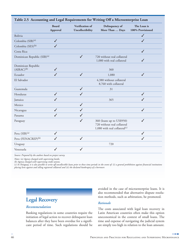|                                         | <b>Board</b><br>Approval | Verification of<br>Uncollectibility | Delinquency of<br>More Than  Days                                                                     | The Loan is<br>100% Provisioned |
|-----------------------------------------|--------------------------|-------------------------------------|-------------------------------------------------------------------------------------------------------|---------------------------------|
| Bolivia                                 |                          |                                     |                                                                                                       | ✓                               |
| Colombia (SIB) <sup>(a)</sup>           | $\checkmark$             |                                     |                                                                                                       | $\checkmark$                    |
| Colombia (SES) <sup>(b)</sup>           | $\checkmark$             |                                     |                                                                                                       |                                 |
| Costa Rica                              |                          |                                     |                                                                                                       | ✓                               |
| Dominican Republic (SIB) <sup>(a)</sup> |                          | ✓                                   | 720 without real collateral<br>1,080 with real collateral                                             |                                 |
| Dominican Republic<br>$(AIRAC)^{(b)}$   |                          |                                     | 360                                                                                                   |                                 |
| Ecuador                                 | $\checkmark$             | $\checkmark$                        | 1,080                                                                                                 | ✓                               |
| El Salvador                             |                          |                                     | 4,380 without collateral<br>8,760 with collateral                                                     |                                 |
| Guatemala                               |                          | $\checkmark$                        | 31                                                                                                    |                                 |
| Honduras                                | $\checkmark$             | $\checkmark$                        |                                                                                                       | $\checkmark$                    |
| Jamaica                                 | $\checkmark$             |                                     | 365                                                                                                   | $\checkmark$                    |
| Mexico                                  |                          | $\checkmark$                        |                                                                                                       |                                 |
| Nicaragua                               | $\checkmark$             | ✓                                   |                                                                                                       | $\checkmark$                    |
| Panama                                  | $\checkmark$             | $\checkmark$                        |                                                                                                       |                                 |
| Paraguay                                |                          | $\checkmark$                        | 360 (loans up to US\$950)<br>720 without real collateral<br>1,080 with real collateral <sup>(c)</sup> | $\checkmark$                    |
| Peru (SIB) <sup>(a)</sup>               | $\checkmark$             |                                     |                                                                                                       | $\checkmark$                    |
| Peru (FENACREP) <sup>(b)</sup>          | $\checkmark$             | $\checkmark$                        |                                                                                                       | $\checkmark$                    |
| Uruguay                                 |                          |                                     | 720                                                                                                   |                                 |
| Venezuela                               | ✓                        | ✓                                   |                                                                                                       |                                 |

*Source: Prepared by the authors based on project survey.*

*Notes: (a) Agency charged with supervising banks.*

*(b) Agency charged with supervising credit unions.* 

*(c) In Paraguay, it is also possible to write off uncollectible loans prior to these time periods in the event of: (i) a general prohibition against financial institutions placing liens against and selling registered collateral and (ii) the declared bankruptcy of a borrower.*

### **Legal Recovery**

#### *Recommendation*

Banking regulations in some countries require the initiation of legal action to recover delinquent loan balances after they have been overdue for a significant period of time. Such regulations should be avoided in the case of microenterprise loans. It is also recommended that alternative dispute resolution methods, such as arbitration, be promoted.

#### *Rationale*

The costs associated with legal loan recovery in Latin American countries often make this option uneconomical in the context of small loans. The time and expense of navigating the judicial system are simply too high in relation to the loan amount.

**The College**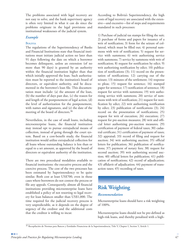The problems associated with legal recovery are not easy to solve, and the bank supervisory agency is often very limited in what it can do since the problems originate in the legal provisions and institutional weaknesses of the judicial system.

#### *Example*

#### **BOLIVIA**

The regulations of the Superintendency of Banks and Financial Institutions state that financial institutions must initiate judicial action no later than 91 days following the date on which a borrower becomes delinquent, unless an extension (of no more than 90 days) is granted by an authority within the financial institution higher than that which initially approved the loan. Such authorization must be reported to the institution's board of directors, or equivalent authority, and be documented in the borrower's loan file. This documentation must include: (a) the amount of the loan, (b) the number of days past due, (c) the reason for and length of the postponement of legal action, (d) the level of authorization for the postponement, with names and signatures, and (e) the date of the meeting of the board of directors.<sup>36</sup>

Nevertheless, in the case of small loans, including microenterprise loans, the financial institution may instead opt to pursue extrajudicial means of collection, instead of going through the court system. Based on a cost-benefit study, the financial institution would utilize extrajudicial collection for all loans whose outstanding balance is less than or equal to a set amount, as approved by the board of directors or equivalent authority of the institution.

There are two procedural modalities available to financial institutions: the executive process and the coercive process. The cost of the two processes has been estimated by Superintendency to be quite similar. Both cost at least US\$700, even in those cases where borrowers do not contest the process or file any appeals. Consequently, almost all financial institutions providing microenterprise loans have established a policy of not resorting to legal recovery for loan balances smaller than US\$1,000. The time required for the judicial recovery process is very unpredictable, as it depends on the degree of urgency of the creditor and the additional costs that the creditor is willing to incur.

According to Bolivia's Superintendency, the high costs of legal recovery are associated with the extensive—and excessive—list of steps and requirements mandated in such processes:

1) Purchase of judicial tax stamps for filing the suit; 2) purchase of forms and papers for issuance of a writ of notification; 3) form for the seizure of collateral, which must be filled out; 4) personal summons with writ of notification; 5) request for service with summons; 6) writ authorizing service with summons; 7) service by summons with writ of notification; 8) request for notification by edict; 9) writ authorizing notification by edict; 10) publication of notifications (3); 11) record on the presentation of notifications; 12) carrying out of the seizure; 13) minutes of the settlement; 14) response to pleas; 15) request for sentence; 16) stamped paper for sentence; 17) notification of sentence; 18) request for service with summons; 19) writ authorizing service with summons; 20) service of summons with writ of notification; 21) request for notification by edict; 22) writ authorizing notification by edict; 23) publication of notifications (3); 24) record on the presentation of notifications; 25) request for writ of execution; 26) execution; 27) request for pre-auction measures; 28) writ and official letter authorizing pre-auction measures; 29) certification of payment of federal taxes; 30) cadastral certificate; 31) certification of payment of taxes; 32) appraisal; 33) record of filing and request for auction; 34) writ authorizing auction; 35) official letters for publication; 36) publication of notifications; 37) payment of notary fees; 38) request for second auction; 39) writ authorizing second auction; 40) official letters for publication; 41) publication of notifications; 42) record of adjudication; 43) affidavit of adjudication; 44) payment of transaction taxes; 45) recording of taxes.

# **Risk Weighting**

#### *Recommendation*

Microenterprise loans should have a risk weighting of 100%.

Microenterprise loans should not be pre-defined as high-risk loans, and thereby penalized with a high-

<sup>36</sup> Recopilación de Normas para Bancos y Entidades Financieras de la Superintendencia, Title V, Chapter I, Section 5, Article 1.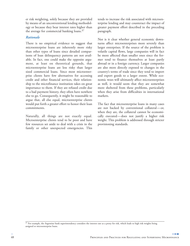er risk weighting, solely because they are provided by means of an unconventional lending methodology or because they bear interest rates higher than the average for commercial banking loans. $37$ 

#### *Rationale*

There is no empirical evidence to suggest that microenterprise loans are inherently more risky than other types of loans since detailed comparisons of loan delinquency patterns are not available. In fact, one could make the opposite argument, at least on theoretical grounds, that microenterprise loans are less risky than larger sized commercial loans. Since most microenterprise clients have few alternatives for accessing credit and other financial services, their relationship to the microfinance institution takes on great importance to them. If they are refused credit due to a bad payment history, they often have nowhere else to go. Consequently, it might be reasonable to argue that, all else equal, microenterprise clients would put forth a greater effort to honor their loan commitments.

Naturally, all things are not exactly equal. Microenterprise clients tend to be poor and have few resources set aside to deal with a crisis in the family or other unexpected emergencies. This

tends to increase the risk associated with microenterprise lending and may counteract the impact of greater payment effort described in the preceding paragraph.

Nor is it clear whether general economic downturns affect microenterprises more severely than larger enterprises. If the source of the problem is volatile capital flows, large companies will in fact be more affected than smaller ones since the former tend to finance themselves at least partly abroad or in a foreign currency. Larger companies are also more directly exposed to changes in the country's terms of trade since they tend to import and export goods to a larger extent. While economic woes will ultimately affect microenterprises as well, it would seem that they are somewhat more sheltered from these problems, particularly when they arise from difficulties in international markets.

The fact that microenterprise loans in many cases are not backed by conventional collateral—or, when they are, the collateral cannot be economically executed—does not justify a higher risk weight. This problem is addressed through stricter provisioning standards.

<sup>37</sup> For example, the Argentine bank superintendency considers the interest rate as a proxy for risk, which leads to high risk weights being assigned to microenterprise loans.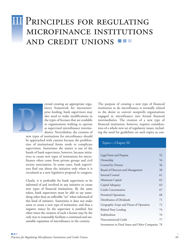# **III** PRINCIPLES FOR REGULATING MICROFINANCE INSTITUTIONS AND CREDIT UNIONS



eyond creating an appropriate regulatory framework for microenterprise lending, bank supervisors may also need to make modifications in the types of licenses that are available to organizations wishing to operate as supervised microfinance intermediaries. Nevertheless, the creation of

new types of institutions for microfinance should be approached with caution because the proliferation of institutional forms tends to complicate supervision. Sometimes the matter is out of the hands of bank supervisors, however, because initiatives to create new types of institutions for microfinance often come from private groups and civil society associations. In some cases, bank supervisors find out about the initiative only when it is circulated as a new legislative proposal in congress.

Clearly, it is preferable for bank supervisors to be informed of and involved in any initiative to create new types of financial institutions. By the same token, bank supervisors must be able to say something other than an inflexible "no" when informed of this kind of initiative. Sometimes it does not make sense to create a new type of institution, and thus a negative stance by the supervisor is justified, but other times the creation of such a license may be the only way to reasonably facilitate a continued and sustainable expansion of microfinance in the country.

The purpose of creating a new type of financial institution to do microfinance is normally related to the desire to convert nonprofit organizations engaged in microfinance into formal financial intermediaries. The creation of a new type of financial institution, however, requires consideration of a whole new set of regulatory issues, including the need for guidelines on such topics as con-

#### Topics—Chapter III

| Legal Form and Purpose                             | 52 |
|----------------------------------------------------|----|
| Ownership                                          | 54 |
| Control by Owners                                  | 56 |
| Board of Directors and Management                  | 58 |
| Internal Control                                   | 61 |
| Minimum Capital                                    | 62 |
| Capital Adequacy                                   | 63 |
| <b>Credit Concentration</b>                        | 67 |
| Permitted Operations                               | 68 |
| Distribution of Dividends                          | 71 |
| Geographic Scope and Hours of Operation            | 72 |
| Related Party Lending                              | 74 |
| Indebtedness                                       | 76 |
| Noncommercial Credit                               | 77 |
| Investments in Fixed Assets and Other Companies 78 |    |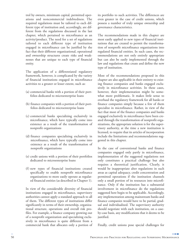trol by owners, minimum capital, permitted operations and noncommercial indebtedness. The required regulations must be tailored to each different type of institution and, accordingly, are different from the regulations discussed in the last chapter, which pertained to microfinance as an activity/product. The need for a set of regulations tailored to each different type of institution engaged in microfinance can be justified by the fact that their different organizational, operational and ownership structures create risks and weaknesses that are unique to each type of financial entity.

The application of a differentiated regulatory framework, however, is complicated by the variety of financial institutions engaged in microfinance activities to a greater or lesser extent, such as:

- (a) commercial banks with a portion of their portfolios dedicated to microenterprise loans
- (b) finance companies with a portion of their portfolios dedicated to microenterprise loans
- (c) commercial banks specializing exclusively in microfinance, which have typically come into existence as a result of the transformation of nonprofit organizations
- (d) finance companies specializing exclusively in microfinance, which have typically come into existence as a result of the transformation of nonprofit organizations
- (e) credit unions with a portion of their portfolios dedicated to microenterprise loans
- (f) new types of financial institutions created specifically to enable nonprofit microfinance organizations to more easily operate as regulated financial entities (as described in Chapter 1).

In view of the considerable diversity of financial institutions engaged in microfinance, supervisory authorities cannot apply a standard approach to all of them. The different types of institutions differ significantly in terms of their ownership, organizational structure, operations and overall risk profiles. For example, a finance company growing out of a nonprofit organization and specializing exclusively in microfinance is quite different from a commercial bank that allocates only a portion of its portfolio to such activities. The differences are even greater in the case of credit unions, which possess a number of truly unique ownership and governance characteristics.

The recommendations made in this chapter are most easily applied to new types of financial institutions that are created to permit the transformation of nonprofit microfinance organizations into regulated financial entities. In such cases, the recommendations are not only entirely appropriate but can also be easily implemented through the law and regulations that create and define the new type of institution.

Most of the recommendations proposed in this chapter are also applicable in their entirety to existing finance companies and banks engaged exclusively in microfinance activities. In these cases, however, their implementation might be somewhat more problematic. It makes little sense to overhaul the regulatory framework for all banks or finance companies simply because a few of them specialize in microfinance. Rather, in view of the fact that most of the finance companies and banks engaged exclusively in microfinance have been created through the transformation of nonprofit organizations, the appropriate solution is for the supervisory authority, at the time a new institution is licensed, to require that its articles of incorporation include the limitations and recommendations suggested in this chapter.

In the case of conventional banks and finance companies engaged only partly in microfinance, implementation of the suggested regulations not only constitutes a practical challenge but also requires a theoretical justification. Clearly, it would be inappropriate alter regulations in such areas as capital adequacy, credit concentration and permitted operations if the institution channels only a small portion of its resources into microfinance. Only if the institution has a substantial involvement in microfinance do the regulations suggested here begin to be applicable. Accordingly, any implementation among mainstream banks and finance companies would have to be partial, gradual and individualized. The supervisory authority should negotiate with each institution, on a caseby-case basis, any modifications that it deems to be justified.

Finally, credit unions pose special challenges for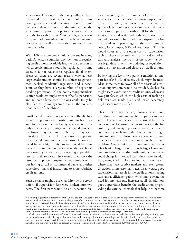supervisors. Not only are they very different from banks and finance companies in terms of their purpose, governance and operations, but in some countries, there are more credit unions than the supervisor can possibly hope to supervise effectively in the forseeable future.<sup>38</sup> As a result, supervisors in some Latin American countries have preferred not to make any effort to effectively supervise these intermediaries.

With 100 or more credit unions present in many Latin American countries, any mention of regulating credit unions invariably leads to the question of which credit unions should be regulated. In some cases, it is not realistic to regulate all of them. However, there are several reasons why at least large credit unions should be subject to government-backed prudential regulation and supervision: (a) they have a large number of depositors needing protection, (b) the bond among members is often weak, eroding elements of self-supervision, and (c) some large credit unions could fairly be classified as posing systemic risk in the conventional sense of the phrase.

Smaller credit unions present a more difficult challenge to supervisory authorities, inasmuch as they are often very numerous but typically account for only a very small percentage of the total deposits of the financial system. At first blush, it may seem unrealistic for the bank supervisor to supervise smaller credit unions since the costs of doing so could be very high. This problem could be overcome if the superintendencies were able to charge cost-covering or nearly cost-covering supervision fees for their services. They would then have the resources to properly supervise credit unions without having to call on commercial banks and other supervised financial institutions to cross-subsidize credit unions.

Such a system might be seen as fairer by the credit unions if supervision fees were broken into two parts. The first part would be an inspection fee,

levied according to the number of man-days of supervisory time spent on the on-site inspection of the credit union (much as is done in the German system of credit union supervision, where the credit unions are presented with a bill for the cost of services rendered at the end of the inspection). The second part would be a traditional supervision fee, calculated as a percentage of the credit union's assets, for example, 0.2% of total assets. This fee would cover all of the other costs of supervision, such as those associated with off-site data collection and analysis, the work of the superintendency's legal department, the updating of regulations, and the intervention and closure of credit unions.

By levying the fee in two parts, a traditional, onepart fee of 0.5–1% of assets, which might be needed in some cases to cover all of the costs of credit union supervision, would be avoided. Such a fee might seem exorbitant to credit unions, whereas a two-part fee, in which the high costs of making a field visit are made plain and levied separately, might seem more justified.

This is not to say that any financial institution, including credit unions, will like to pay for supervision. However, we believe that it would be in the credit union's long-run interest to pay even the full cost for good quality supervision, given the benefits conferred by such oversight. Credit unions might have to raise their loan rates somewhat to cover these added costs, but this should not be a major problem. Credit union loan rates are often below what banks charge even for much larger loans, and are also below what the credit unions themselves could charge for the small loans they make. In addition, many credit unions are located in rural areas, where they have captive markets and even greater discretion to increase loan rates. In any case, good supervision may result in the credit unions making substantial efficiency gains, which may obviate the need for any loan rate increases at all. In addition, good supervision benefits the credit union by providing the external controls that help it to become

<sup>&</sup>lt;sup>38</sup> The unique governance features of credit unions are linked in part to the fact that members can be depositors, borrowers and owners of the institution all at the same time. This readily leads to conflicts of interest in how the credit union should be run. Members who are net depositors are more concerned about the financial sustainability of the institution, and members who are net borrowers are more concerned about having continued access to inexpensive loans. Since all members have one vote, it is not obvious that the members with money at risk in the credit union (the depositors) will be able to dominate its management. In fact, it is often the other way around, which, in the case of many Latin American credit unions, has led to weak performance and a precarious existence on the verge of insolvency.

Credit unions exhibit a number of other distinctive characteristics that add to their governance challenges. For example, they typically operate in a much more restricted geographical area than banks, so they enjoy a much lower degree of diversification in both their loan portfolio and their funding sources (local deposits). For a more in-depth discussion of the characteristics of credit unions and the implications for their regulation and supervision, interested readers may consult Westley and Branch (2000a), Richardson (2000b) and Poyo (2000).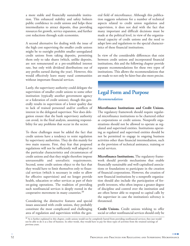a more stable and financially sustainable institution. This enhanced stability and safety bolsters public confidence in credit unions and helps these intermediaries to attract deposits, thus providing resources for growth, service expansion, and further cost reductions through scale economies.

A second alternative for dealing with the issue of the high cost supervising the smaller credit unions might be to outright prohibit smaller unregulated credit unions from taking deposits, permitting them only to take shares (which, unlike deposits, are not remunerated at a pre-established interest rate, but only with dividend distributions out of any profits earned during the year). However, this would effectively leave many rural communities without important financial services.

Lastly, the supervisory authority could delegate the supervision of smaller credit unions to some other institution (typically another government agency or a federation of credit unions), though this generally results in supervision of a lower quality due to lack of trained personnel and/or conflicts of interest in the delegated supervisor. Nor does delegation ensure that the bank supervisory authority can avoid, in the final analysis, assuming responsibility for any problems that occur in the sector.

To these challenges must be added the fact that credit unions have a tendency to resist regulation by supervisory authorities. They do this mainly for two main reasons. First, they fear that proposed regulations will not be sufficiently well adapted to the particular characteristics and circumstances of credit unions and that they might therefore impose unreasonable and unrealistic requirements. Second, some credit unions object to the fact that they would have to limit themselves only to financial services (which is necessary in order to allow for effective supervision) and no longer provide health, education or other services as part of their on-going operations. The tradition of providing such nonfinancial services is deeply rooted in the cooperative movement in many countries.<sup>39</sup>

Considering the distinctive features and special issues associated with credit unions, they probably constitute the most complicated and challenging area of regulation and supervision within the general field of microfinance. Although this publication suggests solutions for a number of technical aspects related to credit union regulation and supervision, it does not deal with the fact that many important and difficult decisions must be made at the political level, in view of the organizational capacity of credit unions and the need to adapt laws and regulations to the special characteristics of these financial institutions.

In view of the considerable differences that exist between credit unions and incorporated financial institutions, this and the following chapter provide separate recommendations for these two types of institutions. This allows the recommendations that are made to not only be fairer but also more precise.

### **Legal Form and Purpose** *Recommendation*

**Microfinance Institutions and Credit Unions.** The regulatory framework should require regulated microfinance institutions to be chartered either as corporations or credit unions. Nonprofit organizations should not be allowed to operate as regulated and supervised entities. Institutions operating as regulated and supervised entities should be not be permitted to engage in ongoing business activities other than financial intermediation, such as the provision of technical assistance, training or social services.

**Microfinance Institutions.** The regulatory framework should provide mechanisms that enable financially sustainable and well-capitalized associations or foundations to participate in the creation of financial corporations. However, the creation of new financial institutions by a nonprofit organization should also include the participation of forprofit investors, who often impose a greater degree of discipline and control over the institution and are often better able to respond to capital calls by the supervisor in case the institution's solvency is threatened.

**Credit Unions.** Credit unions wishing to offer social or other nonfinancial services should only be

<sup>39</sup> As is further explained in this chapter, credit unions would not be completely barred from providing nonfinancial services; they just would not be able to do it as a line of business. In other words, they would have to pay for these types of activities from the retained earnings of previous years.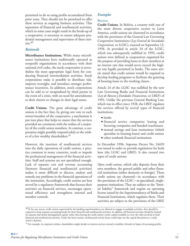permitted to do so using profits accumulated from prior years. They should not be permitted to offer these services as ongoing business activities. This separation of financial and nonfinancial activities, which in some cases might result in the break-up of a cooperative, is necessary to ensure adequate prudential management and supervision of these entities. $40$ 

#### *Rationale*

**Microfinance Institutions.** While many microfinance institutions have traditionally operated as nonprofit organizations in accordance with their national civil codes, the stock corporation is nevertheless the most appropriate legal form for conducting financial intermediation activities. Stock corporations make it possible to distribute risk, improve oversight, and introduce stronger performance incentives. In addition, stock corporations can be sold to or recapitalized by third parties in the event of a crisis, with no need for amendments to their charter or changes in their legal status.

**Credit Unions.** The great advantage of credit unions is the fact that, by giving one vote to each owner/member of the cooperative, a mechanism is put into place that helps to ensure that the services provided are consistent with the wishes of a majority of the credit union members. In contrast, a corporation might possibly respond solely to the wishes of a few wealthy shareholders.<sup>41</sup>

However, the insertion of nonfinancial services into the daily operations of credit unions, a practice common in many countries, tends to impede the professional management of the financial activities. Staff and systems are not specialized enough. Lack of separate cost and revenue accounting (between financial and nonfinancial activities) makes it more difficult to discern, analyze and remedy any problems in the financial operations of the institution. Accordingly, credit unions are best served by a regulatory framework that focuses their activities on financial services, encourages operational efficiency and strengthens internal and member controls.

#### *Examples*

#### **BOLIVIA**

**Credit Unions.** In Bolivia, a country with one of the most diverse cooperative sectors in Latin America, credit unions are chartered in accordance with the provisions of the General Law Governing Cooperative Institutions (*Ley General de Sociedades Cooperativas,* or LGSC), enacted on September 13, 1958. As provided in article 24 of the LGSC, which was subsequently nullified in 1993, credit unions were defined as cooperatives organized for the purpose of providing loans to their members at an interest rate that would never exceed the highest rate legally permitted to banks. The same article stated that credit unions would be required to develop lending programs to facilitate the granting of housing loans to the working classes.

Article 24 of the LGSC was nullified by the new Law Governing Banks and Financial Institutions (*Ley de Bancos y Entidades Financieras,* or LBEF) of 1993. Unlike the previous General Banking Law, which was in effect since 1928, the LBEF regulates the services offered by several types of financial institutions:

- **●** banks
- **●** financial service companies: leasing and factoring companies and bonded warehouses
- **●** mutual savings and loan institutions (which specialize in housing loans) and credit unions
- **●** other nonbank financial institutions

In December 1996, Supreme Decree No. 24439 was issued in order to provide regulations for both laws (the LGSC and LBEF). It also created two types of credit unions:

*Open credit unions*, which take deposits from their own members, the general public and other financial institutions (either domestic or foreign). These credit unions are chartered—in accordance with the provisions of the LGSC—as specialized, singlepurpose institutions. They are subject to the "limited liability" framework and require an operating license issued by the Superintendency of Banks and Financial Institutions, which regulates them. Their activities are subject to the provisions of the LBEF

 $^{40}$  If, for any reason, credit unions supervised by the banking superintendency are allowed to engage in multiple activities, they should be required to keep separate accounting books for their financial and nonfinancial activities. In addtion, all financial activities should be backed by separate and clearly distinguished capital, rather than having the credit union's entire capital available to cover the risks involved in both financial and nonfinancial activities. Under the latter system, nonfinancial activity losses could wipe out the capital that protects a credit union's deposits.

<sup>&</sup>lt;sup>41</sup> For example, in corporate entities, shareholders might decide to reorient services toward a wealthier clientele in hopes of increasing profits.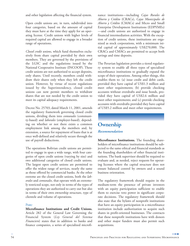and other legislation affecting the financial system.

Open credit unions are, in turn, subdivided into four categories, based on the amount of capital they must have at the time they apply for an operating license. Credit unions with higher levels of required capital are allowed to engage in a broader range of operations.

*Closed credit unions*, which fund themselves exclusively from share capital provided by their own members. They are governed by the provisions of the LGSC and the regulations issued by the National Cooperative Institute (INCOOP). These credit unions are not authorized to accept deposits, only shares. Until recently, members could withdraw their shares only when they left the credit union. However, by virtue of recent regulations issued by the Superintendency, closed credit unions can now permit members to withdraw shares that are not needed by the credit union to meet its capital adequacy requirements.

Decree No. 25703, dated March 11, 2001, amends the regulatory framework governing closed credit unions, dividing them into *comunales* (community-based) and *laborales* (employer-based), depending on whether or not there exists a common employment link among the members and, by extension, a source for repayment of loans that is at once well-defined and relatively secure through the use of payroll deductions.

The operations Bolivian credit unions are permitted to engage in span a wide range, with four categories of open credit unions (varying by size) and two additional categories of closed credit unions. The largest open credit unions are permitted to offer the widest range of services, nearly the same as those offered by commercial banks. At the other extreme are the closed credit unions, both the *laborales* and *comunales,* that operate with an extremely restricted scope, not only in terms of the types of operations they are authorized to carry out but also in terms of their own ownership structure, type of clientele and volume of operations.

#### **PERU**

**Microfinance Institutions and Credit Unions.** Article 282 of the General Law Governing the Financial System (*Ley General del Sistema Financiero*) states that in addition to banks and finance companies, a series of specialized microfinance institutions—including *Cajas Rurales de Ahorro y Crédito* (CRACs), *Cajas Municipales de Ahorro y Crédito* (CMACs) and Micro and Small Enterprise Development Institutions (EDPYMEs) —and credit unions are authorized to engage in financial intermediation activities. With the exception of credit unions, these institutions are organized as stock corporations, with a minimum initial capital of approximately US\$270,000. The CRACs and CMACs are permitted to accept both savings and time deposits.

The Peruvian legislation provides a tiered regulatory system to enable all three types of specialized microfinance institutions to gradually expand the scope of their operations. Among other things, this enables them to: (a) issue credit and debit cards, provided they have capital of US\$1.3 million and meet other requirements; (b) provide checking accounts without overdrafts and issue bonds, provided they have capital of US\$2.6 million and meet other requirements; and (c) provide checking accounts with overdrafts provided they have capital of US\$5.2 million and meet other requirements.

### **Ownership** *Recommendation*

**Microfinance Institutions.** The founding shareholders of microfinance institutions should be subjected to the same ethical and financial standards as the founding shareholders of other financial institutions. The bank supervisor should be required to evaluate and, as needed, reject requests for operating licenses where the capital structure does not ensure balanced control by owners and a sound business orientation.

The regulatory framework should require in the medium-term the presence of private investors with an equity participation sufficient to enable them to exercise veto power in significant corporate decisions. The regulatory framework should also state that the bylaws of nonprofit institutions that have an equity participation in a microfinance institution include authorization to acquire such shares in profit-oriented businesses. The contracts that these nonprofit institutions have with donors and other major funders must also permit such acquisitions.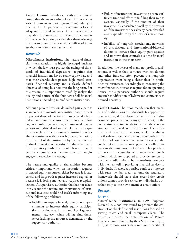**Credit Unions.** Regulatory authorities should ensure that the membership of a credit union consists of *individuals* (not organizations) who join together for the purpose of overcoming a lack of adequate financial services. Other cooperatives may also be allowed to participate in the ownership of a credit union provided that there exist regulations to prevent the potential conflicts of interest that can arise in such structures.

#### *Rationale*

**Microfinance Institutions.** The nature of financial intermediation—a highly leveraged business in which the law must protect the savings of thousands of individual depositors—requires that financial institutions have a stable equity base and that their shareholders possess high moral standards, financial capacity and a clearly defined objective of doing business over the long term. For this reason, it is important to carefully analyze the quality and nature of the founders of all financial institutions, including microfinance institutions.

Although private investors do indeed participate as shareholders in microfinance institutions, the most important shareholders to date have generally been federal and municipal governments, local and foreign nonprofit organizations, international organizations and bilateral aid agencies. Equity participation by such entities in a financial institution is not always consistent with a clear business orientation, firm control of the institution by the owners and optimal protection of deposits. On the other hand, the supervisory authority should beware that in certain circumstances private investors might engage in excessive risk taking.

The nature and quality of shareholders become critically important when an institution requires increased equity resources, either because it is successful and its growth requires increased capital, or because it is losing money and requires recapitalization. A supervisory authority that has not taken into account the nature and motivations of institutional investors could find itself confronting any of the following problems:

**●** Inability to require federal, state or local governments to increase their equity participation in a financial institution. Local governments may, even when willing, find themselves lacking the resources demanded by the supervisory authority.

- **●** Failure of institutional investors to devote sufficient time and effort to fulfilling their role as owners, especially if the amount of their investment is considered small by the investor or if the investment has already been classified as an expenditure by the investor's tax authority.
- **●** Inability of nonprofit associations, networks of associations and international/bilateral donors to increase their equity participation and improve their controls over the financial institution in the short term.

In addition, the bylaws of many nonprofit organizations, as well as their contracts with key donors and other funders, often prevent the nonprofit organization from being a shareholder in profitoriented businesses. Accordingly, in processing the microfinance institutions's request for an operating license, the supervisory authority should require any such modification of bylaws and contracts as is deemed necessary.

**Credit Unions.** The recommendation that members of credit unions be individuals (as opposed to organizations) derives from the fact that the indiscriminate participation by any type of entity in the cooperative structure tends to dampen the cooperative spirit and weaken the institution. The participation of other credit unions, while not always not ill-advised, can nevertheless create problems in the form of conflicts of interest in cases where the credit unions offer, or may potentially offer, services to the same group of clients. This problem can occur in countries with second-tier credit unions, which are supposed to provide services to member credit unions, but sometimes compete with them as well in providing financial services to individuals. To avoid a possible conflict of interest with such member credit unions, the regulatory framework should state that second-tier credit unions cannot provide services to individuals, but, rather, only to their own member credit unions.

#### *Examples*

#### **BOLIVIA**

**Microfinance Institutions.** In 1995, Supreme Decree No. 24000 was issued to promote the creation of nonbank financial institutions focused on serving micro and small enterprise clients. The decree authorizes the organization of Private Financial Funds (known by their Spanish acronym, FFP) as corporations with a minimum capital of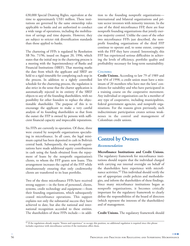630,000 Special Drawing Rights, equivalent at the time to approximately US\$1 million. These institutions are governed by the same ownership rules applicable to banks and are authorized to conduct a wide range of operations, including the mobilization of savings and time deposits. However, they are subject to stricter risk diversification standards than those applied to banks.

The chartering of FFPs is regulated by Resolution SB No. 71/96, issued on August 20, 1996, which states that the initial step in the chartering process is a meeting with the Superintendency of Banks and Financial Institutions (SBEF). That meeting marks the date from which the applicant and SBEF are held to a rigid timetable for completing each step in the process. In addition to a tightly controlled schedule for the chartering process, the regulation is also strict in the sense that the charter application is automatically rejected in its entirety if the SBEF objects to any of the founding shareholders, with no possibility for other founders to replace the objectionable shareholder. The purpose of this is to encourage the applicant to make a very careful analysis of its founding shareholders so that from the outset the FFP is owned by persons with sufficient financial capacity and impeccable reputations.

Six FFPs are currently in operation. Of these, three were created by nonprofit organizations specializing in microfinance. In all cases, the legal minimum capital has been deposited in cash in Bolivia's central bank. Subsequently, the nonprofit organizations have made additional equity contributions in cash using the funds obtained from the repayment of loans by the nonprofit organization's clients, to whom the FFP grants new loans. This arrangement increases the capital of the FFP while simultaneously ensuring that only creditworthy clients are transferred to its loan portfolio.

Two of the three microfinance FFPs have received strong support—in the form of personnel, clients, systems, credit technology and equipment—from their founding organizations, which subsequently ceased microfinance operations. This support explains not only the substantial success they have achieved to date, but also the national and international recognition accorded to these entities. The shareholders of these FFPs include—in addi-

tion to the founding nonprofit organizations international and bilateral organizations and private sector investors with minority interests. In the case of the third microfinance FFP, there are four nonprofit founding organizations that jointly exercise majority control. Unlike the cases of the other two microfinance FFPs just described, the nonprofit founding organizations of the third FFP continue to operate and, to some extent, compete with the FFP they have created. Interestingly, this FFP has experienced serious difficulties in achieving the levels of efficiency, portfolio quality and profitability necessary for long-term sustainability.

#### **COLOMBIA**

**Credit Unions.** According to law 79 of 1989 and law 454 of 1998, a credit union must have a minimum of 20 members who have met the laws' conditions for suitability and who have participated in a training course on the cooperative movement. Any individual or organization can be a member of any type of cooperative, including municipalities, federal government agencies, and nonprofit organizations. For the reasons given previously, such indiscriminate participation creates serious weaknesses in the control and management of Colombian credit unions.

## **Control by Owners**

#### *Recommendation*

**Microfinance Institutions and Credit Unions.** The regulatory framework for microfinance institutions should require that the individual charged with carrying out internal oversight on behalf of the shareholders have experience with microfinance activities.<sup>42</sup> This individual should verify the use of appropriate credit policies and methodologies, and inform the shareholders of these findings. Since many microfinance institutions began as nonprofit organizations, it becomes critically important for the regulatory framework to clearly define the responsibilities of the board of directors (which represent the interests of the shareholders) and of management.

**Credit Unions.** The regulatory framework should

<sup>42</sup> If the regulations already require "fitness and experience" to occupy this position, no additional regulation is required since this phrase includes experience with microfinance activites if the institution offers them.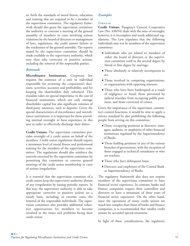set forth the standards of moral fitness, education and training that are required to be a member of the supervision committee. The regulatory framework should also grant the supervision committee the authority to convene a meeting of the general assembly of members in cases involving serious violations by the board of directors or management of laws, regulations, the credit union's bylaws or the resolutions of the general assembly. The reports issued by the supervision committee should be made available to the supervisory authority, which may then take corrective or punitive actions, including the removal of the responsible parties.

#### *Rationale*

**Microfinance Institutions.** Corporate law requires the existence of a unit or individual responsible for reviewing the corporation's decisions, activities, accounts and profitability, and for keeping the shareholders duly informed. This mandate takes on special importance in the case of financial institutions, which not only manage shareholder capital but also significant volumes of third-party resources, such as deposits. Given the special characteristics of microfinance and microfinance institutions, it is important for those providing internal oversight to have experience in this area in order to effectively discharge their duties.

**Credit Unions.** The supervision committee provides oversight of a credit union on behalf of the members. Credit union regulations should require a minimum level of moral fitness and professional training for the members of the supervision committee. The regulations should also reinforce the controls exercised by the supervision committee by permitting this committee to convene general meetings of the credit union membership in cases of serious irregularities.

It is essential that the supervision commitee of a credit union keep the supervisory authority abreast of any irregularities by issuing periodic reports. In this way, the supervisory authority is able to take appropriate corrective or punitive actions on a timely basis, including, in extreme cases, the removal of the responsible individuals. The supervision committee also provides additional volunteer opportunities for members to become involved in the issues and problems facing their credit union.

#### *Examples*

#### **PARAGUAY**

**Credit Unions.** Paraguay's General Cooperative Law (No. 438/94) deals with the issue of oversight; however, it is incomplete and needs additional regulations. The Law stipulates that the following individuals may not be members of the supervision committee:

- **●** Individuals who are related to members of either the board of directors or the supervision committee itself in the second degree by blood or first degree by marriage.
- **●** Those absolutely or relatively incompetent to act.
- **●** Those involved in competing organizations, or organizations with opposing interests.
- **●** Those who have been bankrupted as a result of negligence or fraud, those prevented by judicial mandate from occupying public positions, and those convicted of crimes.

Given the importance of the supervision committee's control functions, it would be wise to apply a stricter standard by also prohibiting the following people from serving on this committee:

- Those occupying positions as directors, managers, auditors*,* or employees of other financial institutions regulated by the Superintendency of Banks.
- **●** Those holding positions in any of the various branches of government, with the exception of those engaged as technical consultants or who are teachers.
- **●** Those who have delinquent loans.
- **●** Directors and employees of the Central Bank or Superintendency of Banks.

The regulatory framework also does not require members of the supervision committee to have financial sector experience. In contrast, banks and finance companies require their controllers and directors to have a minimum of three years of financial sector experience. On the other hand, since the operations of many credit unions are much less complex than those of banks and finance companies, it is recommended that smaller credit unions be accorded special treatment.

In light of these considerations, the regulatory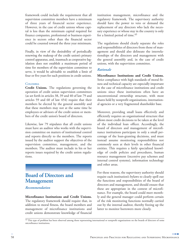framework could include the requirement that all supervision committee members have a minimum of three years of financial sector experience. However, in the case of credit unions whose capital is less than the minimum capital required for finance companies, professional or business experience in sectors other than the financial sector could be counted toward the three year minimum.

Finally, in view of the desirability of periodically renewing the makeup of the credit union's primary control apparatus, and, inasmuch as cooperative legislation does not establish a maximum period of time for members of the supervision committee to serve, it would be advisable to establish a limit of four or five years for such positions in credit unions.

#### **COLOMBIA**

**Credit Unions.** The regulations governing the operation of credit union supervision committees (as set forth in articles 38, 39 and 40 of law 79 and articles 59 and 60 of law 454) require that their members be elected by the general assembly and that these members may not at the same time be employees or advisors of the credit union or members of the credit union's board of directors.

Likewise, law 79 stipulates that all credit unions must have an auditor who works with the supervision committee on matters of institutional control and reports directly to the members. The reports issued by the auditor support the objectives of the supervision committee, management, and the members. The auditor must include in his or her reports issues required by the credit union regulations.

### **Board of Directors and Management**

*Recommendation*

#### **Microfinance Institutions and Credit Unions.** The regulatory framework should require that, in addition to moral fitness, the board members and management of microfinance institutions and credit unions demonstrate knowledge of financial

institution management, microfinance and the regulatory framework. The supervisory authority should have the power to veto or demand the replacement of any directors who lack the necessary experience or whose stay in the country is only for a limited period of time.<sup>43</sup>

The regulations should clearly separate the roles and responsibilities of directors from those of management and should also delineate the interrelationships of the directors and management with the general assembly and, in the case of credit unions, with the supervision committee.

#### *Rationale*

**Microfinance Institutions and Credit Unions.** Strict compliance with high standards of moral fitness and technical capacity are especially important in the case of microfinance institutions and credit unions since these institutions often have an unconventional ownership structure, with most shares held by nonprofit organizations, international agencies or a very fragmented shareholder base.

Moreover, providing small loans effectively and efficiently requires an organizational structure that allows most credit decisions to be taken at the level of the individual loan officer. Accordingly, the board of directors and management of microfinance institutions participate in only a small percentage of the loan-granting decisions, and must instead assume monitoring responsibilities not commonly seen at their levels in other financial entities. This requires a fairly specialized knowledge of credit policies and procedures, human resource management (incentive pay schemes and internal control systems), information technology and other areas.

For these reasons, the supervisory authority should require each institution's bylaws to clearly spell out the functions and responsibilities of the board of directors and management, and should ensure that these are appropriate in the context of microfinance. For example, the board could meet monthly and the general manager could perform certain of the risk monitoring functions normally carried out by the internal auditor, thereby freeing up the latter to monitor borrowers more closely.

 $^{43}$  This type of problem has been observed among those representing international or nonprofit organizations on the boards of directors of some microfinance institutions.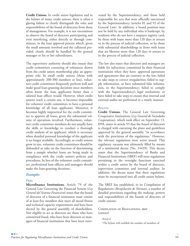**Credit Unions.** In credit union legislation and in the bylaws of many credit unions, there is often a glaring failure to clearly distinguish the roles and responsibilities of the board of directors from those of management. For example, it is not uncommon to observe the board of directors participating and even interfering, either directly or through committees, in the loan approval process which, given the small amounts involved and the collateral provided, clearly should be handled by the general manager or his or her subordinates.

The supervisory authority should also ensure that credit committees consisting of volunteers drawn from the credit union membership play an appropriate role. In small credit unions (those with approximately 200-300 members or less), volunteer credit committees frequently perform well and make good loan-granting decisions since members often know the loan applicants better than a salaried loan officer would. However, when credit unions reach a certain size, it becomes impossible for volunteer credit committees to have a personal knowledge of all loan applicants. Moreover, it becomes highly impractical for the credit committee to approve all loans, given the substantial volume of operations involved. Furthermore, volunteer credit committee members do not usually have the skills or knowledge to conduct a thorough credit analysis of an applicant, which is necessary when detailed personal knowledge of the applicant is no longer available. Accordingly, as credit unions grow in size, volunteer credit committees should be disbanded or take on the function of determining from a sample whether loans are being made in compliance with the credit union's policies and procedures. In lieu of the volunteer credit committee, professional loan officers and managers should make the loan-granting decisions.

#### *Examples*

#### **PERU**

**Microfinance Institutions.** Article 79 of the General Law Governing the Financial System (*Ley General del Sistema Financiero*) states that the board of directors of a financial institution must consist of at least five members that meet all moral fitness and technical capacity requirements and have been elected by the general assembly of shareholders. Not eligible to act as directors are those who have committed fraud, who have been directors or managers of financial institutions that have been intervened by the Superintendency, and those held responsible for acts that were officially sanctioned by the Superintendency (articles 81 and 92 of the General Law). In addition, a board position may not be held by any individual who is bankrupt, by residents who do not have a taxpayer registry card, by those with loans more than 120 days in arrears or in the process of judicial collection, or by those with substantial shareholdings in firms with loans that are likewise more than 120 days in arrears or in the process of judicial collection.

The law also states that directors and managers are liable for infractions committed by their financial institutions when they have: approved operations and agreements that are contrary to the law; failed to take steps to correct irregularities; failed to supply information, or have submitted false information, to the Superintendency; failed to comply with the Superintendency's legal resolutions; or have failed to take steps to ensure that internal and external audits are performed in a timely manner.

#### **BOLIVIA**

**Credit Unions.** The General Law Governing Cooperative Institutions (*Ley General de Sociedades Cooperativas*), which took effect on September 13, l958, states in article 93 that the board of directors is charged with executing the plans and guidelines approved by the general assembly "in accordance with the provisions of the regulations." However, the relevant regulations were never issued. This regulatory vacuum was ultimately filled by means of a ministerial decree (No. 24439). This decree states that the Superintendency of Banks and Financial Institutions (SBEF) will issue regulations pertaining to the oversight functions exercised within a credit union by the board of directors, supervision committee and internal auditor. In addition, the decree states that these regulations must be incorporated into all credit union bylaws.

The SBEF has established, in its Compilation of Regulations (*Recopilación de Normas*), a number of detailed provisions regarding the makeup, powers and responsibilities of the boards of directors of credit unions:

COMPILATION OF REGULATIONS, SBEF (extract)

*Article 6* "The bylaws will establish the number of members of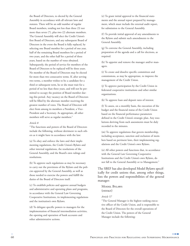the Board of Directors, to elected by the General Assembly in accordance with all relevant laws and statutes. There will be an odd number of regular Board members, totaling not less than three (3) nor more than seven (7), plus two (2) alternate members. The General Assembly will elect the Credit Union's first Board of Directors, and any subsequent Board of Directors in the event the Board is fully replaced, by selecting one Board member for a period of one year, half of the remaining Board members for a period of two years, and the other half for a period of three years, based on the number of votes obtained. Subsequently, the period of service for members of the Board of Directors to be replaced will be three years. No member of the Board of Directors may be elected for more than two consecutive terms. If, after serving two terms, a member wishes to be a candidate for a third or subsequent term, he or she must wait for a period of no less than three years, and will not be permitted to occupy the position of Board member during this period. Any vacancy on the Board of Directors will be filled by the alternate member receiving the greatest number of votes. The Board of Directors will elect from among its members a President, a Vice-President and a Secretary. As appropriate, all other members will serve as regular members."

#### *Article 8*

"The functions and powers of the Board of Directors include the following, without detriment to such others as it might have in accordance with the law:

(a) To obey and enforce the laws and their implementing regulations, the Credit Union's Bylaws and other internal regulations, the resolutions of the General Assembly, and the Board's own rulings and resolutions.

(b) To approve such regulations as may be necessary to carry out the provisions of the Bylaws and the policies approved by the General Assembly, as well as those needed to exercise the powers and fulfill the duties of the Board of Directors itself.

(c) To establish policies and approve annual budgets and administrative and operating plans and programs, in accordance with the General Law Governing Cooperative Institutions, its implementing regulations and the institution's own Bylaws.

(d) To delegate specific powers to managers for the implementation of financial intermediation activities, the opening and operation of bank accounts and other administrative actions.

(e) To grant initial approval to the financial statements and the annual report prepared by management, which must include the external audit report, for submission to the General Assembly.

(f) To provide initial approval of any amendments to the Bylaws and submit such amendments to the General Assembly.

(g) To convene the General Assembly, including preparation of the agenda and a call for elections, as required.

(h) To appoint and remove the manager and/or managers.

(i) To create and dissolve specific committees and commissions, as may be appropriate, to improve the management of the Credit Union.

(j) To approve participation by the Credit Union in federated cooperative institutions and other similar organizations.

(k) To approve loan and deposit rates of interest.

(l) To assess, on a monthly basis, the execution of the budget and the financial status of the Credit Union based on the financial performance parameters defined in the Credit Union's strategic plan. Any resolutions deriving from such assessments must be duly recorded in the minutes.

(m) To approve regulations that govern membership, including acceptance, sanction and exclusion of members based on pertinent laws, their implementing regulations and the Credit Union's own Bylaws.

(n) All other powers and functions that, in accordance with the General Law Governing Cooperative Institutions and the Credit Union's own Bylaws, do not fall to the General Assembly or to Management."

The SBEF has also developed Model Bylaws specifically for credit unions that, among other things, lists the powers and responsibilities of the general manager:

**MODEL BYLAWS** (extract)

#### *Article 57*

"The General Manager is the highest ranking executive officer of the Credit Union, and is responsible to the Board of Directors for the overall operations of the Credit Union. The powers of the General Manager include the following: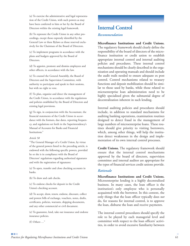(a) To exercise the administrative and legal representation of the Credit Union, with such powers as may have been conferred to him or her by the Board of Directors within the existing legal framework.

(b) To represent the Credit Union in any other proceedings, except those expressly identified by the General Law or these Bylaws as those reserved exclusively for the Chairman of the Board of Directors.

(c) To implement programs in accordance with the plans and budgets approved by the Board of Directors.

(d) To appoint, promote and dismiss employees and other officers, in accordance with the law.

(e) To counsel the General Assembly, the Board of Directors and the Supervision Committee, with authority to participate and speak in their sessions, but with no right to vote.

(f) To plan, organize and direct the management of the Credit Union, in accordance with the regulations and policies established by the Board of Directors and existing legal provisions.

(g) To sign, in conjunction with the Accountant, the financial statements of the Credit Union in accordance with the formats, due dates, reporting frequency, and regulations set forth in the Superintendency's Manual of Accounts for Banks and Financial Institutions."

#### *Article 58*

"The General Manager of a Credit Union, by virtue of the general powers listed in the preceding article, is endowed with the following specific powers, provided he or she is in compliance with the Board of Directors' regulations regarding authorized signatures and with the registration of signatures:

(a) To open, transfer and close checking accounts in banks.

(b) To draw and cash checks.

(c) To endorse checks for deposit in the Credit Union's checking account.

(d) To accept, draw, renew, endorse, discount, collect and protest bills of exchange, vouchers, notes, drafts, certificates, policies, warrants, shipping documents, and any other commercial or civil document.

(e) To guarantee, lend, take out insurance and endorse insurance policies.

(f) Others …"

### **Internal Control**

#### *Recommendation*

**Microfinance Institutions and Credit Unions.** The regulatory framework should clearly define the responsibility of the board of directors of the microfinance institution or credit union to establish appropriate internal control and internal auditing policies and procedures. These internal control mechanisms should be clearly described in the organization and operating manuals and should include the audit trails needed to ensure adequate ex post control. Control mechanisms related to treasury functions and deposit mobilization should be similar to those used by banks, while those related to microenterprise loan administration need to be highly specialized given the substantial degree of decentralization inherent in such lending.

Internal auditing policies and procedures should include, in addition to standard mechanisms for auditing banking operations, examination routines designed to detect fraud in the management of large numbers of microenterprise loans. These routines should give priority to visiting borrowers, which, among other things, will help the institution detect weaknesses in the design and implementation of its own internal control processes.

**Credit Unions.** The regulatory framework should ensure that the internal control mechanisms approved by the board of directors, supervision committee and internal auditor are appropriate for the types of financial services credit unions provide.

#### *Rationale*

**Microfinance Institutions and Credit Unions.** Microenterprise lending is a highly decentralized business. In many cases, the loan officer is the institution's only employee who is personally acquainted with the borrower. In this context, the only things that the loan officer typically does *not* do, for reasons for internal control, is to approve the loan, disburse the loan and receive payments.

The internal control procedures should specify the role to be played by each managerial level and committee with respect to the loan officers' activities, in order to avoid excessive familiarity between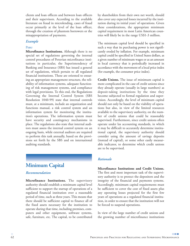clients and loan officers and between loan officers and their supervisors. According to the available literature on fraud in microlending, cases of fraud occur primarily at the level of the loan officer, through the creation of phantom borrowers or the misappropriation of payments.

#### *Example*

#### **PERU**

**Microfinance Institutions.** Although there is no special set of regulations governing the internal control procedures of Peruvian microfinance institutions in particular, the Superintendency of Banking and Insurance (SBS) has issued a general set of regulations, which pertain to all regulated financial institutions. These are oriented to ensuring an appropriate management structure, the reliability of information systems, adequate functioning of risk management systems, and compliance with legal provisions. To this end, the Regulations Governing the Internal Control System (SBS Resolution 1040-99) state that internal controls must, at a minimum, include an organization and functions manual, a risk control system and an information system for monitoring the institution's operations. The information system must have security and contingency mechanisms in place. The regulations also state that internal auditors must assess the internal control system on an ongoing basis, while external auditors are required to perform this task annually, based on the provisions set forth by the SBS and on international auditing standards.

### **Minimum Capital**

#### *Recommendation*

**Microfinance Institutions.** The supervisory authority should establish a minimum capital level sufficient to support the startup of operations of a regulated financial institution over a reasonable period of time, such as three years. This means that there should be sufficient capital to finance all of the fixed assets necessary for the institution to operate during that time, including premises, computers and other equipment, software systems, safe, furniture, etc. The capital, to be contributed

by shareholders from their own net worth, should also cover any expected losses incurred by the institution during its initial years' of operations. Given these considerations, the appropriate minimum capital requirement in most Latin American countries will likely be in the range US\$1-3 million.

The minimum capital level should be specified in such a way that its purchasing power is not significantly eroded by inflation. For example, minimum capital could be specified in United States dollars, as a given number of minimum wages or as an amount in local currency that is periodically increased in accordance with the movement of a local price index (for example, the consumer price index).

**Credit Unions.** The issue of minimum capital is more complicated in the case of credit unions since they already operate (usually in large numbers) as deposit-taking institutions by the time they become subjected to formal regulation and supervision. Accordingly, the level of minimum capital should not only be based on the viability of operations but also, in view of the limited resources available to the supervisory authority, on the number of credit unions that could be reasonably supervised. Furthermore, since credit unions often operate under lax accounting standards, in which it may be difficult to accurately determine institutional capital, the supervisory authority should consider using the amount of savings deposits (instead of capital), or some other easily measurable indicator, to determine which credit unions are to be supervised.

#### *Rationale*

**Microfinance Institutions and Credit Unions.** The first and most important task of the supervisory authority is to protect the depositors and the integrity of the financial and payments systems. Accordingly, minimum capital requirements must be sufficient to cover the cost of fixed assets plus any operating losses projected for the first few years of operations as a regulated financial institution, in order to ensure that the institution will not be forced to suspend operations.

In view of the large number of credit unions and the growing number of microfinance institutions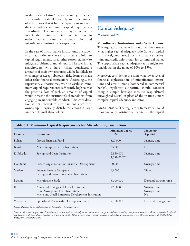in almost every Latin American country, the supervisory authority should carefully assess the number of institutions that it has the capacity to supervise directly and set minimum capital requirements accordingly. The supervisor may subsequently modify the minimum capital levels it has set in order to adjust the number of credit unions and microfinance institutions it supervises.

In the case of microfinance institutions, the supervisory authority may wish to increase minimum capital requirements for another reason, namely, to mitigate problems of moral hazard. The idea is that shareholders who have risked considerable amounts of their own resources will be less likely to encourage or accept obviously risky loans or make other risky financial transactions. Accordingly, the supervisory authority may wish to establish minimum capital requirements sufficiently high so that the potential loss of such an amount of capital would prevent the institution's shareholders from engaging in undesirable conduct. This consideration is not relevant to credit unions since their ownership is typically distributed among a large number of small shareholders.

### **Capital Adequacy**

#### *Recommendation*

**Microfinance Institutions and Credit Unions.** The regulatory framework should require a somewhat higher capital adequacy ratio (ratio of capital to risk-weighted assets) for microfinance institutions and credit unions than for commercial banks. The appropriate capital adequacy ratio might reasonably fall in the range of 10% to 15%.

Moreover, considering the somewhat lower level of financial sophistication of microfinance institutions and credit unions (compared to commercial banks), regulatory authorities should consider using a simple leverage measure (capital/total unweighted assets) in place of the relatively more complex capital adequacy indicator.

**Credit Unions.** The regulatory framework should recognize only institutional capital in the capital

| Country       | Institution                                                                                                                        | Minimum Capital<br>(US\$)      | <b>Can Accept</b><br>Deposits?             |
|---------------|------------------------------------------------------------------------------------------------------------------------------------|--------------------------------|--------------------------------------------|
| Bolivia       | Private Financial Fund                                                                                                             | 820,000                        | Savings, time                              |
| <b>Brazil</b> | Microenterprise Credit Institution                                                                                                 | 53,000                         | N <sub>o</sub>                             |
| El Salvador   | Savings and Loan Institution                                                                                                       | 2,850,000<br>$1,140,000^{(a)}$ | Savings, time                              |
| Honduras      | Private Organization for Financial Development                                                                                     | 60,000                         | Savings, time                              |
| Mexico        | Popular Finance Company<br>Savings and Loan Cooperative Institution                                                                | 45,000                         | Time                                       |
| Panama        | Microfinance Bank                                                                                                                  | 3,000,000                      | Demand, savings, time                      |
| Peru          | Municipal Savings and Loan Institution<br>Rural Savings and Loan Institution<br>Micro and Small Enterprise Development Institution | 270,000                        | Savings, time<br>Savings, time<br>$\rm No$ |
| Venezuela     | Specialized Microcredit Development Bank                                                                                           | 2,370,000                      | Demand, savings, time                      |

*Source: Prepared by the authors based on the results of the project survey*

*Note: (a) This lower requirement is applicable if the institution lends only to micro and small enterprises and accepts savings only from its borrowers. A microenterprise is defined as a business with fewer than 10 employees or less than US\$5,700 in monthly sales. A small enterprise is defined as a business with 10 to 50 employees or with US\$5,700 to US\$57,000 in monthly sales.*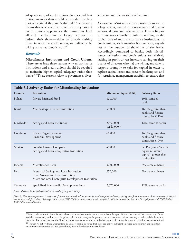adequacy ratio of credit unions. As a second best option, member shares could be considered to be a part of capital if they are "stabilized." Stabilization means that whenever the capital adequacy ratio of credit unions approaches the minimum level allowed, members are no longer permitted to redeem their shares—either by directly cashing them in with the credit union, or indirectly, by taking out an automatic loan.<sup>44</sup>

#### *Rationale*

**Microfinance Institutions and Credit Unions.** There are at least three reasons why microfinance institutions and credit unions should be required to maintain higher capital adequacy ratios than banks.<sup>45</sup> These reasons relate to governance, diversification and the volatility of earnings.

*Governance*. Most microfinance institutions are, to a large extent, owned by nongovernmental organizations, donors and governments. For-profit private investors contribute little or nothing to the capital base of most microfinance institutions. In credit unions, each member has one vote, regardless of the number of shares he or she holds. Accordingly, compared to banks, both microfinance institutions and credit unions are relatively lacking in profit-driven investors serving on their boards of directors who: (a) are willing and able to respond promptly to calls for capital in order to replace capital losses and prevent bankruptcy; and (b) scrutinize management carefully to ensure that

| Country       | Institution                                                                                                                        | Minimum Capital (US\$)         | <b>Solvency Ratio</b>                                                        |
|---------------|------------------------------------------------------------------------------------------------------------------------------------|--------------------------------|------------------------------------------------------------------------------|
| Bolivia       | Private Financial Fund                                                                                                             | 820,000                        | $10\%$ , same as<br>banks                                                    |
| <b>Brazil</b> | Microenterprise Credit Institution                                                                                                 | 53,000                         | 16.6%, greater than<br>banks and finance<br>companies (11%)                  |
| El Salvador   | Savings and Loan Institution                                                                                                       | 2,850,000<br>$1,140,000^{(a)}$ | 12%, same as banks                                                           |
| Honduras      | Private Organization for<br>Financial Development                                                                                  | 60,000                         | 16.6%, greater than<br>banks and finance<br>companies (10%)                  |
| Mexico        | Popular Finance Company<br>Savings and Loan Cooperative Institution                                                                | 45,000                         | 8-11% (lower % with<br>higher minimum<br>capital), greater than<br>banks (8% |
| Panama        | Microfinance Bank                                                                                                                  | 3,000,000                      | 8%, same as banks                                                            |
| Peru          | Municipal Savings and Loan Institution<br>Rural Savings and Loan Institution<br>Micro and Small Enterprise Development Institution | 270,000                        | 9%, same as banks                                                            |
| Venezuela     | Specialized Microcredit Development Bank                                                                                           | 2,370,000                      | 12%, same as banks                                                           |

*Source: Prepared by the authors based on the results of the project survey.*

*Note: (a) This lower requirement is applicable if the institution lends only to micro and small enterprises and accepts savings only from its borrowers. A microenterprise is defined as a business with fewer than 10 employees or less than US\$5,700 in monthly sales. A small enterprise is defined as a business with 10 to 50 employees or with US\$5,700 to US\$57,000 in monthly sales.*

 $^{44}$  Most credit unions in Latin America allow their members to take out automatic loans for up to 90% of the value of their shares, with funds available immediately and no need for prior credit or other analyses. In practice, members consider this an easy way to redeem their shares and one that allows them to avoid the 60-day or other mandatory waiting periods that many credit unions have put in place for share redemptions.

<sup>45</sup> Though we believe these arguments to be valid, it should be noted that there are not yet sufficient empirical data to firmly conclude that microfinance institutions are, as a general rule, more risky than commercial banks.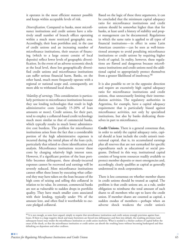it operates in the most efficient manner possible and keeps within acceptable levels of risk.

*Diversification*. Compared to banks, most microfinance institutions and credit unions have a relatively small number of branch offices operating within a much more restricted geographic area. Accordingly, their loan portfolios and, in the case of credit unions and an increasing number of microfinance institutions, their sources of financing (which to a large extent consist of local deposits) reflect lower levels of geographic diversification. In the event of an adverse economic shock at the local level, these less geographically diversified credit unions and microfinance institutions can suffer serious financial harm. Banks, on the other hand, much more frequently operate with a regional or national scope and, consequently, are more able to withstand local shocks.

*Volatility of earnings.* This consideration is particularly pertinent to microfinance institutions because they use lending technologies that result in high administrative costs (usually 15-20% of loan amounts or more). Credit unions, for their part, tend to employ a collateral-based credit technology much more similar to that of commercial banks, which typically results in much lower administrative cost burdens. The problem for microfinance institutions arises from the fact that a considerable portion of the high administrative expenses is incurred during the initial phase of the loan cycle, particularly that related to client identification and analysis. Microfinance institutions recover these costs by charging relatively high interest rates. However, if a significant portion of the loan portfolio becomes delinquent, these already-incurred expenses cannot be recovered and earnings will be severely reduced. Most microfinance institutions cannot offset these losses by executing what collateral they may have taken on the loan because of the high costs of seizing and selling this collateral in relation to its value. In contrast, commercial banks are not as vulnerable to sudden drops in portfolio quality. They have much smaller costs associated with their lending, typically under 5% of the amount lent, and often find it worthwhile to execute pledged collateral.

Based on the logic of these three arguments, it can be concluded that the minimum capital adequacy ratio for microfinance institutions and credit unions should be somewhat higher than that for banks, at least until a history of stability and proper management can be documented. Regulations in which the same ratio is applied to all types of financial institutions—in effect in some Latin American countries—can be seen as well-intentioned attempts to avoid penalizing microfinance institutions or credit unions by requiring higher levels of capital. In reality, however, these regulations are flawed and dangerous because microfinance institutions and credit unions need the additional capital to appropriately protect themselves from a greater likelihood of insolvency.<sup>46</sup>

It is also possible to err in the opposite direction and require an excessively high capital adequacy ratio for microfinance institutions and credit unions, thus unnecessarily limiting their intermediation activities. The regulatory authorities in Argentina, for example, have a capital adequacy requirement that is particularly biased against microfinance activities, not only by specialized institutions, but also by banks dedicating themselves in part to microfinance.

**Credit Unions.** There is a general consensus that, in order to satisfy the capital adequacy ratio, capital should at least include the credit union's institutional capital, that is, its accumulated earnings plus all reserves that are not earmarked for specific expenditures such as educational or social programs. Defined in this way, institutional capital consists of long-term resources readily available to protect member deposits or meet emergencies and, accordingly, clearly qualifies as capital as generally understood in stock corporations.

There is less consensus on whether member shares in credit unions should be treated as capital. The problem is that credit unions are, as a rule, under obligation to reimburse the total amount of such shares to all members who opt to leave the credit union. If member shares are counted as capital, a sudden exodus of members—perhaps when an adverse shock weakens the credit union's

 $^{46}$  It is not enough, as some have argued, simply to require that microfinance institutions and credit unions strongly provision against loan losses. If there is a large negative shock and many borrowers are forced into delinquency and then into default, the resulting provisions (and subsequent losses) may render the microfinance institution or credit union insolvent. What is needed is a thicker cushion of capital before the onset of the shock, so that the microfinance institution or credit union can absorb the resulting losses without becoming bankrupted and thus defaulting on depositors and other creditors.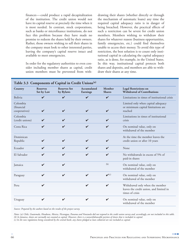finances—could produce a rapid decapitalization of the institution. The credit union would not have its capital reserve at precisely the time when it is most needed. In contrast, stock corporations, such as banks or microfinance institutions, do not face this problem because they have made no promise to redeem the shares held by their owners. Rather, those owners wishing to sell their shares in the company must look to other interested parties, leaving the company's capital reserve intact and available to meet emergencies.

In order for the regulatory authorities to even consider including member shares as capital, credit union members must be prevented from withdrawing their shares (whether directly or through the mechanism of automatic loans) any time the required capital adequacy ratio is in danger of being breached. However, the practical effects of such a restriction can be severe for credit union members. Members wishing to withdraw their shares for whatever reason (business opportunities, family emergencies, etc.) could find themselves unable to access their money. To avoid this type of restriction, the best solution is to count only institutional capital in calculating the capital adequacy ratio, as is done, for example, in the United States. In this way, institutional capital protects both shares and deposits, and members are able to withdraw their shares at any time.

| Country                                 | <b>Reserves</b><br>Set by Law | <b>Reserves Set</b><br>by Bylaws | Accumulated<br>Earnings | Member<br><b>Shares</b>    | <b>Legal Restrictions on</b><br><b>Withdrawal of Contributions</b>                            |
|-----------------------------------------|-------------------------------|----------------------------------|-------------------------|----------------------------|-----------------------------------------------------------------------------------------------|
| Bolivia                                 | $\checkmark$                  | $\checkmark$                     | $\mathbf v$             | $\checkmark$               | Limitations in times of institutional crisis                                                  |
| Colombia<br>(financial<br>cooperatives) | V                             | ✔                                | V                       | ✓                          | Limited only when capital adequacy<br>or minimum capital limitations are<br>reached           |
| Colombia<br>(credit unions)             | ✓                             | ✓                                | ✔                       | ✓                          | Limitations in times of institutional<br>crisis                                               |
| Costa Rica                              | ✓                             | ✓                                | ✓                       | $\boldsymbol{\mathcal{U}}$ | On nominal value, only on<br>withdrawal of the member                                         |
| Dominican<br>Republic                   | V                             | ✓                                | ✔                       | ✓                          | At the time the member leaves the<br>credit union or after 10 years                           |
| Ecuador                                 | ✔                             | ✓                                | ✔                       | ✓                          | None                                                                                          |
| El Salvador                             | ✔                             | ✓                                | $\boldsymbol{\nu}$      | $\boldsymbol{\mathcal{U}}$ | No withdrawals in excess of 5% of<br>paid-in shares                                           |
| Jamaica                                 | ✔                             | $\boldsymbol{\mathcal{U}}$       |                         | (b)                        | On nominal value, only on<br>withdrawal of the member                                         |
| Paraguay                                | ✔                             | $\mathbf{v}$                     | $\mathbf{v}$            | $\boldsymbol{\nu}^{(c)}$   | On nominal value, only on<br>withdrawal of the member                                         |
| Peru                                    | ✔                             |                                  | ✓                       | $\mathbf v$                | Withdrawal only when the member<br>leaves the credit union, and limited in<br>times of crisis |
| Uruguay                                 | ✔                             | $\boldsymbol{\mathcal{U}}$       | ✓                       | $\mathbf v$                | On nominal value, only on<br>withdrawal of the member                                         |

*Source: Prepared by the authors based on the results of the project survey.*

*Notes: (a) Chile, Guatemala, Honduras, Mexico, Nicaragua, Panama and Venezuela did not respond to the credit union survey and, accordingly, are not included in this table. (b) In Jamaica, shares are normally not counted as capital. However, there is a nonwithdrawable portion of shares that is included in capital. (c) In the new regulations being considered by the central bank, any shares pledged as loan collateral are not included as capital.*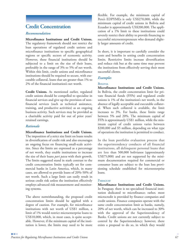### **Credit Concentration**

#### *Recommendation*

**Microfinance Institutions and Credit Unions.** The regulatory framework should not restrict the loan operations of regulated credit unions and microfinance institutions to specific geographical regions or specific sectors of economic activity. However, these financial institutions should be subjected to a limit on the size of their loans, preferably in the range of 3% to 5% of net worth. Within this limit, credit unions and microfinance institutions should be required to secure, with executable collateral, loans that are greater than 1% to 2% of the financial institution's net worth.

**Credit Unions.** As mentioned earlier, regulated credit unions should be compelled to specialize in financial services and give up the provision of nonfinancial services (such as technical assistance, training, and productive activities) as an ongoing business activity. Such services may be provided as a charitable activity paid for out of prior years' retained earnings.

#### *Rationale*

**Microfinance Institutions and Credit Unions.** The imposition of a strict size limit on loans results in diversification of credit risk and also encourages an ongoing focus on financing small-scale activities. Since the limits are expressed as a percentage of net worth, they enable institutions to increase the size of their loans *pari passu* with their growth. The limits suggested stand in stark contrast to the credit concentration limits typically set for commercial banks in Latin America, which, in many cases, are allowed to provide loans of 20%-50% of net worth. Such a large limit can easily result in serious credit risk unless the institution effectively employs advanced risk measurement and monitoring systems.

The above notwithstanding, the proposed credit concentration limits should be applied with a degree of caution. For example, for microfinance institutions with net worth of US\$1 million, a limit of 1% would restrict microenterprise loans to US\$10,000, which, in most cases, is quite acceptable. However, if the minimum capital of the institution is lower, the limits may need to be more

flexible. For example, the minimum capital of Peru's EDPYMEs is only US\$270,000, while the minimum capital of credit unions in Bolivia and Ecuador is approximately US\$200,000. The application of a 1% limit to these institutions could severely restrict their ability to provide financing to successful microentrepreneurs who demand slightly larger amounts of credit.

In short, it is important to carefully consider the costs and benefits in setting credit concentration limits. Restrictive limits increase diversification and reduce risk but at the same time may prevent the institutions from effectively serving their most successful clients.

#### *Examples*

#### **BOLIVIA**

**Microfinance Institutions and Credit Unions.** In Bolivia, the credit concentration limit for private financial funds (FFPs) and regulated credit unions is 1% of the institution's net worth, in the absence of legally acceptable and executable collateral. When such collateral is available, the limit increases to 3%. For banks, these limits range between 5% and 20%. The minimum capital of FFPs is approximately US\$1 million, while the minimum capital of credit unions varies between \$200,000 and \$5 million, depending on what type of operations the institution is permitted to conduct.

In the loan portfolio evaluation process that the superintendency conducts of all financial institutions, all delinquent personal loans that are less than 500,000 bolivianos (approximately US\$75,000) and are not supported by the minimum documentation required for commercial or consumer loans are subject to the loan loss provisioning schedule established for microenterprise loans.

#### **PARAGUAY**

**Microfinance Institutions and Credit Unions.** In Paraguay, there is no specialized financial institution dedicated to microfinance; rather, most microcredit is provided by finance companies and credit unions. Finance companies operate with the same credit concentration limit as banks, namely, 20% of net worth, which can be increased to 30% with the approval of the Superintendency of Banks. Credit unions are not currently subject to control by the Superintendency; however, there exists a proposal to do so, in which they would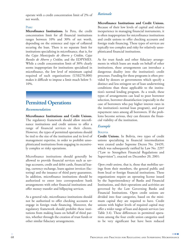operate with a credit concentration limit of 2% of net worth.

#### **PERU**

**Microfinance Institutions.** In Peru, the credit concentration limit for all financial institutions ranges between 10% and 30% of net worth, depending on the existence and type of collateral securing the loan. There is no separate limit for institutions specializing in microfinance, that is, for the *Cajas Municipales de Ahorro y Crédito, Cajas Rurales de Ahorro y Crédito,* and the EDPYMES. While a credit concentration limit of 30% clearly seems inappropriate for institutions specialized in microfinance, the low level of minimum capital required of such organizations (US\$270,000) makes it difficult to impose a limit much below 5- 10%.

### **Permitted Operations**

#### *Recommendation*

**Microfinance Institutions and Credit Unions.** The regulatory framework should allow microfinance institutions and credit unions to offer a range of financial services to their clients. However, the types of permitted operations should be tied to the size of the institution and its level of management expertise, in order to prohibit unsophisticated institutions from engaging in excessively complex or risky operations.

Microfinance institutions should generally be allowed to provide financial services such as savings accounts, credit and debit cards, financial leasing, currency exchange, loans against invoices (factoring) and the issuance of third party guarantees. In addition, microfinance institutions should be authorized to enter into correspondent bank arrangements with other financial institutions and offer money transfer and billpaying services.

As a general rule, microfinance institutions should not be authorized to offer checking accounts or engage in foreign trade financing. Moreover, the regulatory framework should prohibit these institutions from making loans on behalf of third parties, whether through the creation of trust funds or other similar fiduciary arrangements.

#### *Rationale*

**Microfinance Institutions and Credit Unions.** Because of their low levels of capital and relative inexperience in managing financial instruments, it is often inappropriate for microfinance institutions and credit unions to offer checking accounts and foreign trade financing. These types of services are typically too complex and risky for relatively unsophisticated financial institutions.

As for trust funds and other fiduciary arrangements in which loans are made on behalf of other institutions, these arrangements can introduce a dangerous duality into the institution's credit processes. Funding for these programs is often provided by donors or governments which specify a distinct and less stringent set of loan underwriting conditions than those applicable to the institution's normal lending program. As a result, these types of arrangements can lead to poor borrower selection, borrower dissatisfaction (especially in the case of borrowers who pay higher interest rates in the institution's normal loan program), and poor repayment rates among all borrowers. If the problems become serious, they can threaten the financial viability of the institution.

#### *Example*

#### **BOLIVIA**

**Credit Unions.** In Bolivia, two types of credit unions specializing in financial intermediation were created under Supreme Decree No. 24439, which was subsequently ratified by Law No. 2297 ("Law to Strengthen Financial Regulations and Supervision"), enacted on December 20, 2001:

*Open credit unions,* that is, those that mobilize savings from their members, the general public and from local or foreign financial institutions. These organizations require an operating license issued by the Superintendency of Banks and Financial Institutions, and their operations and activities are governed by the Law Governing Banks and Financial Institutions. Open credit unions are divided into four categories, based on the minimum capital they are required to have. Credit unions with higher levels of required capital may offer a wider range of loan and deposit services (see Table 3.4). These differences in permitted operations among the four credit union categories used to be very significant but have been reduced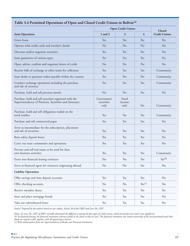|                                                                                                                 | <b>Open Credit Unions</b>        | <b>Closed</b>           |                    |                      |
|-----------------------------------------------------------------------------------------------------------------|----------------------------------|-------------------------|--------------------|----------------------|
| <b>Asset Operations</b>                                                                                         | $1$ and $2$                      | 3                       | $\overline{4}$     | <b>Credit Unions</b> |
| Grant loans                                                                                                     | Yes                              | Yes                     | Yes                | Yes                  |
| Operate with credit cards and traveler's checks                                                                 | N <sub>o</sub>                   | No                      | No                 | No                   |
| Discount and/or negotiate securities                                                                            | Yes                              | Yes                     | Yes                | N <sub>o</sub>       |
| Issue guarantees of various types                                                                               | Yes                              | Yes                     | Yes                | No                   |
| Open, advise, confirm and negotiate letters of credit                                                           | No                               | N <sub>o</sub>          | No                 | No                   |
| Receive bills of exchange or other items for collection                                                         | Yes                              | Yes                     | Yes                | Community            |
| Issue drafts or payment orders payable within the country                                                       | Yes                              | Yes                     | Yes                | Community            |
| Conduct exchange operations including the purchase<br>and sale of currency                                      | Yes                              | Yes                     | Yes                | Community            |
| Purchase, hold and sell precious metals                                                                         | N <sub>o</sub>                   | No                      | Yes                | No                   |
| Purchase, hold and sell securities registered with the<br>Superintendency of Pensions, Securities and Insurance | Government<br>securities<br>only | Fixed<br>income<br>only | Yes                | Community            |
| Purchase, hold and sell obligations traded on the<br>stock market                                               | Yes                              | Yes                     | Yes                | Community            |
| Purchase and sell commercial paper                                                                              | Yes                              | Yes                     | Yes                | N <sub>o</sub>       |
| Serve as intermediary for the subscription, placement<br>and sale of securities                                 | Yes                              | Yes                     | Yes                | No                   |
| Rent safety deposit boxes                                                                                       | Yes                              | Yes                     | Yes                | No                   |
| Carry out trust commission and operations                                                                       | Yes                              | Yes                     | Yes                | N <sub>o</sub>       |
| Procure and sell real estate to be used for their<br>own business activities                                    | Yes                              | Yes                     | Yes                | Community            |
| Enter into financial leasing contracts                                                                          | $\rm No$                         | N <sub>0</sub>          | No                 | Yes <sup>(b)</sup>   |
| Serve as financial agent for resources originating abroad                                                       | No                               | No                      | Yes                | N <sub>o</sub>       |
| <b>Liability Operations</b>                                                                                     |                                  |                         |                    |                      |
| Offer savings and time deposit accounts                                                                         | Yes                              | Yes                     | Yes                | No                   |
| Offer checking accounts                                                                                         | No                               | No                      | Yes <sup>(c)</sup> | N <sub>o</sub>       |
| Receive member shares                                                                                           | Yes                              | Yes                     | Yes                | Yes                  |
| Issue and place mortgage bonds                                                                                  | Yes                              | Yes                     | Yes                | No                   |
| Take out subordinated loans                                                                                     | Yes                              | Yes                     | Yes                | No                   |

### **Table 3.4 Permitted Operations of Open and Closed Credit Unions in Bolivia(a)**

*Source: Prepared by the authors based on case studies, Article 39 of the LBEF and Law No. 2297.*

*Notes: (a) Law No. 2297 of 2001 virtually eliminated the differences among the four types of credit unions, which previously were much more significant.*

*(b) In financial leasing, the financial institution advances funds to the client to buy an asset. The financial institution also retains ownership of the asset purchased until these funds are repaid in full, together with all agreed-upon interest.*

*(c) With authorization from the Superintendency of Banks and Financial Institutions.*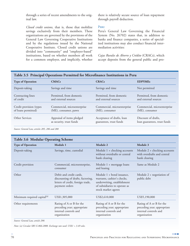through a series of recent amendments to the original law.

*Closed credit unions,* that is, those that mobilize savings exclusively from their members. These organizations are governed by the provisions of the General Law Governing Cooperative Institutions and by the regulations issued by the National Cooperative Institute. Closed credit unions are divided into "community" and "employer-based" institutions, based on whether members all work for a common employer, and implicitly, whether there is relatively secure source of loan repayment through payroll deduction.

#### **PERU**

Peru's General Law Governing the Financial System (No. 26702) states that, in addition to banks and finance companies, a series of specialized institutions may also conduct financial intermediation activities:

*Cajas Rurales de Ahorro y Crédito* (CRACs), which accept deposits from the general public and pro-

|                          | Table 3.5 Principal Operations Permitted for Microfinance Institutions in Peru |                             |                              |  |  |  |
|--------------------------|--------------------------------------------------------------------------------|-----------------------------|------------------------------|--|--|--|
| <b>Type of Operation</b> | <b>CMACs</b>                                                                   | <b>CRACs</b>                | <b>EDPYMEs</b>               |  |  |  |
| Deposit-taking           | Savings and time                                                               | Savings and time            | Not permitted                |  |  |  |
| Contracting lines        | Permitted, from domestic                                                       | Permitted, from domestic    | Permitted, from domestic     |  |  |  |
| of credit                | and external sources                                                           | and external sources        | and external sources         |  |  |  |
| Credit provision (types  | Commercial, microenterprise                                                    | Commercial, microenterprise | Commercial, microenterprise  |  |  |  |
| of loans permitted)      | (ME), consumer, pawn                                                           | (ME), consumer              | (ME), consumer               |  |  |  |
| Other Services           | Appraisal of items pledged                                                     | Acceptance of drafts, loan  | Discount of drafts,          |  |  |  |
|                          | as security, trust funds                                                       | guarantees, trust funds     | loan guarantees, trust funds |  |  |  |

**Table 3.5 Principal Operations Permitted for Microfinance Institutions in Peru**

*Source: General Law, articles 285, 286 and 288*

### **Table 3.6 Modular Operating Scheme**

| <b>Type of Operation</b>                | Module 1                                                                                                            | Module 2                                                                                                                                          | Module 3                                                                                         |
|-----------------------------------------|---------------------------------------------------------------------------------------------------------------------|---------------------------------------------------------------------------------------------------------------------------------------------------|--------------------------------------------------------------------------------------------------|
| Deposit-taking                          | Savings, time, custodial                                                                                            | Module $1 +$ checking accounts<br>without overdrafts or central<br>bank clearing                                                                  | Module $2 +$ checking accounts<br>with overdrafts and central<br>bank clearing                   |
| Credit provision                        | Commercial, microenterprise,<br>consumer                                                                            | Module 1 + mortgage loans<br>and leasing                                                                                                          | Same as Module 2                                                                                 |
| Other                                   | Debit and credit cards,<br>discounting of drafts, factoring,<br>letters of credit, foreign trade,<br>payment orders | Module $1 +$ bond issuance,<br>warrants, cashier's checks,<br>underwriting, establishment<br>of subsidiaries to operate as<br>stock market agents | Module $2 +$ negotiation of<br>public debt                                                       |
| Minimum required capital <sup>(a)</sup> | US\$1,305,000                                                                                                       | US\$2,610,000                                                                                                                                     | US\$5,190,000                                                                                    |
| Other requirements                      | Rating of A or B for the<br>preceding year; appropriate<br>internal controls and<br>organization                    | Rating of A or B for the<br>preceding year; appropriate<br>internal controls and<br>organization                                                  | Rating of A or B for the<br>preceding year; appropriate<br>internal controls and<br>organization |

*Source: General Law, article 290.*

*Note: (a) Circular SBS G-066-2000. Exchange rate used: US\$1 = 3.49 soles.*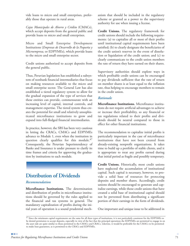vide loans to micro and small enterprises, preferably those that operate in rural areas.

*Cajas Municipales de Ahorro y Crédito* (CMACs), which accept deposits from the general public and provide loans to micro and small enterprises.

Micro and Small Enterprise Development Institutions (*Empresas de Desarrollo de la Pequeña y Microempresa,* or EDPYMEs), which provide loans to the micro and small enterprise sector.

Credit unions authorized to accept deposits from the general public.

Thus, Peruvian legislation has established a subsystem of nonbank financial intermediaries that focus on making resources available to the micro and small enterprise sector. The General Law has also established a tiered regulatory system to allow for the gradual expansion of the type of services that these entities can provide, commensurate with an increasing level of capital, internal controls, and management expertise. The tiered system thus creates the potential for small and relatively unsophisticated microfinance institutions to grow and expand into full-fledged financial intermediaries.

In practice, however, the SBS has been very cautious in letting the CRACs, CMACs and EDPYMEs advance to Module 1, even when the institution in question clearly qualifies for this module. $47$ Consequently, the Peruvian Superintendency of Banks and Insurance is under pressure to clarify its time frames and criteria for approving the graduation by institutions to each module.

### **Distribution of Dividends**

#### *Recommendation*

**Microfinance Institutions.** The determination and distribution of profits in microfinance institutions should be governed by the rules applied to the financial and tax systems in general. The mandatory capitalization of profits during the initial years of operation is a sound prudential mechanism that should be included in the regulatory scheme or granted as a power to the supervisory authority for use when issuing a license.

**Credit Unions.** The regulatory framework for credit unions should include the following requirements: (a) to capitalize all or most of their profits until institutional capital requirements have been satisfied; (b) to clearly designate the beneficiaries of the credit union's reserves in the event of dissolution or liquidation of the credit union; and (c) to clearly communicate to the credit union members the rate of return they have earned on their shares.

Supervisory authorities should explore ways in which profitable credit unions can be encouraged to pay dividends sufficient that the rate of return on member shares is at least equal to the inflation rate, thus helping to encourage members to remain in the credit union.

#### *Rationale*

**Microfinance Institutions.** Microfinance institutions do not require artificial advantages to achieve or increase their profitability, so any financial or tax regulations related to their profits and dividends should be neutral compared to those in effect for other financial institutions.

The recommendation to capitalize initial profits is particularly important in the case of microfinance institutions that have not been created from already-existing nonprofit organizations. It takes time to build up a portfolio of stable clients, and it is appropriate to treat any profits earned during that initial period as fragile and possibly temporary.

**Credit Unions.** Historically, most credit unions have neglected the accumulation of institutional capital. Such capital is necessary, however, to provide a solid base of resources for protecting deposits and member shares. Accordingly, credit unions should be encouraged to generate and capitalize earnings, while those credit unions that have created a solid base of institutional capital should not be prevented from distributing a significant portion of their earnings in the form of dividends.

One important and unique issue to be addressed in

<sup>&</sup>lt;sup>47</sup> Since the minimum capital requirements are the same for all three types of institutions, it is not particularly consistent for the EDPYMEs to be denied permission to accept deposits, especially in view of the fact that the principal operations the EDPYMEs are permitted to engage in on the asset side are quite similar to those permitted to the CMACs and CRACs. Likewise, it would be preferable for the CMACs to be permitted to make loan guarantees, as is permitted to the CRACs and EDPYMEs.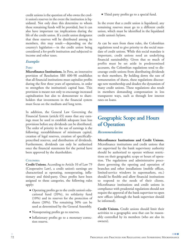credit unions is the question of who owns the credit union's reserves in the event the institution is liquidated. Not only does this determine to whom these remaining funds will be provided, but it can also have important tax implications during the life of the credit union. If a credit union designates that these reserves will be distributed among its members, this may result—depending on the country's legislation—in the credit union being considered a for-profit institution and subjected to income and other taxes.

#### *Examples*

#### **PERU**

**Microfinance Institutions.** In Peru, an innovative provision of Resolution SBS 600-98 establishes that all financial institutions must capitalize profits during the first three years of operations, in order to strengthen the institution's capital base. This provision is meant not only to encourage increased capitalization but also to demonstrate to shareholders that investments in the financial system must focus on the medium and long term.

In addition, the General Law Governing the Financial System (article 65) states that any earnings must be used to establish adequate loan loss provisions before any dividends can be distributed. The order of priority in the use of earnings is the following: reestablishment of minimum capital, creation of legal reserves, creation of specificallyprescribed reserves, and distribution of dividends. Furthermore, dividends can only be authorized once the financial statements for the period have been approved by the shareholders.

#### **COLOMBIA**

**Credit Unions.** According to Article 10 of Law 79 (Cooperative Law), a credit union's earnings are characterized as operating, nonoperating, inflationary and third-party. Once profits have been assigned to these categories, the following rules apply:

- **●** Operating profits go to the credit union's educational fund (20%), its solidarity fund (10%) and its reserves for the protection of shares (20%). The remaining 50% can be used as determined by the General Assembly.
- **●** Nonoperating profits go to reserves.
- **●** Inflationary profits go to a monetary correction reserve.

**●** Third party profits go to a special fund.

In the event that a credit union is liquidated, any remaining reserves must go to a different credit union, which must be identified in the liquidated credit union's bylaws.

As can be seen from these rules, the Colombian regulations tend to give priority to the social mandate of credit unions. While this social mandate is important, credit unions need an underlying financial sustainability. Given that so much of profits must be set aside in predetermined accounts, the Colombian regulations tend to discourage credit unions from distributing dividends to their members. By holding down the rate of remuneration of shares, these regulations discourage new membership and deaden the dynamism of many credit unions. These regulations also result in members demanding compensation in less transparent ways, such as through low interest rates on loans.

### **Geographic Scope and Hours of Operation**

#### *Recommendation*

**Microfinance Institutions and Credit Unions.** Microfinance institutions and credit unions that are supervised by the bank supervisory authority should be authorized to operate without restrictions on their geographic scope or hours of operation. The regulations and administrative procedures governing the opening and operation of branches and other installations (mobile offices, limited-service windows in supermarkets, etc.) should be flexible and allow financial institutions to respond to the needs of their clients. Microfinance institutions and credit unions in compliance with prudential regulations should not require the approval of the bank supervisor to open new offices (although the bank supervisor should be informed).

**Credit Unions.** Credit unions should limit their activities to a geographic area that can be reasonably controlled by its members (who are also its owners).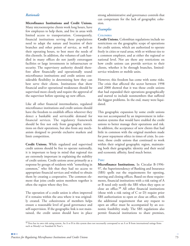#### *Rationale*

**Microfinance Institutions and Credit Unions.** Many microenterprise clients work long hours, have few employees to help them, and live in areas with limited access to transportation. Consequently, financial institutions serving these populations need to adapt the nature and location of their branches and other points of service, as well as their operating hours, to best meet the needs of this clientele. In addition, the volumes of cash handled in many offices do not justify extravagant facilities or large investments in infrastructure or security. The supervisory authority should therefore allow financially and operationally sound microfinance institutions and credit unions considerable flexibility in determining how they can best serve their clients. Institutions that show financial and/or operational weaknesses should be supervised more closely and require the approval of the supervisor before opening up new offices.

Like all other financial intermediaries, regulated microfinance institutions and credit unions should have the freedom to establish offices wherever they detect a bankable and serviceable demand for financial services. The regulatory framework should be free not only from geographic restrictions on their operations, but also from any mechanism designed to provide exclusive markets and limit competition.

**Credit Unions.** While regulated and supervised credit unions should be free to operate nationally, it is important to keep in mind that regional ties are extremely important in explaining the stability of credit unions. Credit unions arose primarily as a response by groups of residents with "something in common," who felt that they had no access to appropriate financial services and wished to obtain them by creating a cooperative. The common element that joins credit union members together is often the region where they live.

The operation of a credit union is often improved if it remains within the area where it was originally created. The cohesiveness of members helps ensure a reasonable level of good governance and self-supervision. If the geographic link is not maintained, the credit union should have in place

strong administrative and governance controls that can compensate for the lack of geographic cohesion.

#### *Examples*

#### **COLOMBIA**

**Credit Unions.** Colombian regulations include no restrictions on the geographic scope of operations for credit unions, which are authorized to operate freely in cities or rural areas, with or without ties to a common employer, and at either the regional or national level. Nor are there any restrictions on how credit unions can provide services to their clients, whether it be through branches, limitedservice windows or mobile units.

However, this freedom has come with some risks. The crisis that affected the sector between 1998 and 2000 showed that it was those credit unions that had expanded their operations geographically and started to include nonmembers that suffered the biggest problems. In the end, many were liquidated.

This geographic expansion by some credit unions was not accompanied by an improvement in information systems that would have enabled the credit unions to better manage their operations and risk. In addition, the acceptance of new clients that had little in common with the original members made for poor repayment ethics in times of crisis. In contrast, those credit unions that continued to work within their original geographic region, maintaining both their geographic identity and their social and economic affinity, fared much better.

#### **PERU**

**Microfinance Institutions.** In Circular B-1996- 97, the Superintendency of Banking and Insurance (SBS) spells out the requirements for opening, moving and closing offices. Based on these requirements, financial institutions with a risk rating of A or B need only notify the SBS when they open or close an office.<sup>48</sup> All other financial institutions (those with a risk rating of C or D) require prior SBS authorization to open or close an office, with the additional requirement that any request to open an office must be accompanied by an economic feasibility study. The SBS regulations also permit financial institutions to share premises,

 $^{48}$  Peru has its own risk rating system. An A or B in this system does not necessarily correspond to an A or B from international ratings firms such as Moody's or Standard & Poor's.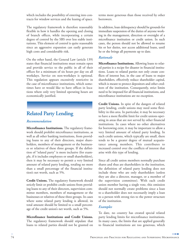which includes the possibility of entering into contracts for window services and the leasing of space.

The regulatory framework is therefore reasonably flexible in how it handles the opening and closing of branch offices, while incorporating a certain degree of control by the SBS over less stable institutions. This element of control is quite reasonable since an aggressive expansion can easily generate high costs and considerable risk.

On the other hand, the General Law (article 139) states that financial institutions must remain open and provide service to the public in all of their offices for a minimum of six hours per day on all workdays. Service on non-workdays is optional. This regulation appears excessively restrictive in the case of microfinance institutions, which sometimes have or would like to have offices in locations where only very limited operating hours are economically justified.

### **Related Party Lending**

### *Recommendation*

**Microfinance Institutions.** The regulatory framework should prohibit microfinance institutions, as well as all other banking institutions, from providing loans to any of their directors, major shareholders, members of management or the businesses or relatives of these three groups. If the definition of "related party" is more inclusive (for example, if it includes employees or small shareholders), then it may be necessary to permit a very limited amount of related party lending, totaling no more than a small percentage of the financial institution's net worth, such as 5%.

**Credit Unions.** The regulatory framework should strictly limit or prohibit credit unions from providing loans to any of their directors, supervision committee members, members of management or the businesses or relatives of these three groups. In cases where some related party lending is allowed, its total amount should be limited to a small percentage of the credit union's net worth, such as 5%.

**Microfinance Institutions and Credit Unions.** The regulatory framework should stipulate that loans to related parties should not be granted on terms more generous than those received by other borrowers.

In addition, loan delinquency should be grounds for immediate suspension of the duties of anyone working in the management, direction or oversight of a microfinance institution or credit union. In such cases, the person should not be allowed to resume his or her duties, nor access additional loans, until he or she brings all payments up to date.

### *Rationale*

**Microfinance Institutions.** Allowing loans to related parties is a recipe for disaster in financial institutions. Loans to related parties not only create conflicts of interest but, in the case of loans to major shareholders, effectively reduce shareholder capital, which is meant to protect depositors and other creditors of the institution. Consequently, strict limits need to be imposed for all financial institutions, and microfinance institutions are no exception.

**Credit Unions.** In spite of the dangers of related party lending, credit unions may need some flexibility in this area. In particular, it may be necessary to have a more flexible limit for credit unions operating in areas that are not served by other financial institutions. In cases where no other alternatives for borrowing exist, it may be important to allow a very limited amount of related party lending. In such credit unions, which typically are small, there tends to be a greater degree of mutual acquaintance among members. This contributes to increased control over the conflicts of interest that arise with this type of lending.

Since all credit union members normally purchase shares and thus are shareholders in the institution, the definition of related party lending does not include those who are only shareholders (unless they are also a director, manager, or a member of the supervision committee). With each credit union member having a single vote, this omission should not normally create problems since a loan to a shareholder does not necessarily imply a loan to a person with strong ties to the power structure of the institution.

### *Examples*

To date, no country has created special related party lending limits for microfinance institutions. In many cases, the limits that are applied generally to financial institutions are too generous, which

**The Contract**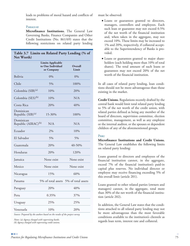leads to problems of moral hazard and conflicts of interest.

#### **PARAGUAY**

**Microfinance Institutions.** The General Law Governing Banks, Finance Companies and Other Credit Institutions (No. 861/69) states that the following restrictions on related party lending

|            |  |  | Table 3.7 Limits on Related Party Lending (% of |  |
|------------|--|--|-------------------------------------------------|--|
| Net Worth) |  |  |                                                 |  |

|                                              | <b>Limits Applicable</b><br>to One Individual<br>or Company | Overall<br>Limit   |
|----------------------------------------------|-------------------------------------------------------------|--------------------|
| <b>Bolivia</b>                               | $0\%$                                                       | 0%                 |
| Chile                                        | 5%                                                          | 100%               |
| Colombia (SIB) <sup>(a)</sup>                | 10%                                                         | 20%                |
| Colombia (SES) <sup>(b)</sup>                | 10%                                                         | N/A                |
| Costa Rica                                   | 20%                                                         | 40%                |
| Dominican<br>Republic (SIB) <sup>(a)</sup>   | 15-30%                                                      | 100%               |
| Dominican<br>Republic (AIRAC) <sup>(b)</sup> | N/A                                                         | N/A                |
| Ecuador                                      | 2%                                                          | 10%                |
| El Salvador                                  | 5%                                                          | 5%                 |
| Guatemala                                    | 20%                                                         | 40-50%             |
| Honduras                                     | 20%                                                         | 120%               |
| Jamaica                                      | None exist                                                  | None exist         |
| Mexico                                       | None exist                                                  | None exist         |
| Nicaragua                                    | 15%                                                         | 60%                |
| Panama                                       | 5% of total assets                                          | 5% of total assets |
| Paraguay                                     | 20%                                                         | 40%                |
| Peru                                         | 0.35%                                                       | 37%                |
| Uruguay                                      | 25%                                                         | 25%                |
| Venezuela                                    | 10%                                                         | 20%                |

*Source: Prepared by the authors based on the results of the project survey.*

*Notes: (a) Agency charged with supervising banks. (b) Agency charged with supervising credit unions.* must be observed:

- **●** Loans or guarantees granted to directors, managers, controllers and employees. Each such loan or guarantee may not exceed 0.5% of the net worth of the financial institution and, when taken in the aggregate, may not exceed 10%. These limits may be increased to 1% and 20%, respectively, if collateral acceptable to the Superintendency of Banks is provided.
- **●** Loans or guarantees granted to major shareholders (each holding more than 10% of total shares). The total amount of such loans or guarantees may not exceed 20% of the net worth of the financial institution.

In all cases of related party lending, loan conditions should not be more advantageous than those existing in the market.

**Credit Unions.** Regulations recently drafted by the central bank would limit total related party lending to 5% of the net worth of the credit union, with related parties defined as being any member of the board of directors, supervision committee, election committee, management, as well as any employee or the internal auditor, or the spouses or dependent children of any of the aforementioned groups.

#### **PERU**

**Microfinance Institutions and Credit Unions.** The General Law establishes the following limits on related party lending:

Loans granted to directors and employees of the financial institution cannot, in the aggregate, exceed 7% of the financial institution's paid-in capital plus reserves. No individual director or employee may receive financing exceeding 5% of this overall limit (article 201).

Loans granted to other related parties (owners and managers) cannot, in the aggregate, total more than 30% of the net worth of the financial institution (article 202).

In addition, the General Law states that the conditions attached to all related party lending may not be more advantageous than the most favorable conditions available to the institution's clientele as regards loan term, interest rate and collateral.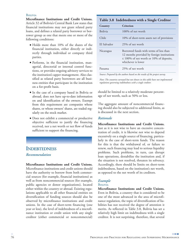#### **BOLIVIA**

**Microfinance Institutions and Credit Unions.** Article 32 of Bolivia's Central Bank Law states that financial institutions may not grant related party loans, and defines a related party borrower or borrower group as one that meets one or more of the following conditions:

- **●** Holds more than 10% of the shares of the financial institution, either directly or indirectly through individual or company third parties.
- **●** Performs, in the financial institution, managerial, directorial or internal control functions, or provides ongoing advisory services to the institution's upper management. Also classified as related party borrowers are all business entities that participate in the institution on a for-profit basis.
- **●** In the case of a company based in Bolivia or abroad, does not have up-to-date information on and identification of the owners. Exempt from this requirement are companies whose shares, or whose owners' shares, are traded regularly on the stock market.
- **●** Does not exhibit a commercial or productive objective sufficient to justify the financing received, nor a net worth or net flow of funds sufficient to support the financing.

### **INDEBTEDNESS** *Recommendation*

**Microfinance Institutions and Credit Unions.** Microfinance institutions and credit unions should have the authority to borrow from both commercial sources (for example, financial institutions) as well as from noncommercial sources (for example, public agencies or donor organizations), located either within the country or abroad. Existing regulations applicable to all other financial entities on diversification of funding sources should also be observed by microfinance institutions and credit unions. In the case of short-term financing (one year or less), the level of indebtedness of a microfinance institution or credit union with any single creditor (either commercial or noncommercial)

### **Table 3.8 Indebtedness with a Single Creditor**

| Country        | Criterion                                                                                                                                                   |
|----------------|-------------------------------------------------------------------------------------------------------------------------------------------------------------|
| <b>Bolivia</b> | 100% of net worth                                                                                                                                           |
| Chile          | 10% of short-term assets net of provisions                                                                                                                  |
| El Salvador    | 25% of net worth                                                                                                                                            |
| Nicaragua      | Borrowed funds with terms of less than<br>12 months provided by foreign institutions<br>$\leq 100\%$ of net worth or 10% of deposits,<br>whichever is lower |
| Panama         | 25% of net worth                                                                                                                                            |

*Source: Prepared by the authors based on the results of the project survey.*

*Note: The countries surveyed but not shown in this table have not implemented regulations governing indebtedness with a single creditor.*

should be limited to a relatively moderate percentage of net worth, such as 50% or less.

The aggregate amount of noncommercial financing should also be subjected to additional limits, as is discussed in the next section.

#### *Rationale*

**Microfinance Institutions and Credit Unions.** Just as it is not wise to have an excessive concentration of credit, it is likewise not wise to depend excessively on a single source of financing, particularly in the case of short-term funds. The reason for this is that the withdrawal of, or failure to renew, such financing may lead to serious liquidity problems. Such problems, in turn, can disrupt loan operations, destabilize the institution and, if the situation is not resolved, threaten its solvency. Accordingly, there should be limits on short-term indebtedness, based on the institution's net worth, as opposed to the net worth of its creditors.

### *Example*

#### **BOLIVIA**

**Microfinance Institutions and Credit Unions.** Even in Bolivia, a country that is considered to be one of the most advanced in the area of microfinance regulation, the topic of diversification of liabilities has not received the degree of attention it merits. As reflected in Table 3.8, Bolivia has set a relatively high limit on indebtedness with a single creditor. It is not surprising, therefore, that several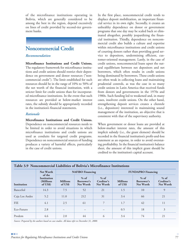of the microfinance institutions operating in Bolivia, which are generally considered to be among the best in the region, depend excessively on lines of credit provided by second-tier government banks.

### **Noncommercial Credit**

### *Recommendation*

**Microfinance Institutions and Credit Unions.** The regulatory framework for microfinance institutions and credit unions should restrict their dependence on government and donor resources ("noncommercial credit"). The limit established for such resources should be in the range of 10% to 50% of the net worth of the financial institution, with a stricter limit for credit unions than for incorporated microfinance institutions. In the event that such resources are provided at below-market interest rates, the subsidy should be appropriately recorded in the institution's financial statements.

### *Rationale*

### **Microfinance Institutions and Credit Unions.**

Dependence on noncommercial resources needs to be limited in order to avoid situations in which microfinance institutions and credit unions are used as conduits for targeted credit programs. Dependence on noncommercial sources of funding produces a variety of harmful effects, particularly in the case of credit unions.

In the first place, noncommercial credit tends to displace deposit mobilization, an important financial service in its own right. Secondly, it creates an unhealthy dependence on donor or government programs that one day may be scaled back or eliminated altogether, possibly jeopardizing the financial institution. Thirdly, dependence on noncommercial credit also builds a culture and expertise within microfinance institutions and credit unions of courting donors rather than providing good service to depositors, undermining efficient, customer-oriented management. Lastly, in the case of credit unions, noncommercial loans upset the natural equilibrium between net depositors and net borrowers, which often results in credit unions being dominated by borrowers. These credit unions are often weak in collecting loans and maintaining prudential controls, as was the case in so many credit unions in Latin America that received funds from donors and governments in the 1970s and 1980s. Such funding led to weakened and, in many cases, insolvent credit unions. On the other hand, strengthening deposit services creates a clientele (i.e., depositors) interested in maintaining sound management of the institution, an objective that is consistent with that of the supervisory authority.

When government or donor loans are provided at below-market interest rates, the amount of this implicit subsidy (i.e., the grant element) should be recorded in the financial institution's profit-and-loss statement as an expense, in order to avoid overstating profitability. In the financial institution's balance sheet, the amount of this implicit grant should be credited to the institution's capital account.

| Table 3.9 Noncommercial Liabilities of Bolivia's Microfinance Institutions |                                                 |                            |                                   |                                          |                            |                                 |                                          |  |  |
|----------------------------------------------------------------------------|-------------------------------------------------|----------------------------|-----------------------------------|------------------------------------------|----------------------------|---------------------------------|------------------------------------------|--|--|
|                                                                            | <b>Net Worth</b><br>of the                      | <b>NAFIBO</b> Financing    |                                   |                                          | <b>FUNDAPRO Financing</b>  |                                 |                                          |  |  |
| Institution                                                                | Institution<br>(Millions<br>of $\overline{USS}$ | <b>Millions</b><br>of US\$ | $%$ of<br>Borrower's<br>Net Worth | $%$ of<br>Creditor's<br><b>Net Worth</b> | <b>Millions</b><br>of US\$ | % of<br>Borrower's<br>Net Worth | $%$ of<br>Creditor's<br><b>Net Worth</b> |  |  |
| BancoSol                                                                   | 14.3                                            | 7.5                        | 52                                | 21                                       | 1.5                        | 10                              | 9                                        |  |  |
| Caja Los Andes                                                             | 5.2                                             | 11.0                       | 212                               | 31                                       | 3.4                        | 66                              | 21                                       |  |  |
| <b>FIE</b>                                                                 | 4.1                                             | 2.5                        | 61                                | $\overline{7}$                           | 1.7                        | 42                              | 11                                       |  |  |
| Eco-Futuro                                                                 | 2.8                                             |                            |                                   |                                          | 0.5                        | 18                              | 3                                        |  |  |
| Prodem                                                                     | 4.6                                             | 2.0                        | 44                                | 6                                        | 3.4                        | 74                              | 21                                       |  |  |

*Source: Prepared by the authors based on case studies. All data refer to December 31, 2000.*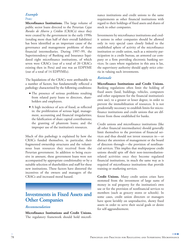### *Example*

### **PERU**

**Microfinance Institutions.** The large volume of public sector loans directed to the Peruvian *Cajas Rurales de Ahorro y Crédito* (CRACs) since they were created by the government in the early 1990s (totaling more than half of their overall liabilities) has been identified as an important cause of the governance and management problems of these financial intermediaries. During 1997–99, the Superintendency of Banking and Insurance liquidated eight microfinance institutions, of which seven were CRACs (out of a total of 20 CRACs existing then in Peru) and one was an EDPYME (out of a total of 14 EDPYMEs).

The liquidations of the CRACs were attributable to a number of factors, but fundamentally reflected a pathology characterized by the following conditions:

- **●** The presence of serious problems resulting from related party loans to directors, shareholders and employees.
- **●** A high incidence of acts of fraud, as reflected in: the proliferation of serious legal, management, accounting and financial irregularities; the falsification of share capital contributions; the granting of phantom loans; and the improper use of the institution's resources.

Much of this pathology is explained by how the CRACs funded themselves, in particular, their fragmented ownership structures and the voluminous loan resources they received from the Peruvian government. In addition to being excessive in amount, these government loans were not accompanied by appropriate conditionality or by a suitable selection of shareholders and staff for these new institutions. These factors have distorted the incentives of the owners and managers of the CRACs and increased moral hazard.

### **Investments in Fixed Assets and Other Companies**

### *Recommendation*

**Microfinance Institutions and Credit Unions.** The regulatory framework should hold microfinance institutions and credit unions to the same requirements as other financial institutions with regard to their holdings of fixed assets and shares of stock in other companies.

Investments by microfinance institutions and credit unions in other companies should be allowed only in very special cases closely linked to the established sphere of activity of the microfinance institution or credit union, such as a minority participation in a credit bureau, an armored car company or a firm providing electronic banking services. In cases where regulation in this area is lax, the supervisory authority should apply strict criteria in valuing such investments.

#### *Rationale*

**Microfinance Institutions and Credit Unions.** Banking regulations often limit the holding of fixed assets (land, buildings, vehicles, computers and other equipment for the financial institution's own use), to a greater or lesser degree, in order to prevent the immobilization of resources. It is not prudentially necessary to establish limits for microfinance institutions and credit unions that are different from those established for banks.

Credit unions and microfinance institutions (like all other financial intermediaries) should generally limit themselves to the provision of financial services and thus should not invest resources in—or distract the attention of management or the board of directors through—the provision of nonfinancial services. This implies that multipurpose credit unions should spin off their non-intermediationrelated activities once they become regulated financial institutions, in much the same way as is required of microfinance institutions that provide training or marketing services.

**Credit Unions.** Many credit union crises have stemmed from the investment of large sums of money in real property for the institution's own use or for the provision of nonfinancial services to members (such as grocery stores or schools). In some cases, credit union directors or managers have spent lavishly on unproductive, showy fixed assets in order to serve their social goals or desire for self-aggrandizement.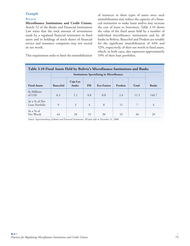### *Example*

### **BOLIVIA**

**Microfinance Institutions and Credit Unions.** Article 52 of the Banks and Financial Institutions Law states that the total amount of investments made by a regulated financial institution in fixed assets and in holdings of stock shares of financial service and insurance companies may not exceed its net worth.

This requirement seeks to limit the immobilization

of resources in these types of assets since such immobilization may reduce the capacity of a financial institution to make loans and/or may increase the cost of loans to borrowers. Table 3.10 shows the value of the fixed assets held by a number of individual microfinance institutions and by all banks in Bolivia. BancoSol and Prodem are notable for the significant immobilization of 44% and 52%, respectively, of their net worth in fixed assets, which, in both cases, also represents approximately 10% of their loan portfolios.

|                                 |                 |                          |            | <b>Institutions Specializing in Microfinance</b> |        |       |              |
|---------------------------------|-----------------|--------------------------|------------|--------------------------------------------------|--------|-------|--------------|
| <b>Fixed Assets</b>             | <b>BancoSol</b> | Caja Los<br><b>Andes</b> | <b>FIE</b> | Eco-Futuro                                       | Prodem | Total | <b>Banks</b> |
| In Millions<br>of US\$          | 6.3             | 1.1                      | 0.8        | 0.8                                              | 2.4    | 11.5  | 144.7        |
| As a % of Net<br>Loan Portfolio | 9               | 3                        | 4          | 8                                                | 11     | 7     | 4            |
| As a % of<br>Net Worth          | 44              | 20                       | 19         | 30                                               | 52     | 36    | 29           |

*Source: Superintendency of Banks and Financial Institutions. All data refer to December 31, 2000.*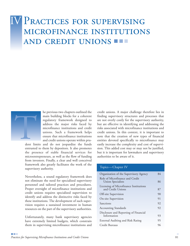# **IV PRACTICES FOR SUPERVISING** MICROFINANCE INSTITUTIONS AND CREDIT UNIONS



he previous two chapters outlined the main building blocks for a coherent regulatory framework designed to address the major risks faced by microfinance institutions and credit unions. Such a framework helps ensure that microfinance institutions and credit unions operate within pru-

dent limits and do not jeopardize the funds entrusted to them by depositors. It also promotes the presence of stable financial services for microentrepreneurs, as well as the flow of funding from investors. Finally, a clear and well conceived framework also greatly facilitates the work of the supervisory authority.

Nevertheless, a sound regulatory framework does not eliminate the need for specialized supervisory personnel and tailored practices and procedures. Proper oversight of microfinance institutions and credit unions requires specialized supervision to identify and address the distinctive risks faced by these institutions. The development of such supervision requires a sustained investment in human resources on the part of the supervisory authorities.

Unfortunately, many bank supervisory agencies have extremely limited budgets, which constrain them in supervising microfinance institutions and

credit unions. A major challenge therefore lies in finding supervisory structures and processes that are not overly costly for the supervisory authority, but are effective in identifying and addressing the risks associated with microfinance institutions and credit unions. In this context, it is important to note that the creation of new types of financial entities devoted specifically to microfinance may easily increase the complexity and cost of supervision. This added cost may or may not be justified, but it is important for lawmakers and supervisory authorities to be aware of it.

### Topics—Chapter IV

| Organization of the Supervisory Agency                      | 84 |
|-------------------------------------------------------------|----|
| Role of Microfinance and Credit<br><b>Union Specialists</b> | 86 |
| Licensing of Microfinance Institutions<br>and Credit Unions | 87 |
| Off-site Supervision                                        | 90 |
| On-site Supervision                                         | 91 |
| Sanctions                                                   | 92 |
| <b>Accounting Standards</b>                                 | 92 |
| Disclosure and Reporting of Financial<br>Information        | 93 |
| External Auditing and Risk Rating                           | 95 |
| Credit Bureaus                                              | 96 |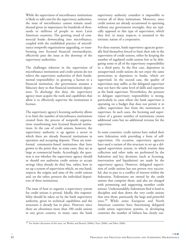While the supervision of microfinance institutions is likely to add costs for the supervisory authorities, the issue of microfinance cannot remain unaddressed given its importance for hundreds of thousands or millions of people in most Latin American countries. The growing trend of commercial banks downscaling into microfinance, coupled with the established practice of microfinance nonprofit organizations upgrading, or transforming into licensed financial intermediaries, effectively puts the issue at the doorstep of the supervisory authorities.

The challenges inherent in the supervision of microfinance institutions and credit unions do not relieve the supervisory authorities of their fundamental responsibility: in granting a license to a financial institution, the government assumes a fiduciary duty to that financial institution's depositors. To discharge this duty, the supervisory agency must acquire the tools and capabilities that allow it to effectively supervise the institutions it licenses.

The supervisory agency's licensing authority allows it to limit the number of microfinance institutions created from the process of nonprofit organizations transforming into licensed financial institutions. In the case of credit unions, however, the supervisory authority is up against a sector in which there are already financial institutions in operation and accepting deposits. These are semiformal, community-based institutions that have grown to the point that, in some cases, they are as large as commercial banks. Accordingly, the question is not whether the supervisory agency should or should not authorize credit unions to accept savings (they already do this) but, rather, how to set up a system of supervision which, on one hand, respects the origins and aims of the credit unions and, on the other, protects the individual depositors of these institutions.

The issue of how to organize a supervisory system for credit unions is pivotal. Ideally, this responsibility should be taken on by the bank supervisory authority, given its technical capabilities and the structures it already has in place. However, since there are oftentimes more than 100 credit unions in any given country, in many cases the bank supervisory authority considers it impossible to oversee all of these institutions. Moreover, since credit unions are already accustomed to operating without any government oversight, they are typically opposed to this type of supervision, which they feel, in many respects, is unsuited to the intrinsic nature of a cooperative.

For these reasons, bank supervisory agencies generally find themselves forced to limit their role in the supervision of credit unions, either by keeping the number of regulated credit unions low or by delegating some or all of the supervisory responsibility to a third party. In the first case, depositors in unsupervised credit unions do not enjoy the same protections as depositors in banks, which *are* supervised. In the second case, the quality of supervision may suffer, as the delegated supervisor may not have the same level of skills and expertise as the bank supervisor. Nevertheless, the pressure to delegate supervisory responsibility is strong, particularly in cases where the bank supervisor is operating on a budget that does not permit it to collect supervision fees from the institutions it supervises. In such cases, the licensing and supervision of a greater number of institutions creates additional costs but no additional revenue for the supervisor.

In some countries, credit unions have tasked their own federation with providing a form of selfsupervision. On occasion, supervisory agencies have used a variant of this structure to set up a delegated supervision system, in which routine data collection and other tasks are performed by the federation and key decisions (such as licensing, intervention and liquidation) are made by the supervisory agency. However, delegated supervision of credit unions has not proven very successful, due in part to a conflict of interest within the federation. Federations are owned by the credit unions that comprise them, and also are charged with promoting and supporting member credit unions. Understandably, federations find it hard to discipline and shut down the very credit unions that own them, particuarly the large and powerful ones.<sup>49</sup> While some European and North American countries have functioning delegated credit union supervision systems, in developing countries the number of failures has clearly out-

<sup>49</sup> For further discussion of this issue, see Westley and Branch (2000a), Poyo (2000), and Pabst (2000).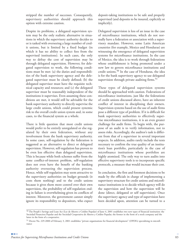stripped the number of successes. Consequently, supervisory authorities should approach this option with extreme caution.

Despite its problems, a delegated supervision system may be the only realistic alternative in situations in which the supervisory authority decides to or is tasked with overseeing a large number of credit unions, but is limited by a fixed budget (in which it has no ability to collect fees from the supervised institutions). In such cases, the only way to defray the cost of supervision may be through delegated supervision. However, for delegated supervision to work, the following conditions must be met: (a) the duties and responsibilities of the bank supervisory agency and the delegated supervisor must be clearly defined; (b) the delegated supervisor must have the requisite technical capacity and resources; and (c) the delegated supervisor must be reasonably independent of the institutions it supervises. Even assuming these conditions are met, it would still be advisable for the bank supervisory authority to directly supervise the large credit unions, which could present systemic risk to the overall credit union system and, in some cases, to the financial system as a whole.

There is little question that most credit unions would prefer to be entirely unregulated or else regulated by their own federation, without any involvement from the bank supervisory authority. In some cases, self-regulation by the federation is suggested as an alternative to direct or delegated supervision. However, self-regulation has proven to be even less effective than delegated supervision. This is because while both schemes suffer from the same conflict-of-interest problem, self-regulation does not even have the benefit of the banking authority overseeing the supervision process. Hence, while self-regulation may seem attractive to the supervisory authorities on budget grounds (it costs them nothing) and to the credit unions because it gives them more control over their own supervision, the probability of self-regulation ending in failure is overwhelming given its conflicts of interest. Moreover, the government cannot simply ignore its responsibility to depositors, who expect deposit-taking institutions to be safe and properly supervised (and deposits to be insured, explicitly or implicitly).

Delegated supervision is less of an issue in the case of microfinance institutions, which do not normally have a federation or association with a supervisory mandate. However, some Latin American countries (for example, Mexico and Honduras) are witnessing the emergence of delegated supervision systems for microfinance institutions. In the case of Mexico, the idea is to work through federations whose establishment is being promoted under a new law to govern microfinance institutions and credit unions.50 In the case of Honduras, the idea is for the bank supervisory agency to use delegated supervision through private auditing firms. $51$ 

These types of delegated supervision systems should be approached with caution. Federations of microfinance institutions, just like the federations of credit unions discussed above, have an inherent conflict of interest in disciplining their owners. Supervision systems based on the use of audit firms pose a different type of problem. If it is difficult for bank supervisory authorities to effectively supervise microfinance institutions, it is an even greater challenge for audit firms. To begin with, the purpose of an audit is to verify information, not to assess risks. Accordingly, the auditor's task is different from that of a supervisor in several important respects. In addition, audits rarely include the tests necessary to confirm the true quality of an institution's loan portfolio, particularly in the case of microfinance institutions whose portfolios are highly atomized. The only way to turn audits into effective supervisory tools is to incorporate specific protocols, a measure that would increase their cost.

In conclusion, the first and foremost decisions to be made by the officials in charge of implementing a supervisory structure for credit unions and microfinance institutions is to decide which agency will do the supervision and how the supervision will be done (direct, delegated or self supervision). Once the supervisory agency and type of supervision have been decided upon, attention can be turned to a

<sup>50</sup> The People's Savings and Loan Act (Ley de Ahorro y Crédito Popular) of June 4, 2001 establishes two new types of financial institution: the Sociedad Financiera Popular and the Sociedad Cooperativa de Ahorro y Crédito Popular, the former in the form of a stock company and the latter in the form of a cooperative.

<sup>51</sup> Decree No. 229-2000 of February 3, 2001 establishes "private organizations for financial development" (OPDFs) specializing in microfinance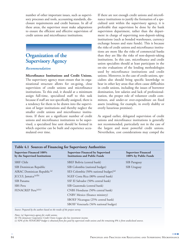number of other important issues, such as supervisory processes and tools, accounting standards, disclosure requirements and credit bureaus. In all of these areas, the supervisor must make adaptations to ensure the efficient and effective supervision of credit unions and microfinance institutions.

### **Organization of the Supervisory Agency**

### *Recommendation*

**Microfinance Institutions and Credit Unions.** The supervisory agency must ensure that its organizational structure allows for on-going, close supervision of credit unions and microfinance institutions. To this end, it should at a minimum assign full-time, specialized staff to this task because if staff are not specifically assigned, there is a tendency for them to be drawn into the supervision of larger institutions and thereby neglect the smaller credit unions and microfinance institutions. If there are a significant number of credit unions and microfinance institutions to be supervised, a specialized line unit should be formed in which expertise can be built and experience accumulated over time.

If there are not enough credit unions and microfinance institutions to justify the formation of a specialized unit within the supervisory agency, it is preferable that supervision be done by the bank supervision department, rather than the department in charge of supervising non-deposit-taking institutions (such as bonded warehouses, currency exchange houses and state funds). This is because the risks of credit unions and microfinance institutions are more like the risks of commercial banks than they are like the risks of non-deposit-taking institutions. In this case, microfinance and credit union specialists should at least participate in the on-site evaluations of the lending methodologies used by microfinance institutions and credit unions. Moreover, in the case of credit unions, specialists also should bring specific knowledge to bear in other key areas that often cause difficulties in credit unions, including the issues of borrower domination, low salaries and lack of professionalization, the proper role of volunteer credit committees, and under-or over-expenditure on fixed assets (resulting, for example, in overly shabby or overly luxurious premises).

As argued earlier, delegated supervision of credit unions and microfinance institutions is generally not recommended, particularly not in the case of the largest and most powerful credit unions. Nevertheless, cost considerations may compel the

| <b>Supervisor Financed 100%</b><br>by the Supervised Institutions | <b>Supervisor Financed by Supervised</b><br><b>Institutions and Public Funds</b> | <b>Supervisor Financed</b><br>100% by Public Funds |
|-------------------------------------------------------------------|----------------------------------------------------------------------------------|----------------------------------------------------|
| <b>SBIF Chile</b>                                                 | SBEF Bolivia (central bank)                                                      | SIB Paraguay                                       |
| SIB Dominican Republic                                            | SIB Colombia (national budget)                                                   | SIB Uruguay                                        |
| AIRAC Dominican Republic <sup>(a)</sup>                           | SES Colombia (50% national budget) <sup>(a)</sup>                                |                                                    |
| JCCUL Jamaica <sup>(a)(b)</sup>                                   | SGEF Costa Rica (80% central bank)                                               |                                                    |
| SIB Panama                                                        | SSF El Salvador (50% central bank)                                               |                                                    |
| SBS Peru                                                          | SIB Guatemala (central bank)                                                     |                                                    |
| FENACREP Peru <sup>(a)(c)</sup>                                   | CNBS Honduras (50% central bank)                                                 |                                                    |
|                                                                   | CNBV Mexico (finance ministry)                                                   |                                                    |
|                                                                   | SBOEF Nicaragua (25% central bank)                                               |                                                    |
|                                                                   | SBOIF Venezuela (56% national budget)                                            |                                                    |

*Notes: (a) Supervisory agency for credit unions.* 

*(c) 92% of the FENACREP budget is obtained from fees paid by supervised credit unions and the remaining 8% is from undisclosed sources.*

*<sup>(</sup>b) The Jamaican Cooperative Credit Union League also has investment income.*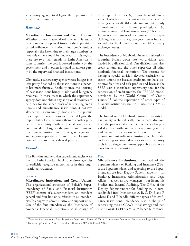supervisory agency to delegate the supervision of smaller credit unions.

### *Rationale*

**Microfinance Institutions and Credit Unions.** Whether or not a specialized line unit is established, one of the pivotal issues in the supervision of microfinance institutions and credit unions (especially the latter, due to their large numbers) is how this effort should be financed. In this regard, there are two main trends in Latin America: in some countries, the cost is covered entirely by the government and in others it is paid for at least partly by the supervised financial institutions.

Obviously, a supervisory agency whose budget is at least partly financed by the institutions it supervises has more financial flexibility since the licensing of new institutions brings it additional budgetary resources. In those cases in which the supervisory agency does not obtain any additional resources to help pay for the added costs of supervising credit unions and microfinance institutions, it has two alternatives: it can simply choose not to supervise these types of institutions or it can delegate the responsibility for supervising them to another public or private entity. Both of these alternatives are far from ideal. Large credit unions and dynamic microfinance institutions require good regulation and serious supervision to attain their long-term potential and to protect their depositors.

### *Examples*

The Bolivian and Peruvian superintendencies were the first Latin American bank supervisory agencies to explicitly recognize microfinance in their organizational structures.

#### **BOLIVIA**

**Microfinance Institutions and Credit Unions.** The organizational structure of Bolivia's Superintendency of Banks and Financial Institutions (SBEF) consists of a superintendent, an intendent general and four line units referred to as intendencies,52 along with administrative and support units. One of the four intendencies, the Intendency of Nonbank Financial Institutions, is in charge of

three types of entities: (a) private financial funds, some of which are important microfinance institutions (six licensed), (b) credit unions (24 already licensed and six with licenses pending), and (c) mutual savings and loan associations (13 licensed). It also oversees BancoSol, a commercial bank specializing in microfinance, two government funds, a second tier bank and more than 40 currency exchange houses.

The Intendency of Nonbank Financial Institutions is further broken down into two divisions, each headed by a division chief. One division supervises credit unions and the other supervises all other nonbank financial institutions. The reasons for having a special division devoted exclusively to credit unions are because credit unions have distinctive features and risk profiles and because the SBEF uses a specialized supervisory tool for the supervision of credit unions, the PEARLS model, developed by the World Council of Credit Unions.53 For the supervision of other types of financial institutions, the SBEF uses the CAMEL model.

The Intendency of Nonbank Financial Institutions has twenty technical staff, ten in each division. Over the past several years, the Intendency has provided all staff with comprehensive training in offand on-site supervision techniques for credit unions and microfinance institutions. It is also endeavoring to consolidate its various supervisory tools into a single instrument applicable to all nonbank financial institutions.

### **PERU**

**Microfinance Institutions.** The head of the Superintendency of Banking and Insurance (SBS) is the Superintendent, and reporting to the Superintendent are four Deputy Superintendents—for Banking, Insurance, Administration and Legal Affairs—as well as two Managers—for Economic Studies and Internal Auditing. The Office of the Deputy Superintendent for Banking is, in turn, subdivided into Intendencies A, B, C, D, E and F, where E and F handle different types of microfinance institutions. Intendency E is in charge of supervising the 12 CRACs (rural savings and loan institutions), 13 EDPYMEs, Mibanco (a commer-

<sup>52</sup> These four intendencies are: Bank Supervision, Supervision of Nonbank Financial Institutions, Studies and Standards and Legal Affairs. <sup>53</sup> For a description of the PEARLS model, see Richardson (1994; 2000; and 2000a).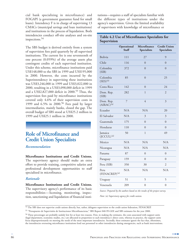cial bank specializing in microfinance) and FOGAPI (a government guarantee fund for small loans). Intendency F is in charge of supervising 13 CMACs (municipal savings and loan institutions) and institutions in the process of liquidation. Both intendencies conduct off-site analyses and on-site inspections.<sup>54</sup>

The SBS budget is derived entirely from a system of supervision fees paid quarterly by all supervised institutions. The current fee is one seventeenth of one percent (0.059%) of the average assets plus contingent credits of each supervised institution. Under this scheme, microfinance institutions paid US\$148,000 to the SBS in 1999 and US\$195,000 in 2000. However, the costs incurred by the Superintendency in supervising these institutions was US\$3,246,000 in 1999 and US\$3,022,000 in 2000, resulting in a US\$3,098,000 deficit in 1999 and a US\$2,827,000 deficit in 2000.<sup>55</sup> Thus, the supervision fees paid by microfinance institutions covered only 4.6% of their supervision costs in 1999 and 6.5% in 2000.<sup>56</sup> Fees paid by larger intermediaries, mainly banks, closed the gap. The overall budget of SBS stood at US\$25.2 million in 1999 and US\$25.1 million in 2000.

### **Role of Microfinance and Credit Union Specialists**

### *Recommendation*

**Microfinance Institutions and Credit Unions.** The supervisory agency should make an extra effort to provide training, competitive salaries and professional development opportunities to staff specialized in microfinance.

#### *Rationale*

**Microfinance Institutions and Credit Unions.** The supervisory agency's performance of its basic responsibilities—licensing, monitoring, inspection, sanctioning and liquidation of financial institutions—requires a staff of specialists familiar with the different types of institutions under the agency's supervision. Given the limited availability of supervisors with knowledge of microfinance or

### **Table 4.2 Use of Microfinance Specialists for Supervision**

|                                   | Operational<br><b>Staff</b> | Microfinance<br><b>Specialists</b> | <b>Credit Union</b><br><b>Specialists</b> |
|-----------------------------------|-----------------------------|------------------------------------|-------------------------------------------|
| Bolivia                           | 111                         | 27                                 | 9                                         |
| Chile                             | 116                         | $\theta$                           | $\overline{0}$                            |
| Colombia<br>(SIB)                 | 372                         | $\overline{0}$                     | $\overline{0}$                            |
| Colombia<br>$(SES)^{(a)}$         | 85                          | $\overline{0}$                     | 25                                        |
| Costa Rica                        | 142                         | $\overline{0}$                     | 24                                        |
| Dom. Rep.<br>(SIB)                | 282                         | $\mathbf{1}$                       | $\overline{2}$                            |
| Dom. Rep.<br>$(AIRAC)^{(a)}$      | $\overline{7}$              | $\overline{4}$                     | $\overline{\mathfrak{Z}}$                 |
| Ecuador                           | N/A                         | N/A                                | 20                                        |
| El Salvador                       | N/A                         | $\overline{\mathfrak{Z}}$          | 3                                         |
| Guatemala                         | 175                         | $\overline{0}$                     | $\overline{0}$                            |
| Honduras                          | 110                         | $\overline{0}$                     | $\overline{0}$                            |
| Jamaica<br>$(ICCUL)^{(a)}$        | 50                          | $\mathbf{1}$                       | 49                                        |
| Mexico                            | N/A                         | N/A                                | N/A                                       |
| Nicaragua                         | N/A                         | N/A                                | N/A                                       |
| Panama                            | 87                          | $\overline{0}$                     | $\overline{0}$                            |
| Paraguay                          | 159                         | $\overline{0}$                     | $\overline{0}$                            |
| Peru (SIB)                        | 350                         | 30                                 | $\mathfrak{2}$                            |
| Peru<br>(FENACREP) <sup>(a)</sup> | N/A                         | N/A                                | N/A                                       |
| Uruguay                           | 51                          | 5                                  | 5                                         |
| Venezuela                         | 209                         | $\boldsymbol{0}$                   | $\boldsymbol{0}$                          |

*Source: Prepared by the authors based on the results of the project survey.*

*Note: (a) Supervisory agency for credit unions.*

<sup>54</sup> The SBS does not supervise credit unions directly, but, rather, delegates supervision to the credit union federation, FENACREP.

<sup>55</sup> "Presupuesto de Supervisión de Instituciones Microfinancieras," SBS Report 040-99-GEE and SBS estimates for the year 2000.

<sup>&</sup>lt;sup>56</sup> These percentages are probably unduly low for at least two reasons. First, in making the estimates, the costs associated with support units (legal department, economic studies, etc.) are allocated in proportion to each intendency's direct costs, whereas in practice, the support units focus disproportionately on meeting the needs of the most important intendencies. Secondly, these estimates ignore the fact that, oftentimes, the intendencies overseeing microfinance institutions lend out personnel to other intendencies during emergencies, such as bank interventions.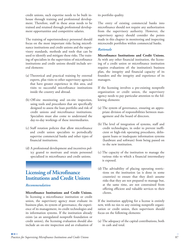credit unions, such expertise needs to be built inhouse through training and professional development. Therefore, staff in these areas needs to be trained and retained through professional development opportunities and competitive salaries.

The training of superintendency personnel should focus on the most important risks facing microfinance institutions and credit unions and the supervisory standards, methods and tools that can be used to identify and mitigate these risks. The training of specialists in the supervision of microfinance institutions and credit unions should include several elements:

- (a) Theoretical and practical training by external experts, plus visits to other supervisory agencies that have greater experience in this area, and visits to successful microfinance institutions inside the country and abroad.
- (b) Off-site monitoring and on-site inspection, using tools and procedures that are specifically designed to assess the loan portfolio and risk of credit unions and microfinance institutions. Specialists must also come to understand the day-to-day workings of these intermediaries.
- (c) Staff rotation policies that allow microfinance and credit union specialists to periodically supervise commercial banks and other types of financial institutions.
- (d) A professional development and incentives policy geared to motivate and retain personnel specialized in microfinance and credit unions.

### **Licensing of Microfinance Institutions and Credit Unions**

### *Recommendation*

**Microfinance Institutions and Credit Unions.** In licensing a microfinance institution or credit union, the supervisory agency must evaluate its business plan, its system of governance, the experience of its management, its credit technologies and its information systems. If the institution already exists (as an unregulated nonprofit foundation or credit union), the licensing evaluation should also include an on-site inspection and an evaluation of its portfolio quality.

The entry of existing commercial banks into microfinance should not require any authorization from the supervisory authority. However, the supervisory agency should consider the points made in this chapter in monitoring and inspecting microcredit portfolios within commercial banks.

### *Rationale*

**Microfinance Institutions and Credit Unions.** As with any other financial institution, the licensing of a credit union or microfinance institution requires evaluations of: the institution's business plan, the integrity and financial capacity of its founders and the integrity and experience of its managers.

If the licensing involves a pre-existing nonprofit organization or credit union, the supervisory agency needs to pay particular attention to the following elements:

- (a) The system of governance, ensuring an appropriate division of responsibilities between management and the board of directors.
- (b) The level of integration of systems, staff and credit technologies, in order to prevent inefficient or high-risk operating procedures, delinquent loans or inadequate information systems (hardware and software) from being passed on to the new institution.
- (c) The capacity of the institution to manage the various risks to which a financial intermediary is exposed.
- (d) The advisability of placing operating restrictions on the institution (as is done in some countries) to ensure that they don't assume risks that they are not prepared to manage but, at the same time, are not constrained from offering efficient and valuable services to their clients.

If the institution applying for a license is entirely new, with no ties to any existing nonprofit organization or credit union, then supervisors should focus on the following elements:

(a) The adequacy of the capital contributions, both in cash and total.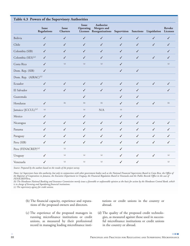|                                  | Issue<br><b>Regulations</b> | Issue<br><b>Charters</b> | Issue<br>Operating | Authorize<br>Mergers and<br>Licenses Reorganizations Supervision Sanctions Liquidation |              |              |              | <b>Revoke</b><br>Licenses |
|----------------------------------|-----------------------------|--------------------------|--------------------|----------------------------------------------------------------------------------------|--------------|--------------|--------------|---------------------------|
| Bolivia                          | $\checkmark$                | ✓                        | $\checkmark$       | $\checkmark$                                                                           | $\checkmark$ | $\checkmark$ | $\checkmark$ | J                         |
| Chile                            | $\checkmark$                | $\checkmark$             | $\checkmark$       | $\checkmark$                                                                           | $\checkmark$ | $\checkmark$ | $\checkmark$ | ✓                         |
| Colombia (SIB)                   | $\checkmark$                | ✓                        | ✓                  | $\checkmark$                                                                           | ✓            | ✓            |              | ✓                         |
| Colombia (SES) <sup>(c)</sup>    | ✓                           | ✓                        | $\checkmark$       | $\checkmark$                                                                           | ✓            | ✓            | $\checkmark$ | ✓                         |
| Costa Rica                       | $\checkmark$                | (a)                      | (a)                | (a)                                                                                    | ✓            |              |              | (a)                       |
| Dom. Rep. (SIB)                  | $\checkmark$                |                          |                    |                                                                                        | $\checkmark$ | $\checkmark$ |              |                           |
| Dom. Rep. (AIRAC) <sup>(c)</sup> |                             |                          |                    |                                                                                        |              |              |              |                           |
| Ecuador                          | $\checkmark$                | $\checkmark$             | $\checkmark$       | $\checkmark$                                                                           | $\checkmark$ | $\checkmark$ | $\checkmark$ | ✓                         |
| El Salvador                      | $\checkmark$                | $\checkmark$             | $\checkmark$       | $\checkmark$                                                                           | ✓            | ✓            |              | ✓                         |
| Guatemala                        |                             |                          | ✓                  |                                                                                        | ✓            | ✓            |              |                           |
| Honduras                         | $\checkmark$                | (b)                      | (b)                | (b)                                                                                    | ✓            | $\checkmark$ | $\checkmark$ | (b)                       |
| Jamaica (JCCUL) <sup>(c)</sup>   | (a)                         |                          | (a)                | N/A                                                                                    | (a)          |              |              |                           |
| Mexico                           | ✓                           |                          | ✓                  |                                                                                        | ✓            | ✓            |              |                           |
| Nicaragua                        | $\checkmark$                | $\checkmark$             | $\checkmark$       | $\checkmark$                                                                           | $\checkmark$ | $\checkmark$ | $\checkmark$ | ✓                         |
| Panama                           | $\checkmark$                | $\checkmark$             | $\checkmark$       | $\checkmark$                                                                           | $\checkmark$ | $\checkmark$ | $\checkmark$ | ✓                         |
| Paraguay                         | $\checkmark$                | $\checkmark$             | $\checkmark$       | $\checkmark$                                                                           | $\checkmark$ | $\checkmark$ | $\checkmark$ | ✓                         |
| Peru (SIB)                       | ✓                           | ✓                        | ✓                  | $\checkmark$                                                                           | ✓            | $\checkmark$ | $\checkmark$ | ✓                         |
| Peru (FENACREP) <sup>(c)</sup>   |                             | (a)                      |                    |                                                                                        | $\checkmark$ |              |              |                           |
| Uruguay                          | $\checkmark$                | (a)                      | (a)                | (a)                                                                                    | $\checkmark$ | $\checkmark$ | $\checkmark$ | (a)                       |
| Venezuela                        | ✓                           | (a)                      | (a)                | (a)                                                                                    | ✓            | $\checkmark$ |              | (a)                       |

*Source: Prepared by the authors based on the results of the project survey.*

*Notes: (a) Supervisors have this authority, but only in conjunction with other government bodies such as the National Financial Supervision Board in Costa Rica, the Office of the Registrar of Cooperatives in Jamaica, the Executive Department in Uruguay, the Financial Regulation Board in Venezuela and the Public Records Office in the case of FENACREP/Peru.*

*(b) The Honduran National Banking and Insurance Commission merely issues a favorable or unfavorable opinion as the basis for action by the Honduran Central Bank, which is in charge of licensing and liquidating financial institutions.*

*(c) The supervisory agency for credit unions.*

(b) The financial capacity, experience and reputations of the proposed owners and directors.

tutions or credit unions in the country or abroad.

- (c) The experience of the proposed managers in running microfinance institutions or credit unions, as measured by their professional record in managing leading microfinance insti-
- (d) The quality of the proposed credit technologies, as measured against those used in successful microfinance institutions or credit unions in the country or abroad.

a di Ba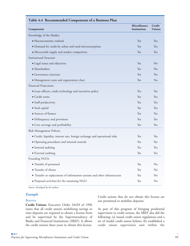| Components                                                                 | Microfinance<br><b>Institutions</b> | Credit<br><b>Unions</b> |
|----------------------------------------------------------------------------|-------------------------------------|-------------------------|
| Knowledge of the Market                                                    |                                     |                         |
| · Macroeconomic outlook                                                    | Yes                                 | Yes                     |
| · Demand for credit by urban and rural microenterprises                    | Yes                                 | Yes                     |
| • Microcredit supply and market competition                                | Yes                                 | Yes                     |
| <b>Institutional Structure</b>                                             |                                     |                         |
| • Legal status and objectives                                              | Yes                                 | No                      |
| · Shareholders                                                             | Yes                                 | No                      |
| • Governance structure                                                     | Yes                                 | No                      |
| · Management team and organization chart                                   | Yes                                 | Yes                     |
| Financial Projections                                                      |                                     |                         |
| · Loan officers, credit technology and incentives policy                   | Yes                                 | Yes                     |
| • Credit terms                                                             | Yes                                 | Yes                     |
| • Staff productivity                                                       | Yes                                 | Yes                     |
| • Seed capital                                                             | Yes                                 | Yes                     |
| • Sources of finance                                                       | Yes                                 | Yes                     |
| • Delinquency and provisions                                               | Yes                                 | Yes                     |
| • Cost coverage and profitability                                          | Yes                                 | Yes                     |
| Risk Management Policies                                                   |                                     |                         |
| • Credit, liquidity, interest rate, foreign exchange and operational risks | Yes                                 | Yes                     |
| · Operating procedures and internal controls                               | Yes                                 | Yes                     |
| · Internal auditing                                                        | Yes                                 | Yes                     |
| • External auditing                                                        | Yes                                 | Yes                     |
| Founding NGOs                                                              |                                     |                         |
| • Transfer of personnel                                                    | Yes                                 | No                      |
| · Transfer of clients                                                      | Yes                                 | No                      |
| • Transfer or replacement of information systems and other infrastructure  | Yes                                 | N <sub>o</sub>          |
| · Proposed activities for the remaining NGO                                | Yes                                 | N <sub>o</sub>          |

*Source: Developed by the authors.*

### *Example*

#### **BOLIVIA**

**Credit Unions.** Executive Order 24439 of 1996 states that all credit unions mobilizing savings or time deposits are required to obtain a license from and be supervised by the Superintendency of Banks and Financial Institutions (SBEF). It allows the credit unions three years to obtain this license.

Credit unions that do not obtain this license are not permitted to mobilize deposits.

As part of this program of bringing prudential supervision to credit unions, the SBEF also did the following: (a) issued credit union regulations and a set of model credit union bylaws; (b) established a credit union supervision unit within the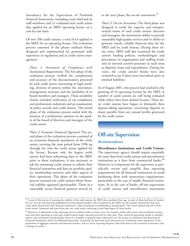Intendency for the Supervision of Nonbank Financial Institutions, including a unit chief and six staff members; and (c) evaluated each credit union that applied for an SBEF operating license on a case-by-case basis.

Of over 200 credit unions, a total of 63 applied to the SBEF for an operating license. The evaluation process consisted of the phases outlined below, designed and implemented by personnel with experience in regulation and in credit union management.

*Phase 1: Assessment of Compliance with Institutional Requirements.* The first phase of the evaluation process verified the completeness and accuracy of the documentation presented by each credit union concerning its legal standing, division of powers within the institution, management structure and the suitability of its board members and managers. These suitability checks included verification of tax compliance and professional credentials and an examination of police records and credit history. This initial phase of the evaluation process ended with the issuance of a preliminary opinion on the quality of the board of directors and managers of the credit union.

*Phase 2: Economic-Financial Appraisal.* The second phase of the evaluation process consisted of an economic-financial assessment of the credit union, covering the time period from 1996 up through the time the credit union applied for the license. Because only the largest credit unions had been submitting data to the SBEF prior to these evaluations, it was necessary to ask the remaining credit unions to submit their financial statements and data on portfolio quality, membership turnover, and other aspects of their operations. This phase of the evaluation process screened out credit unions whose financial viability appeared questionable. Those in a reasonably secure financial position moved on

to the next phase, the on-site assessment.<sup>57</sup>

*Phase 3: On-site Assessment.* The third phase was designed to verify the capacity and entrepreneurial vision of each credit union's directors and managers, the institution's ability to provide reasonably high quality services and its ability to generate timely, reliable financial data for the SBEF and its credit bureau. During these onsite visits, SBEF staff also examined the credit union's lending policies, methodologies and procedures; its organization and staffing levels; and its internal control processes in such areas as deposits, loans and expenditures. During the visits, the credit union's books were also reviewed to see if there were overvalued assets or omitted liabilities.

As of August 2001, this process had resulted in the granting of 24 operating licenses by the SBEF. A number of credit unions are still being evaluated while others have been denied licenses. These latter credit unions have begun to dismantle their deposit-taking operations, converting deposits to shares payable from any annual profits generated by the credit union.

## **Off-site Supervision**

### *Recommendation*

**Microfinance Institutions and Credit Unions.** The supervisory agency should require essentially the same data from credit unions and microfinance institutions as it does from commercial banks.<sup>58</sup> However, it is important for the supervisor to periodically review and simplify data reporting requirements for all financial institutions to avoid burdening them with unnecessary requirements, particularly in the case of smaller financial institutions. As in the case of banks, off-site supervision of credit unions and microfinance institutions

<sup>57</sup> As part of the process of assessing the viability of the credit unions, the SBEF also considered their age, as some of them had been in business for over 30 years and had long-established local and regional markets. Also considered by the SBEF was the number of borrowers that each credit union shared with other financial institutions, a sign of potential overindebtedness among clients. This review showed that 64% of the credit unions' borrowers had loans from only one credit union, indicating a fairly high degree of client loyalty.

<sup>58</sup> However, an adjustment in the reporting interval could be made in certain cases. For example, small credit unions and microfinance institutions and those operating in rural areas could be given longer reporting intervals for some data. Thus, instead of generating weekly or monthly reports, such institutions would produce them on a monthly or quarterly basis, respectively (see the section on Disclosure and Reporting of Financial Information, below, for additional discussion). In general, the data from such institutions are of relatively minor importance in the preparation of aggregate monetary and financial statistics, and so a lower reporting frequency does little harm to the execution of monetary and exchange rate policy.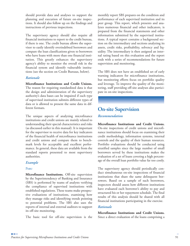should provide data and analyses to support the planning and execution of future on-site inspections. It should also follow up on the findings and instructions of previous inspections.

The supervisory agency should also require all financial institutions to report to the credit bureau, if there is one. The credit bureau allows the supervisor to easily identify overindebted borrowers and compare the loan classifications given to borrowers who have loans with more than one financial institution. This greatly enhances the supervisory agency's ability to monitor the overall risk in the financial system and identify vulnerable institutions (see the section on Credit Bureaus, below).

### *Rationale*

**Microfinance Institutions and Credit Unions.** The reason for requiring standardized data is that the design and administration of the supervisory authority's data bases can be impaired if each type of supervised institution submits different types of data or is allowed to present the same data in different formats.

The unique aspects of analyzing microfinance institutions and credit unions are mainly related to understanding their special characteristics and risks (as discussed earlier in this manual). It is important for the supervisor to receive data for key indicators of the financial health of microfinance institutions and credit unions and compare them to benchmark levels for acceptable and excellent performance. In general, these data are available from the standard reports presented to most supervisory authorities.

### *Example*

### **PERU**

**Microfinance Institutions.** Off-site supervision by the Superintendency of Banking and Insurance (SBS) is performed by teams of analysts verifying the compliance of supervised institutions with established regulations. These teams make prospective evaluations of institutions, examining how they manage risks and identifying trends pointing to potential problems. The SBS also uses the reports of internal and external auditors to support its off-site monitoring.

The basic tool for off-site supervision is the

monthly report SBS prepares on the condition and performance of each supervised institution and its peer group. This report, which presents and analyzes numerous financial and other indicators, is prepared from the financial statements and other information submitted by the supervised institutions. A typical report contains a background section on the intermediary and sections analyzing its assets, credit risks, profitability, solvency and liquidity. The intermediary is then assigned an internal rating based on this evaluation and the report ends with a series of recommendations for future supervision and monitoring.

The SBS does not have an established set of early warning indicators for microfinance institutions, but monitoring efforts focus on portfolio quality and leverage. To improve the quality of the monitoring, staff providing off-site analyses also participate in on-site inspections.

## **On-site Supervision** *Recommendation*

**Microfinance Institutions and Credit Unions.** On-site inspections of credit unions and microfinance institutions should focus on examining their credit methodology, information systems, internal controls and the quality of their human resources. Portfolio evaluations should be conducted using stratified samples since the large number of small borrowers served by these institutions makes the evaluation of a set of loans covering a high percentage of the overall loan portfolio value far too costly.

The supervisory agency should periodically conduct simultaneous on-site inspections of financial institutions that share the same delinquent borrowers. Based on a sample of such borrowers, inspectors should assess how different institutions have evaluated each borrower's ability to pay and structured his or her repayment schedule. The final results of this analysis should be shared with all financial institutions participating in the exercise.

### *Rationale*

**Microfinance Institutions and Credit Unions.** Since a direct evaluation of the loans comprising a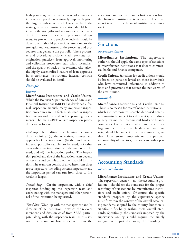high percentage of the overall value of a microenterprise loan portfolio is virtually impossible given the large numbers of small loans involved, the main goal of an on-site inspection should be to identify the strengths and weaknesses of the financial institution's management, processes and systems. As part of this, a portfolio analysis should be done, but it should pay serious attention to the strengths and weaknesses of the processes and procedures that generate the portfolio. These processes and procedures include: credit policies; loan origination practices; loan approval, monitoring and collection procedures; staff salary incentives; and the quality of back-office systems. Also, given the highly decentralized nature of loan approvals in microfinance institutions, internal controls should be evaluated in detail.

### *Example*

#### **BOLIVIA**

**Microfinance Institutions and Credit Unions.** While the Bolivian Superintendency of Banks and Financial Institutions (SBEF) has developed a formal inspection manual, many important inspection procedures are, in fact, established in inspection memorandums and other planning documents. The main SBEF on-site inspection procedures are as follows:

*First step.* The drafting of a planning memorandum outlining: (a) the objectives, strategy and approach of the inspection, (b) the random and induced portfolio samples to be used, (c) other areas subject to inspection, and the methods to be used, and (d) the inspection period. The inspection period and size of the inspection team depend on the size and complexity of the financial institution. The team can consist of anywhere from three to six inspectors (including systems inspectors) and the inspection period can run from three to five weeks in length.

*Second Step.* On-site inspection, with a chief inspector heading up the inspection team and coordinating with the managers and other personnel of the institution being visited.

*Third Step.* Wrap-up with the management and/or directors of the institution, in which the relevant intendent and division chief from SBEF participate, along with the inspection team. In this session, the main conclusions derived from the inspection are discussed, and a first reaction from the financial institution is obtained. The final report is sent to the financial institution within a week.

### **Sanctions**

### *Recommendation*

**Microfinance Institutions.** The supervisory authority should apply the same type of sanctions to microfinance institutions as it does to commercial banks and finance companies.

**Credit Unions.** Sanctions for credit unions should be based on penalties levied on those individuals who have committed infractions, in addition to fines and provisions that reduce the net worth of the credit union.

### *Rationale*

**Microfinance Institutions and Credit Unions**. There is no reason for microfinance institutions which are incorporated, shareholder-based organizations—to be subject to a different type of disciplinary regime than commercial banks or finance companies. Credit unions, which are owned by a large number of small shareholders each with one vote, should be subject to a disciplinary regime that places greater emphasis on the personal responsibility of directors, managers and other personnel.

### **Accounting Standards**

### *Recommendation*

**Microfinance Institutions and Credit Unions.** The supervisory agency—not the accounting profession—should set the standards for the proper recording of transactions by microfinance institutions and credit unions. Of course, the specific standards proposed by the supervisory agency must fit within the context of the overall accounting standards adopted by the country, but there is significant flexibility within these overall standards. Specifically, the standards imposed by the supervisory agency should require the timely recognition of past due loans, the recording of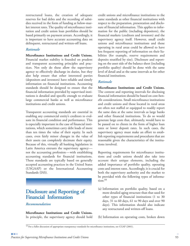restructured loans, the creation of adequate reserves for bad debts and the recording of subsidies received in the form of funding at below-market interest rates. The quality of microfinance institution and credit union loan portfolios should be based primarily on payment arrears. Accordingly, it is important to have accurate accounting data on delinquent, restructured and written-off loans.

### *Rationale*

**Microfinance Institutions and Credit Unions.** Financial market stability is founded on prudent and transparent accounting principles and practices. Not only do these allow the supervisory agency to effectively discharge its duties, but they also help ensure that other interested parties (depositors and investors) have reliable and timely information on financial institutions. Accounting standards should be designed to ensure that the financial information provided by supervised institutions is detailed and specific enough to evaluate large commercial banks as well as microfinance institutions and credit unions.

Transparent accounting standards are essential in enabling any commercial entity's creditors to evaluate its financial condition and performance. This is especially important in the case of financial institutions, which sometimes carry debt loads of more than ten times the value of their equity. In such cases, even fairly minor changes in the value of their assets can completely decimate their equity. Because of this, virtually all banking legislation in Latin America entrusts the supervisory agency not the accounting profession—with establishing accounting standards for financial institutions. These standards are typically based on generally accepted accounting practices in the United States (USGAAP) or the International Accounting Standards (IAS).

### **Disclosure and Reporting of Financial Information**

### *Recommendation*

**Microfinance Institutions and Credit Unions.** In principle, the supervisory agency should hold credit unions and microfinance institutions to the same standards as other financial institutions with respect to the preparation, presentation and disclosure of financial information. This applies to information for the public (including depositors), the financial markets (creditors and investors) and the supervisory agency itself. However, small credit unions and microfinance institutions and those operating in rural areas could be allowed to have less frequent reporting of information on their liabilities (for example, reserve requirements and deposits stratified by size). Disclosure and reporting on the asset side of the balance sheet (including portfolio quality) should be done with the same level of detail and at the same intervals as for other financial institutions.

### *Rationale*

**Microfinance Institutions and Credit Unions.** The content and reporting intervals for disclosing financial information should be based on cost-benefit considerations. Small microfinance institutions and credit unions and those located in rural areas are often not staffed or equipped to readily report the same data at the same intervals as large banks and other financial institutions. To do so would generate large costs that, ultimately, would have to be passed on to clients in the form of higher loan rates or lower deposit rates. In such cases, the supervisory agency must make an effort to establish reporting requirements and procedures that are reasonable given the characteristics of the institutions involved.

Reporting requirements for microfinance institutions and credit unions should also take into account their unique elements, including the added importance of portfolio quality, operating costs and interest rates. Accordingly, it is crucial for both the supervisory authority and the market to be provided with the following types of information:<sup>59</sup>

- (a) Information on portfolio quality, based on a more detailed aging structure than that used for other types of financial institutions (1 to 30 days, 31 to 60 days, 61 to 90 days and over 90 days). This information should also indicate any restructured and written-off loans.
- (b) Information on operating costs, broken down

<sup>59</sup> For a fuller discussion of appropriate transparency standards for microfinance institutions, see CGAP (2001).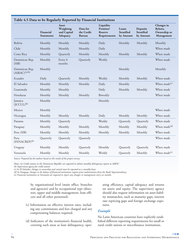| radic 4.) Data to be regularly reported by Financial mstitutions |                                |                                               |                                         |                                                          |                                         |                                                   |                                                     |
|------------------------------------------------------------------|--------------------------------|-----------------------------------------------|-----------------------------------------|----------------------------------------------------------|-----------------------------------------|---------------------------------------------------|-----------------------------------------------------|
|                                                                  | Financial<br><b>Statements</b> | Asset<br>Weighting<br>and Capital<br>Adequacy | Data for<br>the Credit<br><b>Bureau</b> | Liquidity<br>Position/<br><b>Reserve</b><br>Requirements | Loans<br><b>Stratified</b><br>by Amount | <b>Deposits</b><br><b>Stratified</b><br>by Amount | Changes in<br>Bylaws,<br>Ownership or<br>Management |
| Bolivia                                                          | Monthly                        | Monthly                                       | Monthly                                 | Daily                                                    | Monthly                                 | Monthly                                           | Monthly                                             |
| Chile                                                            | Monthly                        | Monthly                                       | Monthly                                 | Daily                                                    |                                         |                                                   | When made                                           |
| Costa Rica                                                       | Monthly                        | Quarterly                                     | Monthly                                 | Monthly                                                  | Monthly                                 | Monthly                                           | When made                                           |
| Dominican Rep.<br>(SIB)                                          | Monthly                        | Every 6<br>months                             | Quarterly                               | Weekly                                                   |                                         |                                                   | When made                                           |
| Dominican Rep.<br>$(AIRAC)^{(a)(b)}$                             | Monthly                        |                                               |                                         |                                                          | Monthly                                 |                                                   | Monthly                                             |
| Ecuador                                                          | Daily                          | Quarterly                                     | Monthly                                 | Weekly                                                   | Monthly                                 | Monthly                                           | When made                                           |
| El Salvador                                                      | Monthly                        | Monthly                                       | Monthly                                 | Daily                                                    | Monthly                                 |                                                   | When made <sup>(c)</sup>                            |
| Guatemala                                                        | Monthly                        | Monthly                                       |                                         | Daily                                                    | Monthly                                 | Monthly                                           | When made                                           |
| Honduras                                                         | Monthly                        | Monthly                                       | Monthly                                 | Biweekly                                                 |                                         |                                                   | When made                                           |
| Jamaica<br>$(ICCUL)^{(b)}$                                       | Monthly                        |                                               |                                         | Monthly                                                  |                                         |                                                   |                                                     |
| Mexico                                                           | Monthly                        |                                               |                                         |                                                          |                                         |                                                   | When made                                           |
| Nicaragua                                                        | Monthly                        | Monthly                                       | Monthly                                 | Daily                                                    | Monthly                                 | Monthly                                           | When made                                           |
| Panama                                                           | Monthly                        | Quarterly                                     |                                         | Weekly                                                   | Quarterly                               | Quarterly                                         | When made                                           |
| Paraguay                                                         | Monthly                        | Monthly                                       | Monthly                                 | Monthly                                                  | Monthly                                 | Monthly                                           | When made <sup>(d)</sup>                            |
| Peru (SIB)                                                       | Monthly                        | Monthly                                       | Monthly                                 | Monthly                                                  | Monthly                                 | Monthly                                           | When made                                           |
| Peru<br>$(FENACREP)^{(b)}$                                       | Quarterly                      | Quarterly                                     | Quarterly                               |                                                          |                                         |                                                   | When made                                           |
| Uruguay                                                          | Monthly                        | Monthly                                       | Quarterly                               | Monthly                                                  | Quarterly                               | Quarterly                                         | When made                                           |
| Venezuela                                                        | Monthly                        | Monthly                                       | Monthly                                 | Weekly                                                   | Quarterly                               | Monthly                                           | When made <sup>(e)</sup>                            |
|                                                                  |                                |                                               |                                         |                                                          |                                         |                                                   |                                                     |

### **Table 4.5 Data to be Regularly Reported by Financial Institutions**

*Source: Prepared by the authors based on the results of the project survey.*

*Notes: (a) Credit unions in the Dominican Republic are required to submit monthly delinquency reports to AIRAC.*

*(b) Supervisory agency for credit unions.* 

*(c) In El Salvador, changes in ownership and control must be reported on a monthly basis.*

*(d) In Paraguay, changes in the bylaws of financial institutions require prior authorization from the Bank Superintendency.*

*(e) Financial institutions in Venezuela are required to report any changes in management every six months.*

by organizational level (main office, branches and agencies) and by occupational type (directors, upper and middle management, loan officers and all other personnel).

- (c) Information on effective interest rates, including any commissions and fees charged and any compensating balances required.
- (d) Indicators of the institution's financial health, covering such areas as loan delinquency, oper-

ating efficiency, capital adequacy and returns on assets and equity. The supervisory agency should also request information on asset-liability mismatches, such as maturity gaps, interest rate repricing gaps and foreign exchange exposures.

### *Example*

No Latin American countries have explicitly established different reporting requirements for small or rural credit unions or microfinance institutions.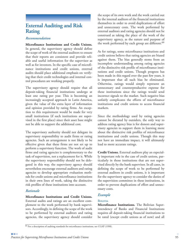### **External Auditing and Risk Rating**

### *Recommendation*

**Microfinance Institutions and Credit Unions.** In general, the supervisory agency should define the scope of work of the external auditors to ensure that their reports are consistent and provide reliable and useful information for the supervisor as well as for investors. In the specific case of microfinance institutions and credit unions, external audits should place additional emphasis on verifying that their credit technologies and internal control procedures are working properly.

The supervisory agency should require that all deposit-taking financial institutions undergo at least one rating per year. This is becoming an increasingly accepted approach in Latin America, given the value of the extra layer of information and opinion provided by rating firms. An exception to this requirement would be made for very small institutions (if such institutions are supervised in the first place) since their asset base might not be able to support the additional cost.

The supervisory authority should not delegate its supervisory responsibility to audit firms or rating agencies. Such an arrangement is not likely to be effective given that these firms are not set up to perform a supervisory function. The work of audit firms and rating agencies is complementary to the task of supervision, not a replacement for it. While the supervisory responsibility should not be delegated in this way, the supervisory agency should nevertheless encourage external auditors and rating agencies to develop appropriate evaluation methods for credit unions and microfinance institutions in their own lines of work, taking the distinctive risk profiles of these institutions into account.

### *Rationale*

**Microfinance Institutions and Credit Unions.** External audits and ratings are an excellent complement to the work performed by bank supervisors. Accordingly, in defining the scope of the work to be performed by external auditors and rating agencies, the supervisory agency should consider

the scope of its own work and the work carried out by the internal auditors of the financial institutions themselves in order to avoid duplications of effort and unnecessary costs. The work performed by external auditors and rating agencies should not be construed as taking the place of the work of the supervisory agency, as the nature and purpose of the work performed by each group are different.<sup>60</sup>

As for ratings, some microfinance institutions and credit unions believe that rating agencies are biased against them. The bias generally stems from an incomplete understanding among rating agencies of the distinctive risk profile of microfinance institutions and credit unions. Though progress has been made in this regard over the past few years, it is important that all such bias be eliminated. Otherwise, ratings would simply represent an unnecessary and counterproductive expense for these institutions since the ratings would send incorrect signals to the market. Such negative bias unfairly complicates the efforts of microfinance institutions and credit unions to access financial markets.

Since the methodology used by rating agencies cannot be dictated by outsiders, the only way to address rating agency bias is for donors and supervisory agencies to support them in learning more about the distinctive risk profiles of microfinance institutions and credit unions. Though this may not have an immediate impact, it will ultimately lead to more accurate ratings.

**Credit Unions.** External auditors play an especially important role in the case of credit unions, particularly in those institutions that are not supervised directly by the bank supervisor. In all cases, in defining the scope of work to be performed by external auditors in credit unions, it is important for the supervisory agency to consider the duties of the supervision committee in these institutions, in order to prevent duplications of effort and unnecessary costs.

### *Example*

### **BOLIVIA**

**Microfinance Institutions.** The Bolivian Superintendency of Banks and Financial Institutions requires all deposit-taking financial institutions to be rated (except credit unions as of now) and all

<sup>60</sup> For a description of auditing standards for microfinance institutions, see CGAP (1998).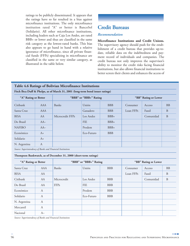ratings to be publicly disseminated. It appears that the ratings have so far resulted in a bias against microfinance institutions. The only microfinance institution rated "A" or better is BancoSol (Solidario). All other microfinance institutions, including leaders such as Caja Los Andes, are rated BBB+ or lower and thus are classified in the same risk category as the lowest-rated banks. This bias also appears to go hand in hand with a relative ignorance of microfinance, since all private financial funds (FFPs) specializing in microfinance are classified in the same or very similar category, as illustrated in the table below.

### **Credit Bureaus**

### *Recommendation*

**Microfinance Institutions and Credit Unions.** The supervisory agency should push for the establishment of a credit bureau that provides up-todate, reliable data on the indebtedness and payment record of individuals and companies. The credit bureau not only improves the supervisor's ability to monitor the credit risks facing financial institutions, but also allows financial institutions to better screen their clients and enhances the access of

### **Table 4.6 Ratings of Bolivian Microfinance Institutions**

**Fitch Ibca Duff & Phelps, as of March 31, 2001 (long-term bond issuer ratings)**

| "A" Rating or Better |              | "BBB" or "BBB+" Rating |            |            | "BB" Rating or Lower |           |           |
|----------------------|--------------|------------------------|------------|------------|----------------------|-----------|-----------|
| Citibank             | AAA          | Banks                  | Unión      | <b>BBB</b> | Consumer             | Acceso    | <b>BB</b> |
| Santa Cruz           | <b>AAA</b>   |                        | Ganadero   | <b>BBB</b> | Loan FFPs            | Fassil    | B         |
| <b>BISA</b>          | AA           | Microcredit FFPs       | Los Andes  | $BBB+$     |                      | Comunidad | B         |
| Do Brasil            | $AA-$        |                        | <b>FIE</b> | $BBB+$     |                      |           |           |
| <b>NAFIBO</b>        | $AA-$        |                        | Prodem     | $BBB+$     |                      |           |           |
| Económico            | $A_{+}$      |                        | Eco-Futuro | <b>BBB</b> |                      |           |           |
| Solidario            | $A+$         |                        |            |            |                      |           |           |
| N. Argentina         | $\mathbf{A}$ |                        |            |            |                      |           |           |

*Source: Superintendency of Banks and Financial Institutions*

#### **Thompson Bankwatch, as of December 31, 2000 (short-term ratings)**

| "A" Rating or Better |      |             | "BBB" or "BBB+" Rating | "BB" Rating or Lower |           |           |              |
|----------------------|------|-------------|------------------------|----------------------|-----------|-----------|--------------|
| Santa Cruz           | AAA  | Banks       | Unión                  | <b>BBB</b>           | Consumer  | Acceso    | <b>BB</b>    |
| <b>BISA</b>          | AA   |             |                        |                      | Loan FFPs | Fassil    | $\, {\bf B}$ |
| Citibank             | AA   | Microcredit | Los Andes              | <b>BBB</b>           |           | Comunidad | $\, {\bf B}$ |
| Do Brasil            | AA   | FFPs        | <b>FIE</b>             | <b>BBB</b>           |           |           |              |
| Económico            | A    |             | Prodem                 | <b>BBB</b>           |           |           |              |
| Solidario            | A    |             | Eco-Futuro             | <b>BBB</b>           |           |           |              |
| N. Argentina         | A    |             |                        |                      |           |           |              |
| Mercantil            | A    |             |                        |                      |           |           |              |
| Nacional             | $A-$ |             |                        |                      |           |           |              |

*Source: Superintendency of Banks and Financial Institutions*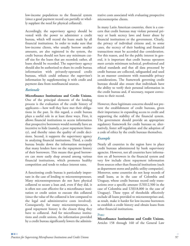low-income populations to the financial system (since a good payment record can partially or wholly supplant the need for physical collateral).

Accordingly, the supervisory agency should be vested with the power to administer a credit bureau, which will record the loans made by all financial institutions. In order to make sure that low-income clients, who usually borrow smaller amounts, are also registered in the system, the credit bureau should not have any minimum cutoff size for the loans that are recorded; rather, all loans should be recorded. The supervisory agency should also be authorized to share its credit bureau information with privately-operated credit bureaus, which could enhance the supervisor's information by supplementing it with credit and payment data from nonfinancial sources.

### *Rationale*

**Microfinance Institutions and Credit Unions.** One of the principal elements of the lending process is the evaluation of the credit history of applicants—how well they have met their obligations in the past. In this regard, a credit bureau plays a useful role in at least three ways. First, it allows financial institutions to access information that prospective borrowers would normally have an incentive to hide (namely, a poor repayment history), and thereby raises the quality of credit decisions. Second, it supports the supervisory agency in analyzing financial institutions. Third, a credit bureau breaks down the information monopoly that many lenders have on the repayment history of their borrowers. This means that good borrowers can more easily shop around among various financial institutions, which promotes healthy competition and tends to reduce interest rates.

A functioning credit bureau is particularly important in the case of lending to microentrepreneurs. Many microentrepreneurs do not have physical collateral to secure a loan and, even if they did, it is often not cost effective for a microfinance institution or credit union to execute this collateral (since the value of the collateral is low compared to the legal and administrative costs involved). Consequently, for many microentrepreneurs, a good repayment history is the closest thing they have to collateral. And for microfinance institutions and credit unions, the information provided by a credit bureau significantly lowers the administrative costs associated with evaluating prospective microenterprise clients.

In many Latin American countries, there is a concern that credit bureaus may violate personal privacy or bank secrecy laws and foster abuse by financial institutions or the government. Clearly, the privacy of individual citizens and, in some cases, the secrecy of their banking and financial transactions must be accorded due consideration. For this reason, and for the public interest in general, it is important that credit bureau operators meet certain minimum technical, professional and ethical standards and that all data processed by credit bureaus are collected, safeguarded and used in an manner consistent with reasonable privacy considerations. The framework governing credit bureaus should also ensure that individuals have the ability to verify their personal information in the credit bureau and, if necessary, request corrections to their record.

However, these legitimate concerns should not prevent the establishment of credit bureaus, given their importance in expanding access to credit and supporting the stability of the financial system. The government should provide an appropriate regulatory framework for credit bureaus or, alternatively, foster self-regulation and the adoption of a code of ethics by the credit bureaus themselves.

### *Example*

Nearly all countries in the region have in place credit bureaus administered by bank supervisory agencies. However, not all countries have information on all borrowers in the financial system and very few include client repayment information from sources other than financial institutions (such as department stores and public utility companies). Moreover, some countries do not keep records of small loans, as in the case of Colombia and Uruguay, whose credit bureaus record only transactions over a specific amount (US\$12,500 in the case of Colombia and US\$18,000 in the case of Uruguay). These types of thresholds effectively exclude all loans provided to microenterprises and, as result, make it harder for low-income borrowers to establish a credit history and obtain loans from other financial institutions.

### **PERU**

**Microfinance Institutions and Credit Unions.** Articles 158 through 160 of the General Law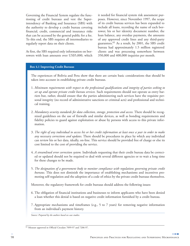Governing the Financial System regulate the functioning of credit bureaus and vest the Superintendency of Banking and Insurance (SBS) with the authority to develop a credit bureau covering financial, credit, commercial and insurance risks that can be accessed by the general public for a fee. To this end, the SBS requires all intermediaries to regularly report data on their clients.

At first, the SBS required only information on borrowers with loan amounts over US\$5,000, which it needed for financial system risk assessment purposes. However, since November 1997, the scope of its credit bureau services has been expanded to include all loans, recording the name of each borrower, his or her identity document number, the loan balance, any overdue payments, the amounts of any approved credit lines and any third-party guarantees.<sup>61</sup> As a result, by 2001, the SBS credit bureau had approximately 1.5 million registered clients and was processing somewhere between 350,000 and 400,000 inquiries per month.

#### **Box 4.1 Improving Credit Bureaus**

The experiences of Bolivia and Peru show that there are certain basic considerations that should be taken into account in establishing private credit bureaus.

- 1. *Minimum requirements with respect to the professional qualifications and integrity of parties seeking to set up and operate private credit bureau services.* Such requirements should not operate as entry barriers but, rather, should ensure that the parties administering such services have the requisite personal integrity (no record of administrative sanctions or criminal acts) and professional and technical training.
- 2. *Mandatory security standards for data collection, storage, protection and access.* There should be recognized guidelines on the use of firewalls and similar devices, as well as bonding requirements and fidelity policies to guard against exploitation or abuse by persons with access to this private information.
- 3. *The right of any individual to access his or her credit information at least once a year in order to make any necessary corrections and updates.* There should be procedures in place by which any individual can review his or her data, ideally, on-line. This service should be provided free of charge or else its cost limited to the cost of providing the service.
- 4. *A streamlined error correction system.* Individuals requesting that their credit bureau data be corrected or updated should not be required to deal with several different agencies or to wait a long time for these changes to be made.
- 5. *The designation of a government body to monitor compliance with regulations governing private credit bureaus.* This does not diminish the importance of establishing mechanisms and incentives promoting self-regulation and the adoption of a code of ethics by the private credit bureaus themselves.

Moreover, the regulatory framework for credit bureaus should address the following issues:

- 6. The obligation of financial institutions and businesses to inform applicants who have been denied a loan whether this denial is based on negative credit information furnished by a credit bureau.
- 7. Appropriate mechanisms and timeframes (e.g., 5 to 7 years) for removing negative information from an individual's payment history.

*Source: Prepared by the authors based on case studies.*

<sup>61</sup> Measure approved in Official Circulars 7099-97 and 7206-97.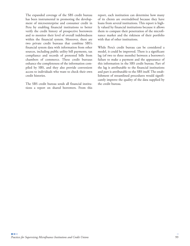The expanded coverage of the SBS credit bureau has been instrumental in promoting the development of microenterprise and consumer credit in Peru by enabling financial institutions to better verify the credit history of prospective borrowers and to monitor their level of overall indebtedness within the financial system. Moreover, there are two private credit bureaus that combine SBS's financial system data with information from other sources, including public utility bill payments, tax compliance and records of protested bills from chambers of commerce. These credit bureaus enhance the completeness of the information compiled by SBS, and they also provide convenient access to individuals who want to check their own credit histories.

The SBS credit bureau sends all financial institutions a report on shared borrowers. From this report, each institution can determine how many of its clients are overindebted because they have loans from several institutions. This report is highly valued by financial institutions because it allows them to compare their penetration of the microfinance market and the riskiness of their portfolio with that of other institutions.

While Peru's credit bureau can be considered a model, it could be improved. There is a significant lag (of two to three months) between a borrower's failure to make a payment and the appearance of this information in the SBS credit bureau. Part of the lag is attributable to the financial institutions and part is attributable to the SBS itself. The establishment of streamlined procedures would significantly improve the quality of the data supplied by the credit bureau.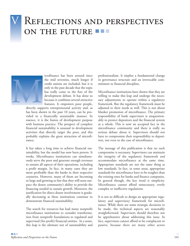# **REFLECTIONS AND PERSPECTIVES** ON THE FUTURE



icrofinance has been around since the mid seventies, much longer if credit unions are included, but it is only in the past decade that the topic has really come to the fore of the development debate. It has done so because it combines several attractive features. It empowers poor people,

directly supports entrepreneurial activity and, as has been shown in the past 10 years, can be provided in a financially sustainable manner. In essence, it is the fusion of development purpose with business practice. The prospect of complete financial sustainability is unusual in development activities that directly target the poor, and this probably explains the great attraction of microfinance.

It has taken a long time to achieve financial sustainability, but the model has now been proven. It works. Microfinance institutions can simultaneously serve the poor and generate enough revenues to sustain all aspects of their operations, including a profit margin. In fact, in many cases they are more profitable than the banks in their respective countries. However, many of them are becoming so large and growing so fast that they will soon outpace the donor community's ability to provide the financing needed to sustain growth. Moreover, the justification for direct donor involvement is gradually decreasing as these institutions continue to demonstrate financial sustainability.

The search for resources has lead many nonprofit microfinance institutions to consider transformation from nonprofit foundations to regulated and supervised (for-profit) financial entities. In a sense, this leap is the ultimate test of sustainability and

professionalism. It implies a fundamental change in governance structure and an irrevocable commitment to financial discipline.

Microfinance institutions have shown that they are willing to make this leap and undergo the necessary adjustments to operate within a regulatory framework. But the regulatory framework must be adjusted to their needs as well. This is not about blanket promotion of microfinance. The primary responsibility of bank supervisors is unquestionably to protect depositors and the financial system as a whole. This is now an accepted fact in the microfinance community and there is really no serious debate about it. Supervisors should not have to compromise their responsibility to depositors, not even in the case of microfinance.

The message of this publication is that no such compromise is necessary. Supervisors can maintain the integrity of the regulatory framework *and* accommodate microfinance at the same time. Appropriate standards are not the same thing as low standards. In fact, in some areas, appropriate standards for microfinance have to be tougher than the existing ones for banks and finance companies. In general though, the key word is simplicity. Microfinance cannot afford unnecessary, overly complex or ineffective regulations.

It is not so difficult to design an appropriate regulatory and supervisory framework for microfinance. While there are some strategic decisions to be made, the technical aspects are reasonably straightforward. Supervisors should therefore not be apprehensive about addressing this issue. In fact, supervisors cannot afford to be complacent or passive, because there are many other actors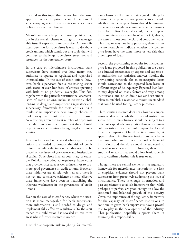involved in this topic that do not have the same appreciation for the priorities and limitations of supervisory agencies. Perhaps this can be seen as a political risk of microfinance.

Microfinance may be prone to some political risk, but in the overall scheme of things it is a manageable issue if supervisors are proactive. A more difficult question for supervisors is what to do about credit unions, which stands out as a topic that will continue to challenge supervisory structures and resources for the foreseeable future.

In the case of microfinance institutions, bank supervisors have control over how many they authorize to operate as regulated and supervised intermediaries. In the case of credit unions, however, bank supervisors face a pre-existing sector with scores or even hundreds of entities operating with little or no prudential oversight. This fact, together with the particular institutional characteristics of credit unions, makes it extremely challenging to design and implement a regulatory and supervisory framework for these entities. As a result, some supervisors have simply chosen to look away and not deal with the issue. Nevertheless, given the great number of depositors in credit unions and their significant share of total deposits in some countries, benign neglect is not a solution.

It is now fairly well understood what type of regulations are needed to control the risk of credit unions, including the importance that needs to be placed on the issues of governance and institutional capital. Supervisors in a few countries, for example Bolivia, have adopted regulatory frameworks that provide strict rules as well as incentives to promote good governance in credit unions. However, these initiatives are all relatively new and there is not yet any conclusive evidence on how effective these frameworks have been in neutralizing the inherent weaknesses in the governance of credit unions.

Even in the case of microfinance, where the situation is more manageable for bank supervisors, more information is still needed to design and implement fully effective regulations. To the alert reader, this publication has revealed at least three areas where further research is needed.

First, the appropriate risk weighting for microfi-

nance loans is still unknown. As argued in the publication, it is presently not possible to conclude whether microenterprise loans should be assigned the same risk weight as commercial and consumer loans. In the Basel I capital accord, microenterprise loans are given a risk weight of unity (1), that is, the same as most commercial and consumer loans. This may or may not be appropriate; there is simply no research to indicate whether microenterprise loans have the same, more or less risk than other types of loans.

Second, the provisioning schedules for microenterprise loans proposed in this publication are based on educated assessments by experts and supervisory authorities, not statistical analyses. Ideally, the provisioning schedule for microenterprise loans should correspond to the expected loan losses at different stages of delinquency. Expected loan losses may depend on many factors and vary among institutions, and no studies have yet been undertaken to establish a reasonable minimum standard that could be used for regulatory purposes.

Third, existing research does not allow bank supervisors to determine whether financial institutions specialized in microfinance should be subject to a different capital adequacy ratio than other financial institutions, such as multipurpose banks and finance companies. On theoretical grounds, it appears that microfinance institutions may be at least somewhat more risky than other financial institutions and therefore should be subjected to somewhat stricter standards. However, there is no empirical research that would allow bank supervisors to confirm whether this is true or not.

Though these are central elements in a regulatory framework for microfinance institutions, the lack of empirical evidence should not prevent bank supervisors from proactively addressing the issue of microfinance. There is enough information and past experience to establish frameworks that, while perhaps not perfect, are good enough to allow the continued and balanced growth of this activity. Given the importance of the regulatory framework for the capacity of microfinance institutions to continue to grow, bank supervisors have a pivotal role to play in the development of the industry. This publication hopefully supports them in assuming this responsibility.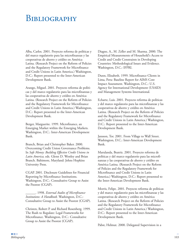# BIBLIOGRAPHY

Alba, Carlos. 2001. Proyecto reforma de políticas y del marco regulatorio para las microfinanzas y las cooperativas de ahorro y crédito en América Latina. (Research Project on the Reform of Policies and the Regulatory Framework for Microfinance and Credit Unions in Latin America.) Washington, D.C.: Report presented to the Inter-American Development Bank.

Arango, Miguel. 2001. Proyecto reforma de políticas y del marco regulatorio para las microfinanzas y las cooperativas de ahorro y crédito en América Latina. (Research Project on the Reform of Policies and the Regulatory Framework for Microfinance and Credit Unions in Latin America.) Washington, D.C.: Report presented to the Inter-American Development Bank.

Berger, Marguerite. 1999. Microfinance, an Emerging Market within the Emerging Markets. Washington, D.C.: Inter-American Development Bank.

Branch, Brian and Christopher Baker. 2000. Overcoming Credit Union Governance Problems. In *Safe Money: Building Effective Credit Unions in Latin America,* eds. Glenn D. Westley and Brian Branch. Baltimore, Maryland: Johns Hopkins University Press.

CGAP. 2001. Disclosure Guidelines for Financial Reporting by Microfinance Institutions. Washington, D.C.: Consultative Group to Assist the Poorest (CGAP).

\_\_\_\_\_\_. 1998. *External Audits of Microfinance Institutions: A Handbook.* Washington, D.C.: Consultative Group to Assist the Poorest (CGAP).

Christen, Robert P. and Richard Rosenberg. 1999. The Rush to Regulate: Legal Frameworks for Microfinance. Washington, D.C.: Consultative Group to Assist the Poorest (CGAP).

Diagne, A., M. Zeller and M. Sharma. 2000. The Empirical Measurements of Household's Access to Credit and Credit Constraints in Developing Countries: Methodological Issues and Evidence. Washington, D.C.: IFPRI.

Dunn, Elizabeth. 1999. Microfinance Clients in Lima, Peru: Baseline Report for AIMS Core Impact Assessment. Washington, D.C.: U.S. Agency for International Development (USAID) and Management Systems International.

Echarte, Luis. 2001. Proyecto reforma de políticas y del marco regulatorio para las microfinanzas y las cooperativas de ahorro y crédito en América Latina. (Research Project on the Reform of Policies and the Regulatory Framework for Microfinance and Credit Unions in Latin America.) Washington, D.C.: Report presented to the Inter-American Development Bank.

Jansson, Tor. 2001. From Village to Wall Street. Washington, D.C.: Inter-American Development Bank.

Marulanda, Beatriz. 2001. Proyecto reforma de políticas y del marco regulatorio para las microfinanzas y las cooperativas de ahorro y crédito en América Latina. (Research Project on the Reform of Policies and the Regulatory Framework for Microfinance and Credit Unions in Latin America.) Washington, D.C.: Report presented to the Inter-American Development Bank.

Morris, Felipe. 2001. Proyecto reforma de políticas y del marco regulatorio para las microfinanzas y las cooperativas de ahorro y crédito en América Latina. (Research Project on the Reform of Policies and the Regulatory Framework for Microfinance and Credit Unions in Latin America.) Washington, D.C.: Report presented to the Inter-American Development Bank.

Pabst, Helmut. 2000. Delegated Supervision in a